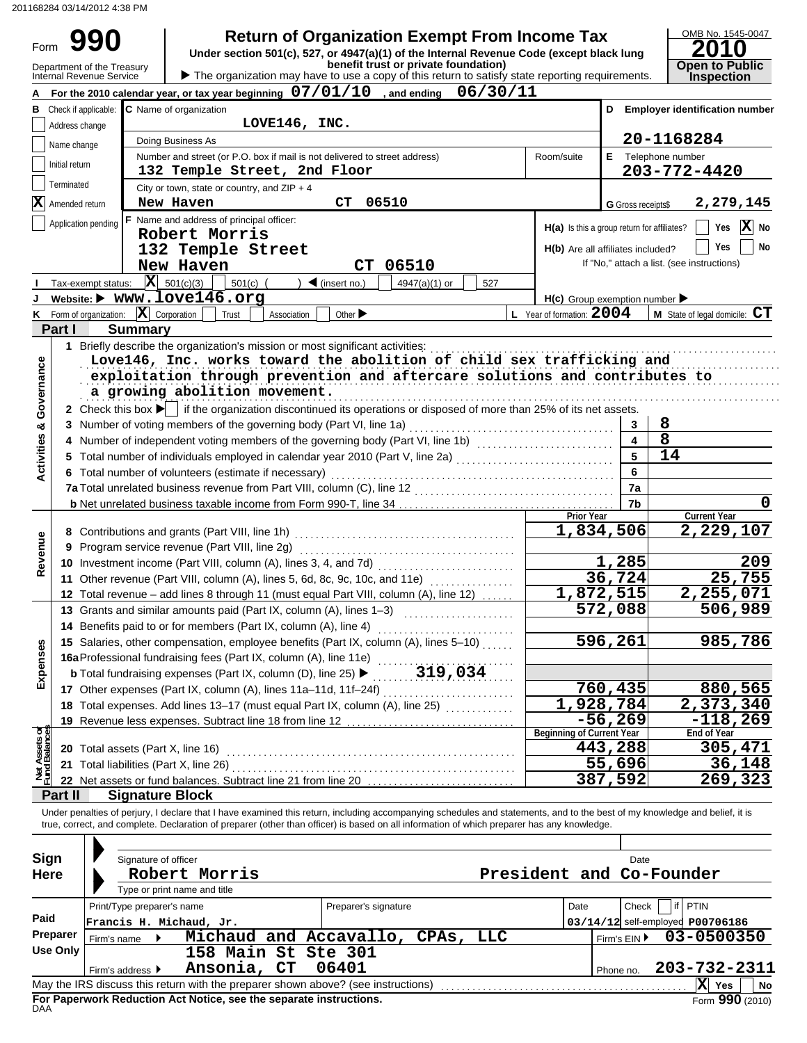201168284 03/14/2012 4:38 PM

## **COO 1 Return of Organization Exempt From Income Tax**

| OMB No. 1545-0047                    |
|--------------------------------------|
| 2010                                 |
| <b>Open to Public<br/>Inspection</b> |

| Form                                                                                                                             |                | YYU                                                                |                | <b>Retaill of Organization Exempli Tom moonie Tax</b>                                                                                  |            |                         |                                            |  |  |  |  |  |
|----------------------------------------------------------------------------------------------------------------------------------|----------------|--------------------------------------------------------------------|----------------|----------------------------------------------------------------------------------------------------------------------------------------|------------|-------------------------|--------------------------------------------|--|--|--|--|--|
|                                                                                                                                  |                |                                                                    |                | Under section 501(c), 527, or 4947(a)(1) of the Internal Revenue Code (except black lung<br>benefit trust or private foundation)       |            |                         | <b>Open to Public</b>                      |  |  |  |  |  |
|                                                                                                                                  |                | Department of the Treasury<br>Internal Revenue Service             |                | The organization may have to use a copy of this return to satisfy state reporting requirements.                                        |            |                         | <b>Inspection</b>                          |  |  |  |  |  |
|                                                                                                                                  |                |                                                                    |                | For the 2010 calendar year, or tax year beginning $07/01/10$ , and ending $06/30/11$                                                   |            |                         |                                            |  |  |  |  |  |
|                                                                                                                                  |                |                                                                    |                | B Check if applicable: C Name of organization                                                                                          |            |                         | D Employer identification number           |  |  |  |  |  |
|                                                                                                                                  |                | Address change                                                     |                | LOVE146, INC.                                                                                                                          |            |                         |                                            |  |  |  |  |  |
|                                                                                                                                  |                |                                                                    |                | Doing Business As                                                                                                                      |            |                         | 20-1168284                                 |  |  |  |  |  |
|                                                                                                                                  | Name change    |                                                                    |                | Number and street (or P.O. box if mail is not delivered to street address)<br>Room/suite                                               |            |                         | E Telephone number                         |  |  |  |  |  |
|                                                                                                                                  | Initial return |                                                                    |                | 132 Temple Street, 2nd Floor                                                                                                           |            |                         | 203-772-4420                               |  |  |  |  |  |
|                                                                                                                                  | Terminated     |                                                                    |                |                                                                                                                                        |            |                         |                                            |  |  |  |  |  |
|                                                                                                                                  |                | 2,279,145                                                          |                |                                                                                                                                        |            |                         |                                            |  |  |  |  |  |
| 06510<br>New Haven<br>СT<br>$\mathbf{X}$ Amended return<br><b>G</b> Gross receipts\$<br>F Name and address of principal officer: |                |                                                                    |                |                                                                                                                                        |            |                         |                                            |  |  |  |  |  |
|                                                                                                                                  |                | Application pending                                                |                | H(a) Is this a group return for affiliates?<br>Robert Morris                                                                           |            |                         | X No<br>Yes                                |  |  |  |  |  |
|                                                                                                                                  |                |                                                                    |                | H(b) Are all affiliates included?                                                                                                      |            |                         | Yes<br>No                                  |  |  |  |  |  |
|                                                                                                                                  |                |                                                                    |                | 132 Temple Street                                                                                                                      |            |                         | If "No," attach a list. (see instructions) |  |  |  |  |  |
|                                                                                                                                  |                |                                                                    |                | 06510<br>New Haven<br><b>CT</b>                                                                                                        |            |                         |                                            |  |  |  |  |  |
|                                                                                                                                  |                | Tax-exempt status: $\overline{\mathbf{X}}$ 501(c)(3)               |                | $\blacktriangleleft$ (insert no.)<br>501(c)<br>4947(a)(1) or<br>527                                                                    |            |                         |                                            |  |  |  |  |  |
|                                                                                                                                  |                |                                                                    |                | Website: $\triangleright$ www.love146.org<br>$H(c)$ Group exemption number $\blacktriangleright$                                       |            |                         |                                            |  |  |  |  |  |
|                                                                                                                                  |                | <b>K</b> Form of organization: $\overline{\mathbf{X}}$ Corporation |                | L Year of formation: $2004$<br>Trust<br>Other $\blacktriangleright$<br>Association                                                     |            |                         | M State of legal domicile: CT              |  |  |  |  |  |
|                                                                                                                                  | Part I         |                                                                    | <b>Summary</b> |                                                                                                                                        |            |                         |                                            |  |  |  |  |  |
|                                                                                                                                  |                |                                                                    |                | 1 Briefly describe the organization's mission or most significant activities:                                                          |            |                         |                                            |  |  |  |  |  |
|                                                                                                                                  |                |                                                                    |                | Love146, Inc. works toward the abolition of child sex trafficking and                                                                  |            |                         |                                            |  |  |  |  |  |
|                                                                                                                                  |                |                                                                    |                | exploitation through prevention and aftercare solutions and contributes to                                                             |            |                         |                                            |  |  |  |  |  |
|                                                                                                                                  |                |                                                                    |                | a growing abolition movement.                                                                                                          |            |                         |                                            |  |  |  |  |  |
|                                                                                                                                  |                |                                                                    |                | 2 Check this box $\blacktriangleright$ if the organization discontinued its operations or disposed of more than 25% of its net assets. |            |                         |                                            |  |  |  |  |  |
|                                                                                                                                  |                |                                                                    |                | 3 Number of voting members of the governing body (Part VI, line 1a)                                                                    |            | 3                       | 8                                          |  |  |  |  |  |
| <b>Activities &amp; Governance</b>                                                                                               |                |                                                                    |                |                                                                                                                                        |            | $\overline{\mathbf{4}}$ | 8                                          |  |  |  |  |  |
|                                                                                                                                  | 5.             |                                                                    |                | Total number of individuals employed in calendar year 2010 (Part V, line 2a) [[[[[[[[[[[[[[[[[[[[[[[[[[[[[[[[                          |            | 5                       | 14                                         |  |  |  |  |  |
|                                                                                                                                  |                |                                                                    |                | 6 Total number of volunteers (estimate if necessary)                                                                                   |            | 6                       |                                            |  |  |  |  |  |
|                                                                                                                                  |                |                                                                    |                |                                                                                                                                        |            | 7a                      |                                            |  |  |  |  |  |
|                                                                                                                                  |                |                                                                    |                |                                                                                                                                        |            | 7b                      | 0                                          |  |  |  |  |  |
|                                                                                                                                  |                |                                                                    |                |                                                                                                                                        | Prior Year |                         | <b>Current Year</b>                        |  |  |  |  |  |
|                                                                                                                                  |                |                                                                    |                |                                                                                                                                        |            | 1,834,506               | 2,229,107                                  |  |  |  |  |  |
| Revenue                                                                                                                          |                |                                                                    |                | 9 Program service revenue (Part VIII, line 2g)                                                                                         |            |                         |                                            |  |  |  |  |  |
|                                                                                                                                  |                |                                                                    |                |                                                                                                                                        |            | 1,285                   | 209                                        |  |  |  |  |  |
|                                                                                                                                  |                |                                                                    |                | 11 Other revenue (Part VIII, column (A), lines 5, 6d, 8c, 9c, 10c, and 11e)                                                            |            | 36,724                  | 25,755                                     |  |  |  |  |  |
|                                                                                                                                  |                |                                                                    |                | 12 Total revenue – add lines 8 through 11 (must equal Part VIII, column (A), line 12)                                                  |            | 1,872,515               | 2,255,071                                  |  |  |  |  |  |
|                                                                                                                                  |                |                                                                    |                | 13 Grants and similar amounts paid (Part IX, column (A), lines 1-3)                                                                    |            | 572,088                 | 506,989                                    |  |  |  |  |  |
|                                                                                                                                  |                |                                                                    |                | 14 Benefits paid to or for members (Part IX, column (A), line 4)                                                                       |            |                         |                                            |  |  |  |  |  |
|                                                                                                                                  |                |                                                                    |                | 15 Salaries, other compensation, employee benefits (Part IX, column (A), lines 5-10)                                                   | 596,261    |                         | 985,786                                    |  |  |  |  |  |
| Expenses                                                                                                                         |                |                                                                    |                | 16a Professional fundraising fees (Part IX, column (A), line 11e)                                                                      |            |                         |                                            |  |  |  |  |  |
|                                                                                                                                  |                |                                                                    |                | 319,034<br><b>b</b> Total fundraising expenses (Part IX, column (D), line 25) ▶                                                        |            |                         |                                            |  |  |  |  |  |
|                                                                                                                                  |                |                                                                    |                | 17 Other expenses (Part IX, column (A), lines 11a-11d, 11f-24f)                                                                        |            | 760,435                 | 880,565                                    |  |  |  |  |  |
|                                                                                                                                  |                |                                                                    |                |                                                                                                                                        |            | 1,928,784               | 2,373,340                                  |  |  |  |  |  |
|                                                                                                                                  |                |                                                                    |                | 18 Total expenses. Add lines 13-17 (must equal Part IX, column (A), line 25) [1] [1] 18 Total expenses.                                |            |                         |                                            |  |  |  |  |  |
|                                                                                                                                  |                |                                                                    |                | 19 Revenue less expenses. Subtract line 18 from line 12.<br><b>Beginning of Current Year</b>                                           |            | $-56, 269$              | $-118, 269$<br>End of Year                 |  |  |  |  |  |
|                                                                                                                                  |                |                                                                    |                | 20 Total assets (Part X, line 16)                                                                                                      |            | 443,288                 | 305,471                                    |  |  |  |  |  |
|                                                                                                                                  |                |                                                                    |                |                                                                                                                                        |            | $\overline{55,696}$     | 36,148                                     |  |  |  |  |  |
| Net Assets or<br>Fund Balances                                                                                                   |                |                                                                    |                | 21 Total liabilities (Part X, line 26)                                                                                                 |            | 387,592                 |                                            |  |  |  |  |  |
|                                                                                                                                  |                |                                                                    |                | 22 Net assets or fund balances. Subtract line 21 from line 20                                                                          |            |                         | 269,323                                    |  |  |  |  |  |
|                                                                                                                                  | Part II        |                                                                    |                | <b>Signature Block</b>                                                                                                                 |            |                         |                                            |  |  |  |  |  |

Under penalties of perjury, I declare that I have examined this return, including accompanying schedules and statements, and to the best of my knowledge and belief, it is true, correct, and complete. Declaration of preparer (other than officer) is based on all information of which preparer has any knowledge.

| Sign<br><b>Here</b> | Signature of officer                                  | Robert Morris<br>Type or print name and title                                     |       |                      | President and Co-Founder |  | Date         |                                          |                         |
|---------------------|-------------------------------------------------------|-----------------------------------------------------------------------------------|-------|----------------------|--------------------------|--|--------------|------------------------------------------|-------------------------|
| Paid                | Print/Type preparer's name<br>Francis H. Michaud, Jr. |                                                                                   |       | Preparer's signature |                          |  | Check        | PTIN<br>03/14/12 self-employed P00706186 |                         |
| Preparer            | Firm's name $\blacktriangleright$                     | Michaud and Accavallo, CPAs, LLC                                                  |       |                      |                          |  | Firm's $EIN$ |                                          | 03-0500350              |
| Use Only            | Firm's address $\blacktriangleright$                  | 158 Main St Ste 301<br>Ansonia, CT                                                | 06401 |                      |                          |  | Phone no.    |                                          | 203-732-2311            |
|                     |                                                       | May the IRS discuss this return with the preparer shown above? (see instructions) |       |                      |                          |  |              | X                                        | <b>Yes</b><br><b>No</b> |
|                     |                                                       | For Paperwork Reduction Act Notice, see the separate instructions.<br>DAA         |       |                      |                          |  |              |                                          | Form 990 (2010)         |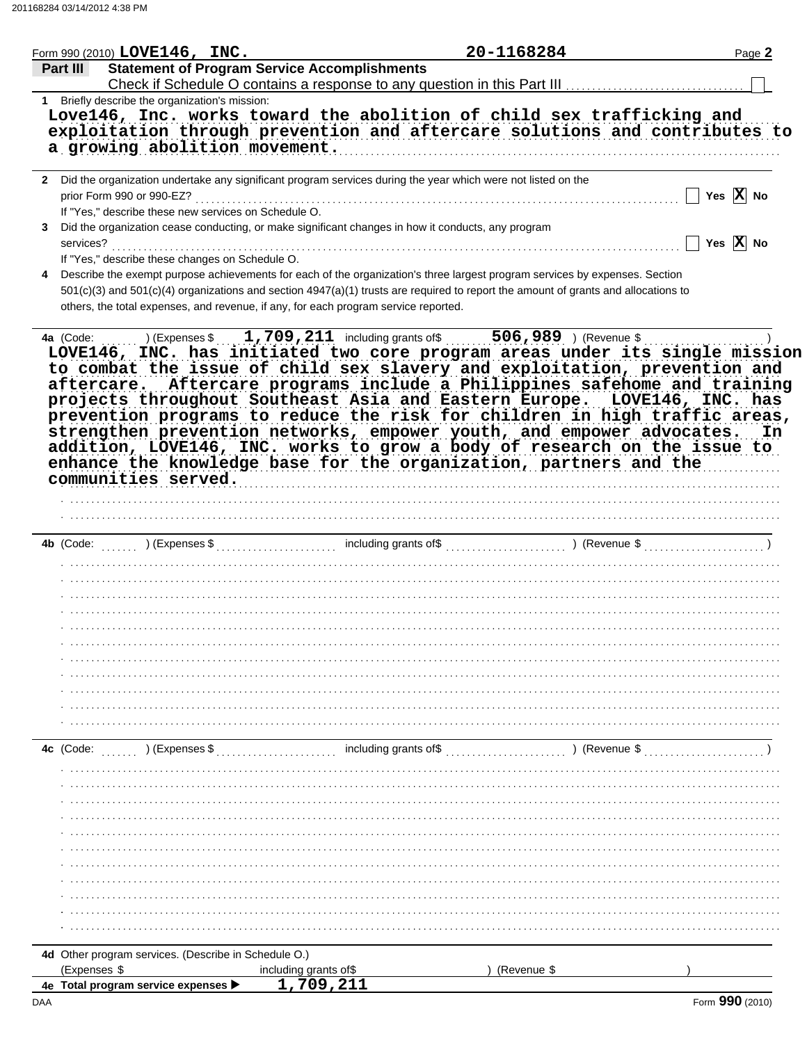|                | Form 990 (2010) LOVE146, INC.                  |                                                      |                                                                                                                                                                                                                                                                                                                                                                                                                                                                  | 20-1168284                                                 | Page 2                |
|----------------|------------------------------------------------|------------------------------------------------------|------------------------------------------------------------------------------------------------------------------------------------------------------------------------------------------------------------------------------------------------------------------------------------------------------------------------------------------------------------------------------------------------------------------------------------------------------------------|------------------------------------------------------------|-----------------------|
| Part III       |                                                |                                                      | <b>Statement of Program Service Accomplishments</b>                                                                                                                                                                                                                                                                                                                                                                                                              |                                                            |                       |
|                | 1 Briefly describe the organization's mission: |                                                      |                                                                                                                                                                                                                                                                                                                                                                                                                                                                  |                                                            |                       |
|                |                                                | a growing abolition movement.                        | Love146, Inc. works toward the abolition of child sex trafficking and<br>exploitation through prevention and aftercare solutions and contributes to                                                                                                                                                                                                                                                                                                              |                                                            |                       |
|                |                                                |                                                      |                                                                                                                                                                                                                                                                                                                                                                                                                                                                  |                                                            |                       |
|                | prior Form 990 or 990-EZ?                      | If "Yes," describe these new services on Schedule O. | 2 Did the organization undertake any significant program services during the year which were not listed on the                                                                                                                                                                                                                                                                                                                                                   |                                                            | Yes $X$ No            |
| 3<br>services? |                                                | If "Yes," describe these changes on Schedule O.      | Did the organization cease conducting, or make significant changes in how it conducts, any program                                                                                                                                                                                                                                                                                                                                                               |                                                            | Yes $\overline{X}$ No |
| 4              |                                                |                                                      | Describe the exempt purpose achievements for each of the organization's three largest program services by expenses. Section<br>501(c)(3) and 501(c)(4) organizations and section 4947(a)(1) trusts are required to report the amount of grants and allocations to<br>others, the total expenses, and revenue, if any, for each program service reported.                                                                                                         |                                                            |                       |
|                |                                                |                                                      |                                                                                                                                                                                                                                                                                                                                                                                                                                                                  |                                                            |                       |
|                | communities served.                            |                                                      | aftercare. Aftercare programs include a Philippines safehome and training<br>projects throughout Southeast Asia and Eastern Europe. LOVE146, INC. has<br>prevention programs to reduce the risk for children in high traffic areas,<br>strengthen prevention networks, empower youth, and empower advocates. In<br>addition, LOVE146, INC. works to grow a body of research on the issue to<br>enhance the knowledge base for the organization, partners and the |                                                            |                       |
|                |                                                |                                                      |                                                                                                                                                                                                                                                                                                                                                                                                                                                                  |                                                            |                       |
|                |                                                |                                                      |                                                                                                                                                                                                                                                                                                                                                                                                                                                                  |                                                            |                       |
|                |                                                |                                                      |                                                                                                                                                                                                                                                                                                                                                                                                                                                                  |                                                            |                       |
|                |                                                |                                                      |                                                                                                                                                                                                                                                                                                                                                                                                                                                                  |                                                            |                       |
|                |                                                |                                                      |                                                                                                                                                                                                                                                                                                                                                                                                                                                                  |                                                            |                       |
|                |                                                |                                                      |                                                                                                                                                                                                                                                                                                                                                                                                                                                                  |                                                            |                       |
|                |                                                |                                                      |                                                                                                                                                                                                                                                                                                                                                                                                                                                                  |                                                            |                       |
|                |                                                |                                                      |                                                                                                                                                                                                                                                                                                                                                                                                                                                                  |                                                            |                       |
|                |                                                |                                                      |                                                                                                                                                                                                                                                                                                                                                                                                                                                                  |                                                            |                       |
|                |                                                |                                                      |                                                                                                                                                                                                                                                                                                                                                                                                                                                                  |                                                            |                       |
|                |                                                |                                                      |                                                                                                                                                                                                                                                                                                                                                                                                                                                                  |                                                            |                       |
|                |                                                |                                                      |                                                                                                                                                                                                                                                                                                                                                                                                                                                                  |                                                            |                       |
|                |                                                |                                                      |                                                                                                                                                                                                                                                                                                                                                                                                                                                                  |                                                            |                       |
| 4c (Code:      | ) (Expenses \$                                 |                                                      | including grants of\$                                                                                                                                                                                                                                                                                                                                                                                                                                            | $\ldots$ , $\ldots$ $\ldots$ $\ldots$ $\ldots$ (Revenue \$ |                       |
|                |                                                |                                                      |                                                                                                                                                                                                                                                                                                                                                                                                                                                                  |                                                            |                       |
|                |                                                |                                                      |                                                                                                                                                                                                                                                                                                                                                                                                                                                                  |                                                            |                       |
|                |                                                |                                                      |                                                                                                                                                                                                                                                                                                                                                                                                                                                                  |                                                            |                       |
|                |                                                |                                                      |                                                                                                                                                                                                                                                                                                                                                                                                                                                                  |                                                            |                       |
|                |                                                |                                                      |                                                                                                                                                                                                                                                                                                                                                                                                                                                                  |                                                            |                       |
|                |                                                |                                                      |                                                                                                                                                                                                                                                                                                                                                                                                                                                                  |                                                            |                       |
|                |                                                |                                                      |                                                                                                                                                                                                                                                                                                                                                                                                                                                                  |                                                            |                       |
|                |                                                |                                                      |                                                                                                                                                                                                                                                                                                                                                                                                                                                                  |                                                            |                       |
|                |                                                |                                                      |                                                                                                                                                                                                                                                                                                                                                                                                                                                                  |                                                            |                       |
|                |                                                |                                                      |                                                                                                                                                                                                                                                                                                                                                                                                                                                                  |                                                            |                       |
|                |                                                | 4d Other program services. (Describe in Schedule O.) |                                                                                                                                                                                                                                                                                                                                                                                                                                                                  |                                                            |                       |
| (Expenses \$   |                                                |                                                      | including grants of\$                                                                                                                                                                                                                                                                                                                                                                                                                                            | (Revenue \$                                                |                       |
|                | 4e Total program service expenses              |                                                      | 1,709,211                                                                                                                                                                                                                                                                                                                                                                                                                                                        |                                                            |                       |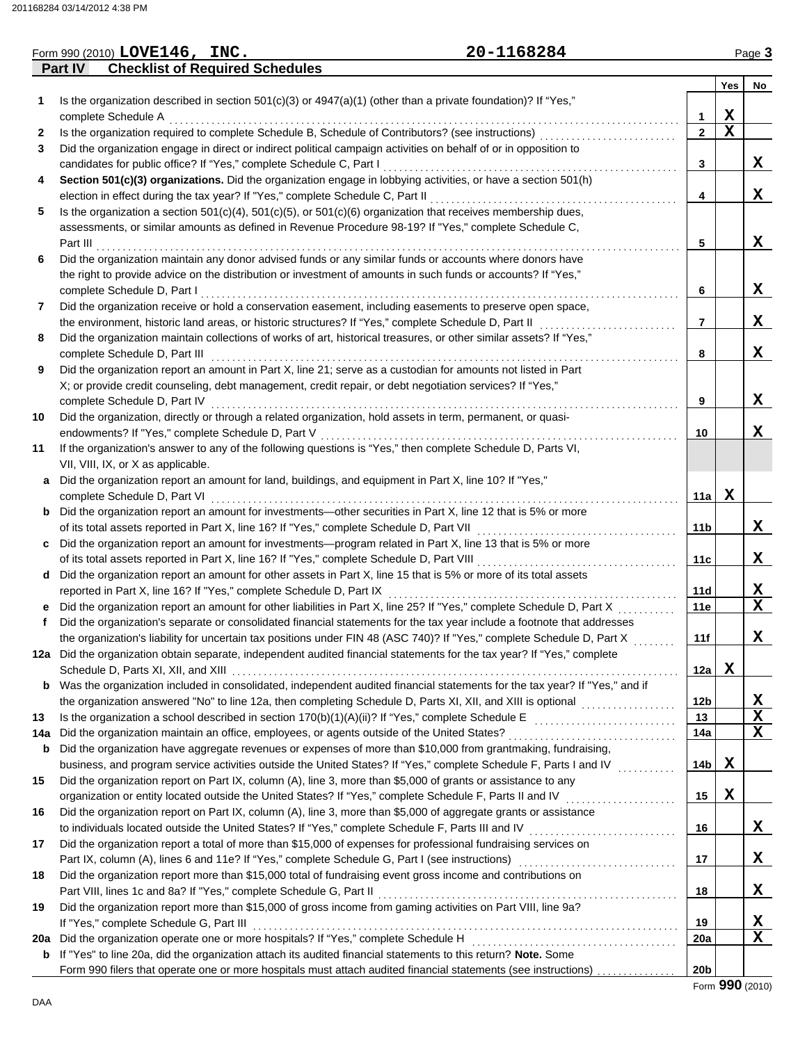|     |         | Form 990 (2010) LOVE146, INC.           |                                                                                                                         | 20-1168284                                                                                                                 |                |             | Page 3           |
|-----|---------|-----------------------------------------|-------------------------------------------------------------------------------------------------------------------------|----------------------------------------------------------------------------------------------------------------------------|----------------|-------------|------------------|
|     | Part IV | <b>Checklist of Required Schedules</b>  |                                                                                                                         |                                                                                                                            |                |             |                  |
|     |         |                                         |                                                                                                                         |                                                                                                                            |                | Yes         | No               |
| 1   |         |                                         | Is the organization described in section $501(c)(3)$ or $4947(a)(1)$ (other than a private foundation)? If "Yes,"       |                                                                                                                            |                |             |                  |
|     |         | complete Schedule A                     |                                                                                                                         |                                                                                                                            | 1              | $\mathbf X$ |                  |
| 2   |         |                                         |                                                                                                                         | Is the organization required to complete Schedule B, Schedule of Contributors? (see instructions) [[[[[[[[[[[[             | $\mathbf{2}$   | $\mathbf X$ |                  |
| 3   |         |                                         | Did the organization engage in direct or indirect political campaign activities on behalf of or in opposition to        |                                                                                                                            |                |             |                  |
|     |         |                                         | candidates for public office? If "Yes," complete Schedule C, Part I                                                     |                                                                                                                            | 3              |             | X                |
| 4   |         |                                         | Section 501(c)(3) organizations. Did the organization engage in lobbying activities, or have a section 501(h)           |                                                                                                                            |                |             |                  |
|     |         |                                         |                                                                                                                         |                                                                                                                            | 4              |             | X                |
| 5   |         |                                         | Is the organization a section $501(c)(4)$ , $501(c)(5)$ , or $501(c)(6)$ organization that receives membership dues,    |                                                                                                                            |                |             |                  |
|     |         |                                         | assessments, or similar amounts as defined in Revenue Procedure 98-19? If "Yes," complete Schedule C,                   |                                                                                                                            |                |             |                  |
|     |         |                                         |                                                                                                                         |                                                                                                                            | 5              |             | X                |
| 6   |         |                                         | Did the organization maintain any donor advised funds or any similar funds or accounts where donors have                |                                                                                                                            |                |             |                  |
|     |         |                                         | the right to provide advice on the distribution or investment of amounts in such funds or accounts? If "Yes,"           |                                                                                                                            |                |             |                  |
|     |         | complete Schedule D, Part I             |                                                                                                                         |                                                                                                                            | 6              |             | X                |
| 7   |         |                                         | Did the organization receive or hold a conservation easement, including easements to preserve open space,               |                                                                                                                            |                |             |                  |
|     |         |                                         | the environment, historic land areas, or historic structures? If "Yes," complete Schedule D, Part II                    |                                                                                                                            | $\overline{7}$ |             | X                |
| 8   |         |                                         | Did the organization maintain collections of works of art, historical treasures, or other similar assets? If "Yes,"     |                                                                                                                            |                |             |                  |
|     |         | complete Schedule D, Part III           |                                                                                                                         |                                                                                                                            | 8              |             | X                |
| 9   |         |                                         | Did the organization report an amount in Part X, line 21; serve as a custodian for amounts not listed in Part           |                                                                                                                            |                |             |                  |
|     |         |                                         | X; or provide credit counseling, debt management, credit repair, or debt negotiation services? If "Yes,"                |                                                                                                                            |                |             |                  |
|     |         |                                         |                                                                                                                         |                                                                                                                            | 9              |             | X                |
| 10  |         |                                         | Did the organization, directly or through a related organization, hold assets in term, permanent, or quasi-             |                                                                                                                            |                |             |                  |
|     |         |                                         |                                                                                                                         |                                                                                                                            | 10             |             | X                |
| 11  |         |                                         | If the organization's answer to any of the following questions is "Yes," then complete Schedule D, Parts VI,            |                                                                                                                            |                |             |                  |
|     |         | VII, VIII, IX, or X as applicable.      |                                                                                                                         |                                                                                                                            |                |             |                  |
| a   |         |                                         | Did the organization report an amount for land, buildings, and equipment in Part X, line 10? If "Yes,"                  |                                                                                                                            |                |             |                  |
|     |         | complete Schedule D, Part VI            |                                                                                                                         |                                                                                                                            | 11a            | X           |                  |
| b   |         |                                         | Did the organization report an amount for investments—other securities in Part X, line 12 that is 5% or more            |                                                                                                                            |                |             |                  |
|     |         |                                         | of its total assets reported in Part X, line 16? If "Yes," complete Schedule D, Part VII                                |                                                                                                                            | 11b            |             | X                |
| c   |         |                                         | Did the organization report an amount for investments—program related in Part X, line 13 that is 5% or more             |                                                                                                                            |                |             |                  |
|     |         |                                         |                                                                                                                         | of its total assets reported in Part X, line 16? If "Yes," complete Schedule D, Part VIII [[[[[[[[[[[[[[[[[[[[             | 11c            |             | X                |
| d   |         |                                         | Did the organization report an amount for other assets in Part X, line 15 that is 5% or more of its total assets        |                                                                                                                            |                |             |                  |
|     |         |                                         | reported in Part X, line 16? If "Yes," complete Schedule D, Part IX                                                     |                                                                                                                            | 11d            |             | X<br>$\mathbf x$ |
|     |         |                                         |                                                                                                                         | Did the organization report an amount for other liabilities in Part X, line 25? If "Yes," complete Schedule D, Part X      | 11e            |             |                  |
|     |         |                                         |                                                                                                                         | Did the organization's separate or consolidated financial statements for the tax year include a footnote that addresses    |                |             |                  |
|     |         |                                         | 12a Did the organization obtain separate, independent audited financial statements for the tax year? If "Yes," complete | the organization's liability for uncertain tax positions under FIN 48 (ASC 740)? If "Yes," complete Schedule D, Part X     | 11f<br>.       |             | X.               |
|     |         |                                         |                                                                                                                         |                                                                                                                            | 12a            | X           |                  |
| b   |         |                                         |                                                                                                                         | Was the organization included in consolidated, independent audited financial statements for the tax year? If "Yes," and if |                |             |                  |
|     |         |                                         |                                                                                                                         |                                                                                                                            | 12b            |             | X                |
| 13  |         |                                         |                                                                                                                         |                                                                                                                            | 13             |             | $\mathbf X$      |
| 14a |         |                                         |                                                                                                                         |                                                                                                                            | 14a            |             | $\mathbf X$      |
| b   |         |                                         | Did the organization have aggregate revenues or expenses of more than \$10,000 from grantmaking, fundraising,           |                                                                                                                            |                |             |                  |
|     |         |                                         |                                                                                                                         |                                                                                                                            | 14b            | X           |                  |
| 15  |         |                                         | Did the organization report on Part IX, column (A), line 3, more than \$5,000 of grants or assistance to any            |                                                                                                                            |                |             |                  |
|     |         |                                         |                                                                                                                         | organization or entity located outside the United States? If "Yes," complete Schedule F, Parts II and IV                   | 15             | X           |                  |
| 16  |         |                                         | Did the organization report on Part IX, column (A), line 3, more than \$5,000 of aggregate grants or assistance         |                                                                                                                            |                |             |                  |
|     |         |                                         |                                                                                                                         | to individuals located outside the United States? If "Yes," complete Schedule F, Parts III and IV [[[[[[[[[[[[             | 16             |             | X                |
| 17  |         |                                         | Did the organization report a total of more than \$15,000 of expenses for professional fundraising services on          |                                                                                                                            |                |             |                  |
|     |         |                                         |                                                                                                                         |                                                                                                                            | 17             |             | X                |
| 18  |         |                                         | Did the organization report more than \$15,000 total of fundraising event gross income and contributions on             |                                                                                                                            |                |             |                  |
|     |         |                                         | Part VIII, lines 1c and 8a? If "Yes," complete Schedule G, Part II                                                      |                                                                                                                            | 18             |             | X                |
| 19  |         |                                         | Did the organization report more than \$15,000 of gross income from gaming activities on Part VIII, line 9a?            |                                                                                                                            |                |             |                  |
|     |         | If "Yes," complete Schedule G, Part III |                                                                                                                         |                                                                                                                            | 19             |             | X                |
| 20a |         |                                         |                                                                                                                         |                                                                                                                            | 20a            |             | $\mathbf X$      |
| b   |         |                                         | If "Yes" to line 20a, did the organization attach its audited financial statements to this return? Note. Some           |                                                                                                                            |                |             |                  |
|     |         |                                         |                                                                                                                         | Form 990 filers that operate one or more hospitals must attach audited financial statements (see instructions)             | 20b            |             |                  |

Form **990** (2010)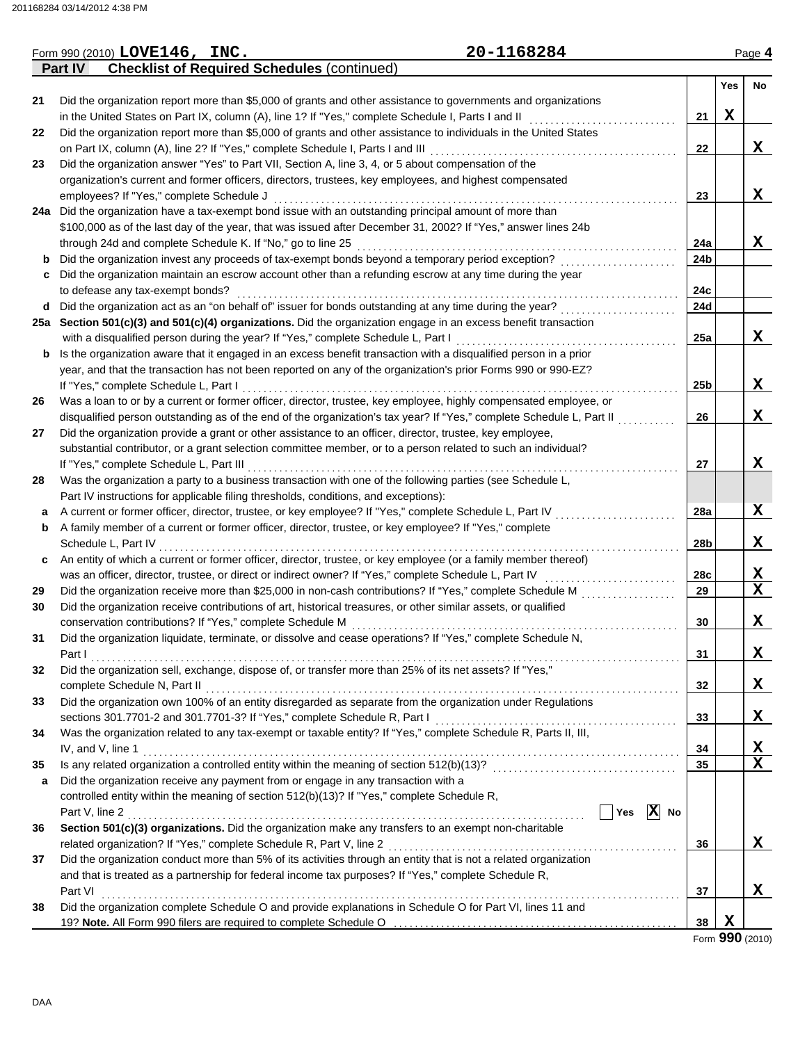|    | 20-1168284<br>Form 990 (2010) LOVE146, INC.                                                                                                                                     |                 |             | Page 4                  |
|----|---------------------------------------------------------------------------------------------------------------------------------------------------------------------------------|-----------------|-------------|-------------------------|
|    | <b>Checklist of Required Schedules (continued)</b><br><b>Part IV</b>                                                                                                            |                 |             |                         |
|    |                                                                                                                                                                                 |                 | Yes         | No                      |
| 21 | Did the organization report more than \$5,000 of grants and other assistance to governments and organizations                                                                   |                 |             |                         |
|    | in the United States on Part IX, column (A), line 1? If "Yes," complete Schedule I, Parts I and II                                                                              | 21              | $\mathbf X$ |                         |
| 22 | Did the organization report more than \$5,000 of grants and other assistance to individuals in the United States                                                                |                 |             |                         |
|    | on Part IX, column (A), line 2? If "Yes," complete Schedule I, Parts I and III                                                                                                  | 22              |             | X                       |
| 23 | Did the organization answer "Yes" to Part VII, Section A, line 3, 4, or 5 about compensation of the                                                                             |                 |             |                         |
|    | organization's current and former officers, directors, trustees, key employees, and highest compensated                                                                         |                 |             |                         |
|    | employees? If "Yes," complete Schedule J                                                                                                                                        | 23              |             | X                       |
|    | 24a Did the organization have a tax-exempt bond issue with an outstanding principal amount of more than                                                                         |                 |             |                         |
|    | \$100,000 as of the last day of the year, that was issued after December 31, 2002? If "Yes," answer lines 24b                                                                   |                 |             |                         |
|    | through 24d and complete Schedule K. If "No," go to line 25                                                                                                                     | 24a             |             | X                       |
| b  | Did the organization invest any proceeds of tax-exempt bonds beyond a temporary period exception?                                                                               | 24 <sub>b</sub> |             |                         |
| c  | Did the organization maintain an escrow account other than a refunding escrow at any time during the year                                                                       |                 |             |                         |
|    | to defease any tax-exempt bonds?                                                                                                                                                | 24c             |             |                         |
| d  |                                                                                                                                                                                 | 24d             |             |                         |
|    | 25a Section 501(c)(3) and 501(c)(4) organizations. Did the organization engage in an excess benefit transaction                                                                 |                 |             |                         |
|    | with a disqualified person during the year? If "Yes," complete Schedule L, Part I                                                                                               | 25a             |             | X                       |
| b  | Is the organization aware that it engaged in an excess benefit transaction with a disqualified person in a prior                                                                |                 |             |                         |
|    | year, and that the transaction has not been reported on any of the organization's prior Forms 990 or 990-EZ?                                                                    |                 |             |                         |
|    | If "Yes," complete Schedule L, Part I                                                                                                                                           | 25 <sub>b</sub> |             | X                       |
| 26 | Was a loan to or by a current or former officer, director, trustee, key employee, highly compensated employee, or                                                               |                 |             |                         |
|    | disqualified person outstanding as of the end of the organization's tax year? If "Yes," complete Schedule L, Part II                                                            | 26              |             | X                       |
| 27 | Did the organization provide a grant or other assistance to an officer, director, trustee, key employee,                                                                        |                 |             |                         |
|    | substantial contributor, or a grant selection committee member, or to a person related to such an individual?                                                                   |                 |             |                         |
|    | If "Yes," complete Schedule L, Part III                                                                                                                                         | 27              |             | X                       |
| 28 | Was the organization a party to a business transaction with one of the following parties (see Schedule L,                                                                       |                 |             |                         |
|    | Part IV instructions for applicable filing thresholds, conditions, and exceptions):                                                                                             |                 |             |                         |
| а  | A current or former officer, director, trustee, or key employee? If "Yes," complete Schedule L, Part IV                                                                         | <b>28a</b>      |             | X                       |
| b  | A family member of a current or former officer, director, trustee, or key employee? If "Yes," complete                                                                          |                 |             |                         |
|    | Schedule L, Part IV                                                                                                                                                             | 28b             |             | X                       |
| c  | An entity of which a current or former officer, director, trustee, or key employee (or a family member thereof)                                                                 |                 |             |                         |
|    | was an officer, director, trustee, or direct or indirect owner? If "Yes," complete Schedule L, Part IV                                                                          | 28c             |             | X                       |
| 29 | Did the organization receive more than \$25,000 in non-cash contributions? If "Yes," complete Schedule M                                                                        | 29              |             | $\mathbf x$             |
| 30 | Did the organization receive contributions of art, historical treasures, or other similar assets, or qualified                                                                  |                 |             |                         |
|    | conservation contributions? If "Yes," complete Schedule M                                                                                                                       | 30              |             | X                       |
| 31 | Did the organization liquidate, terminate, or dissolve and cease operations? If "Yes," complete Schedule N,                                                                     |                 |             |                         |
|    |                                                                                                                                                                                 | 31              |             | X                       |
| 32 | Did the organization sell, exchange, dispose of, or transfer more than 25% of its net assets? If "Yes,"                                                                         |                 |             |                         |
|    |                                                                                                                                                                                 | 32              |             | X                       |
| 33 | Did the organization own 100% of an entity disregarded as separate from the organization under Regulations                                                                      |                 |             |                         |
|    |                                                                                                                                                                                 | 33              |             | X                       |
| 34 | Was the organization related to any tax-exempt or taxable entity? If "Yes," complete Schedule R, Parts II, III,                                                                 |                 |             |                         |
|    |                                                                                                                                                                                 | 34              |             | X                       |
|    | IV, and V, line 1                                                                                                                                                               | 35              |             | $\overline{\mathbf{x}}$ |
| 35 |                                                                                                                                                                                 |                 |             |                         |
| a  | Did the organization receive any payment from or engage in any transaction with a<br>controlled entity within the meaning of section 512(b)(13)? If "Yes," complete Schedule R, |                 |             |                         |
|    | $\sqrt{\phantom{a}}$ Yes $\sqrt{\phantom{a}}$ No                                                                                                                                |                 |             |                         |
|    |                                                                                                                                                                                 |                 |             |                         |
| 36 | Section 501(c)(3) organizations. Did the organization make any transfers to an exempt non-charitable                                                                            |                 |             |                         |
|    |                                                                                                                                                                                 | 36              |             | X                       |
| 37 | Did the organization conduct more than 5% of its activities through an entity that is not a related organization                                                                |                 |             |                         |
|    | and that is treated as a partnership for federal income tax purposes? If "Yes," complete Schedule R,                                                                            |                 |             |                         |
|    | Part VI                                                                                                                                                                         | 37              |             | X                       |
| 38 | Did the organization complete Schedule O and provide explanations in Schedule O for Part VI, lines 11 and                                                                       |                 |             |                         |
|    |                                                                                                                                                                                 | 38              | X           |                         |

Form **990** (2010)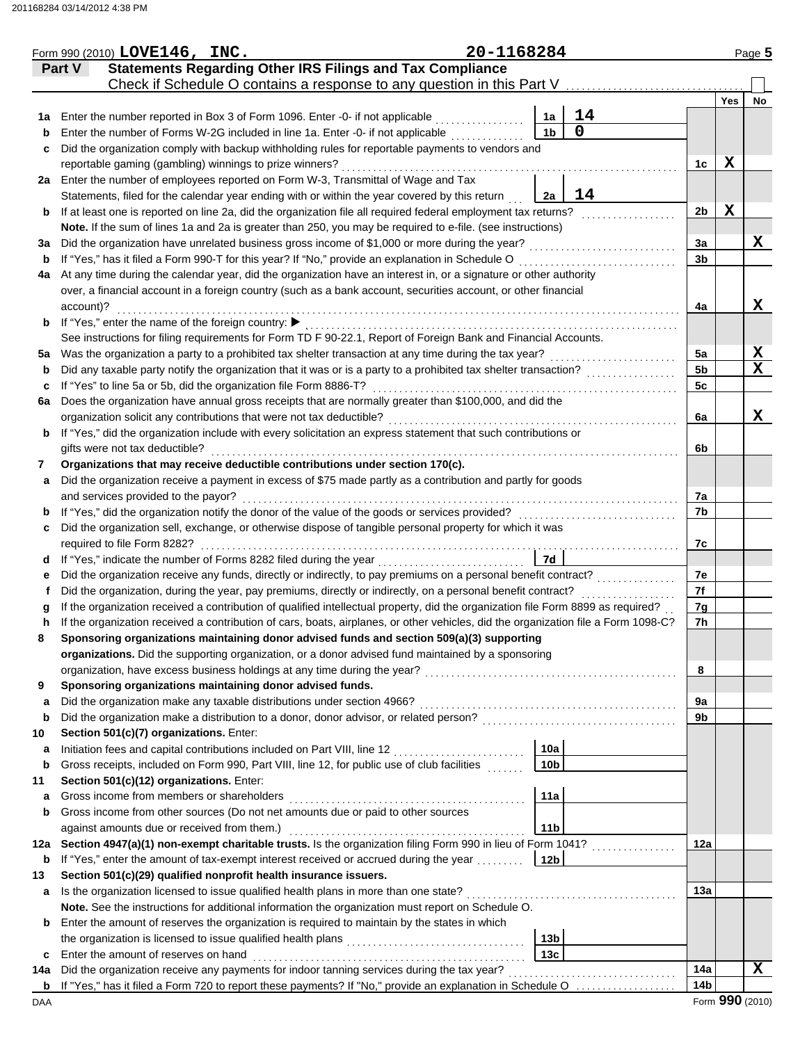|     | Form 990 (2010) LOVE146, INC.                                                                                                                                                  | 20-1168284 |                 |                |                 |                 | Page 5           |
|-----|--------------------------------------------------------------------------------------------------------------------------------------------------------------------------------|------------|-----------------|----------------|-----------------|-----------------|------------------|
|     | <b>Statements Regarding Other IRS Filings and Tax Compliance</b><br>Part V                                                                                                     |            |                 |                |                 |                 |                  |
|     | Check if Schedule O contains a response to any question in this Part V                                                                                                         |            |                 |                |                 |                 |                  |
|     |                                                                                                                                                                                |            |                 |                |                 | Yes             | No               |
| 1a  | Enter the number reported in Box 3 of Form 1096. Enter -0- if not applicable                                                                                                   |            | 1a              | 14             |                 |                 |                  |
| b   | Enter the number of Forms W-2G included in line 1a. Enter -0- if not applicable                                                                                                |            | 1 <sub>b</sub>  | $\overline{0}$ |                 |                 |                  |
| c   | Did the organization comply with backup withholding rules for reportable payments to vendors and                                                                               |            |                 |                |                 |                 |                  |
|     | reportable gaming (gambling) winnings to prize winners?                                                                                                                        |            |                 |                | 1c              | X               |                  |
|     | 2a Enter the number of employees reported on Form W-3, Transmittal of Wage and Tax                                                                                             |            |                 |                |                 |                 |                  |
|     | Statements, filed for the calendar year ending with or within the year covered by this return                                                                                  |            | 2a              | 14             |                 |                 |                  |
| b   | If at least one is reported on line 2a, did the organization file all required federal employment tax returns?                                                                 |            |                 |                | 2 <sub>b</sub>  | $\mathbf X$     |                  |
|     | Note. If the sum of lines 1a and 2a is greater than 250, you may be required to e-file. (see instructions)                                                                     |            |                 |                |                 |                 |                  |
| За  | Did the organization have unrelated business gross income of \$1,000 or more during the year?                                                                                  |            |                 |                | 3a              |                 | X                |
| b   | If "Yes," has it filed a Form 990-T for this year? If "No," provide an explanation in Schedule O                                                                               |            |                 |                | 3 <sub>b</sub>  |                 |                  |
| 4a  | At any time during the calendar year, did the organization have an interest in, or a signature or other authority                                                              |            |                 |                |                 |                 |                  |
|     | over, a financial account in a foreign country (such as a bank account, securities account, or other financial                                                                 |            |                 |                |                 |                 |                  |
|     | account)?                                                                                                                                                                      |            |                 |                | 4a              |                 | X                |
| b   | If "Yes," enter the name of the foreign country: ▶                                                                                                                             |            |                 |                |                 |                 |                  |
|     | See instructions for filing requirements for Form TD F 90-22.1, Report of Foreign Bank and Financial Accounts.                                                                 |            |                 |                |                 |                 |                  |
| 5a  | Was the organization a party to a prohibited tax shelter transaction at any time during the tax year?                                                                          |            |                 | <u>.</u>       | 5a              |                 | X<br>$\mathbf x$ |
| b   | Did any taxable party notify the organization that it was or is a party to a prohibited tax shelter transaction?                                                               |            |                 |                | 5b              |                 |                  |
| c   | If "Yes" to line 5a or 5b, did the organization file Form 8886-T?                                                                                                              |            |                 |                | 5c              |                 |                  |
| 6a  | Does the organization have annual gross receipts that are normally greater than \$100,000, and did the<br>organization solicit any contributions that were not tax deductible? |            |                 |                | 6a              |                 | X                |
|     | If "Yes," did the organization include with every solicitation an express statement that such contributions or                                                                 |            |                 |                |                 |                 |                  |
| b   | gifts were not tax deductible?                                                                                                                                                 |            |                 |                | 6b              |                 |                  |
| 7   | Organizations that may receive deductible contributions under section 170(c).                                                                                                  |            |                 |                |                 |                 |                  |
| a   | Did the organization receive a payment in excess of \$75 made partly as a contribution and partly for goods                                                                    |            |                 |                |                 |                 |                  |
|     | and services provided to the payor?                                                                                                                                            |            |                 |                | 7a              |                 |                  |
| b   | If "Yes," did the organization notify the donor of the value of the goods or services provided?                                                                                |            |                 |                | 7b              |                 |                  |
| c   | Did the organization sell, exchange, or otherwise dispose of tangible personal property for which it was                                                                       |            |                 |                |                 |                 |                  |
|     | required to file Form 8282?                                                                                                                                                    |            |                 |                | 7c              |                 |                  |
| d   | If "Yes," indicate the number of Forms 8282 filed during the year<br>[[[COSET], [[COSET]]                                                                                      |            | 7d              |                |                 |                 |                  |
| е   | Did the organization receive any funds, directly or indirectly, to pay premiums on a personal benefit contract?                                                                |            |                 |                | 7e              |                 |                  |
|     | Did the organization, during the year, pay premiums, directly or indirectly, on a personal benefit contract?                                                                   |            |                 |                | 7f              |                 |                  |
| a   | If the organization received a contribution of qualified intellectual property, did the organization file Form 8899 as required?                                               |            |                 |                | 7g              |                 |                  |
| h   | If the organization received a contribution of cars, boats, airplanes, or other vehicles, did the organization file a Form 1098-C?                                             |            |                 |                | 7h              |                 |                  |
|     | Sponsoring organizations maintaining donor advised funds and section 509(a)(3) supporting                                                                                      |            |                 |                |                 |                 |                  |
|     | organizations. Did the supporting organization, or a donor advised fund maintained by a sponsoring                                                                             |            |                 |                |                 |                 |                  |
|     | organization, have excess business holdings at any time during the year?                                                                                                       |            |                 |                | 8               |                 |                  |
| 9   | Sponsoring organizations maintaining donor advised funds.                                                                                                                      |            |                 |                |                 |                 |                  |
| a   | Did the organization make any taxable distributions under section 4966?                                                                                                        |            |                 |                | 9a              |                 |                  |
| b   | Did the organization make a distribution to a donor, donor advisor, or related person?                                                                                         |            |                 |                | 9b              |                 |                  |
| 10  | Section 501(c)(7) organizations. Enter:                                                                                                                                        |            |                 |                |                 |                 |                  |
| а   | Initiation fees and capital contributions included on Part VIII, line 12                                                                                                       |            | 10a             |                |                 |                 |                  |
| b   | Gross receipts, included on Form 990, Part VIII, line 12, for public use of club facilities                                                                                    |            | 10 <sub>b</sub> |                |                 |                 |                  |
| 11  | Section 501(c)(12) organizations. Enter:                                                                                                                                       |            |                 |                |                 |                 |                  |
| а   | Gross income from members or shareholders                                                                                                                                      |            | 11a             |                |                 |                 |                  |
| b   | Gross income from other sources (Do not net amounts due or paid to other sources                                                                                               |            |                 |                |                 |                 |                  |
|     | against amounts due or received from them.)                                                                                                                                    |            | 11 <sub>b</sub> |                |                 |                 |                  |
| 12a | Section 4947(a)(1) non-exempt charitable trusts. Is the organization filing Form 990 in lieu of Form 1041?                                                                     |            |                 |                | 12a             |                 |                  |
| b   | If "Yes," enter the amount of tax-exempt interest received or accrued during the year                                                                                          |            | 12 <sub>b</sub> |                |                 |                 |                  |
| 13  | Section 501(c)(29) qualified nonprofit health insurance issuers.                                                                                                               |            |                 |                |                 |                 |                  |
| а   | Is the organization licensed to issue qualified health plans in more than one state?                                                                                           |            |                 |                | 13a             |                 |                  |
|     | Note. See the instructions for additional information the organization must report on Schedule O.                                                                              |            |                 |                |                 |                 |                  |
| b   | Enter the amount of reserves the organization is required to maintain by the states in which                                                                                   |            |                 |                |                 |                 |                  |
|     |                                                                                                                                                                                |            | 13 <sub>b</sub> |                |                 |                 |                  |
| c   | Enter the amount of reserves on hand                                                                                                                                           |            | 13c             |                |                 |                 |                  |
| 14a | Did the organization receive any payments for indoor tanning services during the tax year?                                                                                     |            |                 |                | 14a             |                 | $\mathbf x$      |
| b   | If "Yes," has it filed a Form 720 to report these payments? If "No," provide an explanation in Schedule O                                                                      |            |                 |                | 14 <sub>b</sub> |                 |                  |
| DAA |                                                                                                                                                                                |            |                 |                |                 | Form 990 (2010) |                  |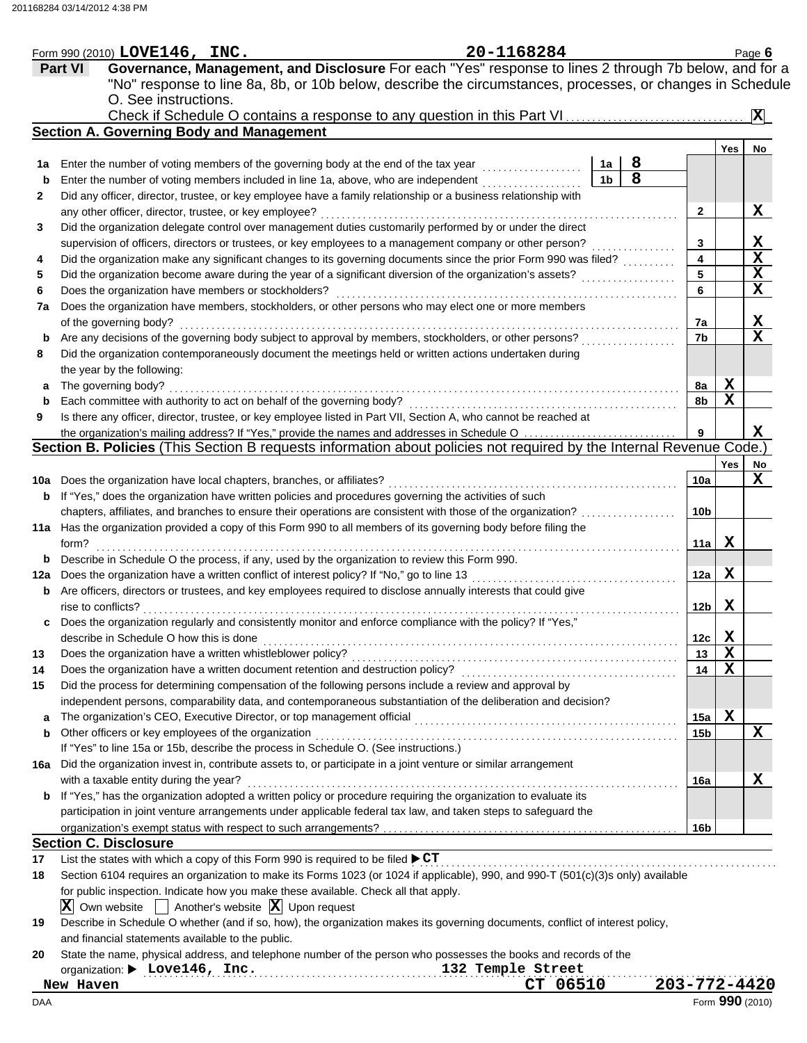|                | 20-1168284<br>Form 990 (2010) $LOVE146$ , $INC.$                                                                                 |                 |             | Page 6         |
|----------------|----------------------------------------------------------------------------------------------------------------------------------|-----------------|-------------|----------------|
| <b>Part VI</b> | Governance, Management, and Disclosure For each "Yes" response to lines 2 through 7b below, and for a                            |                 |             |                |
|                | "No" response to line 8a, 8b, or 10b below, describe the circumstances, processes, or changes in Schedule                        |                 |             |                |
|                | O. See instructions.                                                                                                             |                 |             |                |
|                | Check if Schedule O contains a response to any question in this Part VI                                                          |                 |             | $ \mathbf{X} $ |
|                | <b>Section A. Governing Body and Management</b>                                                                                  |                 |             |                |
|                |                                                                                                                                  |                 | Yes         | No             |
| 1a             | 8<br>Enter the number of voting members of the governing body at the end of the tax year<br>1a                                   |                 |             |                |
| b              | 8<br>1 <sub>b</sub><br>Enter the number of voting members included in line 1a, above, who are independent                        |                 |             |                |
| 2              | Did any officer, director, trustee, or key employee have a family relationship or a business relationship with                   |                 |             |                |
|                | any other officer, director, trustee, or key employee?                                                                           | $\mathbf{2}$    |             | X              |
| 3              | Did the organization delegate control over management duties customarily performed by or under the direct                        |                 |             |                |
|                | supervision of officers, directors or trustees, or key employees to a management company or other person?                        | 3               |             | $\mathbf{x}$   |
| 4              | Did the organization make any significant changes to its governing documents since the prior Form 990 was filed?                 | 4               |             | X              |
| 5              | Did the organization become aware during the year of a significant diversion of the organization's assets?                       | 5               |             | X              |
| 6              | Does the organization have members or stockholders?                                                                              | 6               |             | X              |
| 7a             | Does the organization have members, stockholders, or other persons who may elect one or more members                             |                 |             |                |
|                | of the governing body?                                                                                                           | 7a              |             | $\mathbf{x}$   |
| b              | Are any decisions of the governing body subject to approval by members, stockholders, or other persons?                          | 7b              |             | $\mathbf x$    |
| 8              | Did the organization contemporaneously document the meetings held or written actions undertaken during                           |                 |             |                |
|                | the year by the following:                                                                                                       |                 |             |                |
| a              | The governing body?                                                                                                              | 8a              | X           |                |
| b              | Each committee with authority to act on behalf of the governing body?                                                            | 8b              | $\mathbf X$ |                |
| 9              | Is there any officer, director, trustee, or key employee listed in Part VII, Section A, who cannot be reached at                 |                 |             |                |
|                | the organization's mailing address? If "Yes," provide the names and addresses in Schedule O                                      | 9               |             | x              |
|                | Section B. Policies (This Section B requests information about policies not required by the Internal Revenue Code.)              |                 |             |                |
|                |                                                                                                                                  |                 | <b>Yes</b>  | No             |
|                | 10a Does the organization have local chapters, branches, or affiliates?                                                          | 10a             |             | X              |
| b              | If "Yes," does the organization have written policies and procedures governing the activities of such                            |                 |             |                |
|                | chapters, affiliates, and branches to ensure their operations are consistent with those of the organization?                     | 10b             |             |                |
|                | 11a Has the organization provided a copy of this Form 990 to all members of its governing body before filing the                 |                 |             |                |
| form?          |                                                                                                                                  | 11a             | X           |                |
| b              | Describe in Schedule O the process, if any, used by the organization to review this Form 990.                                    |                 |             |                |
|                | 12a Does the organization have a written conflict of interest policy? If "No," go to line 13                                     | 12a             | X           |                |
|                | <b>b</b> Are officers, directors or trustees, and key employees required to disclose annually interests that could give          |                 |             |                |
|                | rise to conflicts?                                                                                                               | 12b             | X           |                |
|                | Does the organization regularly and consistently monitor and enforce compliance with the policy? If "Yes,"                       |                 |             |                |
|                | describe in Schedule O how this is done                                                                                          | 12c             | X           |                |
| 13             | Does the organization have a written whistleblower policy?                                                                       | 13              | X           |                |
| 14             | Does the organization have a written document retention and destruction policy?                                                  | 14              | $\mathbf x$ |                |
| 15             | Did the process for determining compensation of the following persons include a review and approval by                           |                 |             |                |
|                | independent persons, comparability data, and contemporaneous substantiation of the deliberation and decision?                    |                 |             |                |
| a              | The organization's CEO, Executive Director, or top management official                                                           | 15a             | X           |                |
| b              | Other officers or key employees of the organization                                                                              | 15 <sub>b</sub> |             | Х              |
|                | If "Yes" to line 15a or 15b, describe the process in Schedule O. (See instructions.)                                             |                 |             |                |
|                | 16a Did the organization invest in, contribute assets to, or participate in a joint venture or similar arrangement               |                 |             |                |
|                | with a taxable entity during the year?                                                                                           | 16a             |             | X              |
| b              | If "Yes," has the organization adopted a written policy or procedure requiring the organization to evaluate its                  |                 |             |                |
|                | participation in joint venture arrangements under applicable federal tax law, and taken steps to safeguard the                   |                 |             |                |
|                |                                                                                                                                  | 16b             |             |                |
|                | <b>Section C. Disclosure</b>                                                                                                     |                 |             |                |
| 17             | List the states with which a copy of this Form 990 is required to be filed $\blacktriangleright$ CT                              |                 |             |                |
| 18             | Section 6104 requires an organization to make its Forms 1023 (or 1024 if applicable), 990, and 990-T (501(c)(3)s only) available |                 |             |                |
|                | for public inspection. Indicate how you make these available. Check all that apply.                                              |                 |             |                |
|                | Another's website $ \mathbf{X} $ Upon request<br>$ \mathbf{X} $ Own website                                                      |                 |             |                |
| 19             | Describe in Schedule O whether (and if so, how), the organization makes its governing documents, conflict of interest policy,    |                 |             |                |
|                | and financial statements available to the public.                                                                                |                 |             |                |
| 20             | State the name, physical address, and telephone number of the person who possesses the books and records of the                  |                 |             |                |
|                | organization: > Love146, Inc.<br>132 Temple Street                                                                               |                 |             |                |
| New Haven      | CT 06510                                                                                                                         | 203-772-4420    |             |                |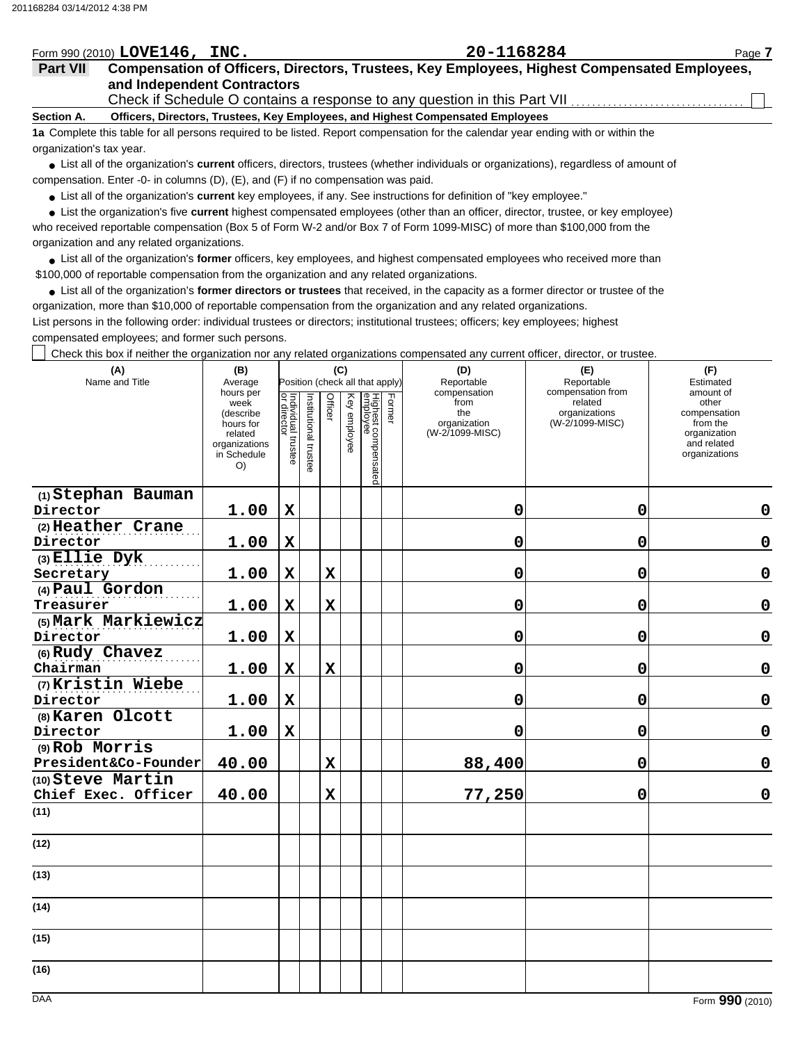## Form 990 (2010) Page **7 LOVE146, INC. 20-1168284**

## **and Independent Contractors Part VII Compensation of Officers, Directors, Trustees, Key Employees, Highest Compensated Employees,**

Check if Schedule O contains a response to any question in this Part VII.

**Section A. Officers, Directors, Trustees, Key Employees, and Highest Compensated Employees**

**1a** Complete this table for all persons required to be listed. Report compensation for the calendar year ending with or within the organization's tax year.

● List all of the organization's **current** officers, directors, trustees (whether individuals or organizations), regardless of amount of compensation. Enter -0- in columns (D), (E), and (F) if no compensation was paid.

● List all of the organization's **current** key employees, if any. See instructions for definition of "key employee."

who received reportable compensation (Box 5 of Form W-2 and/or Box 7 of Form 1099-MISC) of more than \$100,000 from the organization and any related organizations. ● List the organization's five current highest compensated employees (other than an officer, director, trustee, or key employee)

**•** List all of the organization's former officers, key employees, and highest compensated employees who received more than \$100,000 of reportable compensation from the organization and any related organizations.

List all of the organization's **former directors or trustees** that received, in the capacity as a former director or trustee of the **•** organization, more than \$10,000 of reportable compensation from the organization and any related organizations.

List persons in the following order: individual trustees or directors; institutional trustees; officers; key employees; highest compensated employees; and former such persons.

Check this box if neither the organization nor any related organizations compensated any current officer, director, or trustee.

| (A)<br>Name and Title                    | (B)<br>Average                                                                               |                                   |                       |                | (C)          | Position (check all that apply) | (E)<br>Reportable | (F)<br>Estimated                                               |                                                                  |                                                                                                |
|------------------------------------------|----------------------------------------------------------------------------------------------|-----------------------------------|-----------------------|----------------|--------------|---------------------------------|-------------------|----------------------------------------------------------------|------------------------------------------------------------------|------------------------------------------------------------------------------------------------|
|                                          | hours per<br>week<br>(describe<br>hours for<br>related<br>organizations<br>in Schedule<br>O) | Individual trustee<br>or director | Institutional trustee | <b>Officer</b> | Key employee | Highest compensated<br>employee | Former            | compensation<br>from<br>the<br>organization<br>(W-2/1099-MISC) | compensation from<br>related<br>organizations<br>(W-2/1099-MISC) | amount of<br>other<br>compensation<br>from the<br>organization<br>and related<br>organizations |
| (1) Stephan Bauman                       |                                                                                              |                                   |                       |                |              |                                 |                   |                                                                |                                                                  |                                                                                                |
| Director                                 | 1.00                                                                                         | $\mathbf x$                       |                       |                |              |                                 |                   | 0                                                              | $\mathbf 0$                                                      | $\mathbf 0$                                                                                    |
| (2) Heather Crane<br>Director            | 1.00                                                                                         | $\mathbf X$                       |                       |                |              |                                 |                   | 0                                                              | 0                                                                | $\mathbf 0$                                                                                    |
| $(3)$ Ellie Dyk<br>Secretary             | 1.00                                                                                         | $\mathbf x$                       |                       | $\mathbf x$    |              |                                 |                   | 0                                                              | 0                                                                | $\mathbf 0$                                                                                    |
| (4) Paul Gordon<br>Treasurer             | 1.00                                                                                         | $\mathbf x$                       |                       | $\mathbf x$    |              |                                 |                   | 0                                                              | 0                                                                | $\mathbf 0$                                                                                    |
| (5) Mark Markiewicz<br>Director          | 1.00                                                                                         | $\mathbf x$                       |                       |                |              |                                 |                   | 0                                                              | $\mathbf 0$                                                      | $\mathbf 0$                                                                                    |
| (6) Rudy Chavez<br>Chairman              | 1.00                                                                                         | $\mathbf X$                       |                       | $\mathbf x$    |              |                                 |                   | 0                                                              | 0                                                                | $\mathbf 0$                                                                                    |
| (7) Kristin Wiebe<br>Director            | 1.00                                                                                         | $\mathbf x$                       |                       |                |              |                                 |                   | 0                                                              | $\mathbf 0$                                                      | 0                                                                                              |
| (8) Karen Olcott                         |                                                                                              |                                   |                       |                |              |                                 |                   |                                                                |                                                                  |                                                                                                |
| Director                                 | 1.00                                                                                         | $\mathbf x$                       |                       |                |              |                                 |                   | 0                                                              | 0                                                                | $\mathbf 0$                                                                                    |
| (9) Rob Morris<br>President&Co-Founder   | 40.00                                                                                        |                                   |                       | $\mathbf x$    |              |                                 |                   | 88,400                                                         | $\mathbf 0$                                                      | $\mathbf 0$                                                                                    |
| (10) Steve Martin<br>Chief Exec. Officer | 40.00                                                                                        |                                   |                       | $\mathbf x$    |              |                                 |                   | 77,250                                                         | 0                                                                | $\mathbf 0$                                                                                    |
| (11)                                     |                                                                                              |                                   |                       |                |              |                                 |                   |                                                                |                                                                  |                                                                                                |
| (12)                                     |                                                                                              |                                   |                       |                |              |                                 |                   |                                                                |                                                                  |                                                                                                |
| (13)                                     |                                                                                              |                                   |                       |                |              |                                 |                   |                                                                |                                                                  |                                                                                                |
| (14)                                     |                                                                                              |                                   |                       |                |              |                                 |                   |                                                                |                                                                  |                                                                                                |
| (15)                                     |                                                                                              |                                   |                       |                |              |                                 |                   |                                                                |                                                                  |                                                                                                |
| (16)                                     |                                                                                              |                                   |                       |                |              |                                 |                   |                                                                |                                                                  |                                                                                                |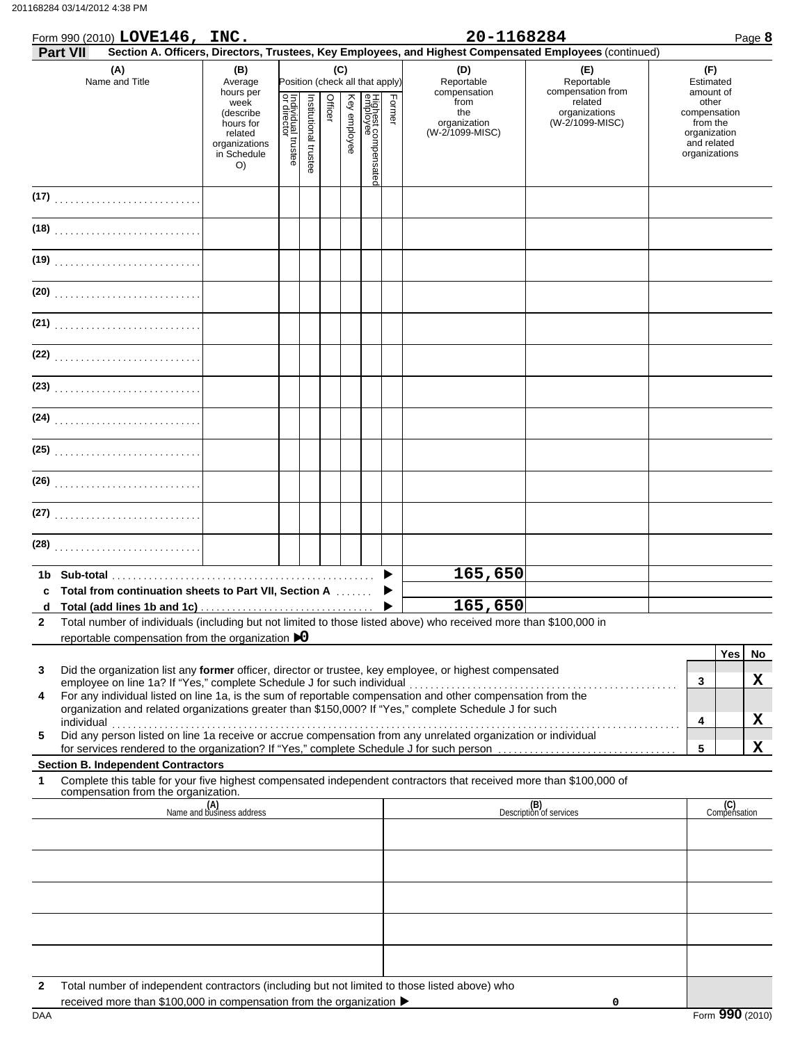### 201168284 03/14/2012 4:38 PM

|              | Form 990 (2010) LOVE146, INC.                                                                                                                                   |                                                                                                         |                                   |                            |         |              |                                                                   |        | 20-1168284                                                                   |                                                                                                               | Page 8                                                                                                      |
|--------------|-----------------------------------------------------------------------------------------------------------------------------------------------------------------|---------------------------------------------------------------------------------------------------------|-----------------------------------|----------------------------|---------|--------------|-------------------------------------------------------------------|--------|------------------------------------------------------------------------------|---------------------------------------------------------------------------------------------------------------|-------------------------------------------------------------------------------------------------------------|
|              | <b>Part VII</b><br>(A)                                                                                                                                          | (B)                                                                                                     |                                   |                            |         | (C)          |                                                                   |        | (D)                                                                          | Section A. Officers, Directors, Trustees, Key Employees, and Highest Compensated Employees (continued)<br>(E) | (F)                                                                                                         |
|              | Name and Title                                                                                                                                                  | Average<br>hours per<br>week<br>(describe<br>hours for<br>related<br>organizations<br>in Schedule<br>O) | Individual trustee<br>or director | Institutional<br>I trustee | Officer | Key employee | Position (check all that apply)<br>Highest compensate<br>employee | Former | Reportable<br>compensation<br>from<br>the<br>organization<br>(W-2/1099-MISC) | Reportable<br>compensation from<br>related<br>organizations<br>(W-2/1099-MISC)                                | Estimated<br>amount of<br>other<br>compensation<br>from the<br>organization<br>and related<br>organizations |
|              |                                                                                                                                                                 |                                                                                                         |                                   |                            |         |              |                                                                   |        |                                                                              |                                                                                                               |                                                                                                             |
|              |                                                                                                                                                                 |                                                                                                         |                                   |                            |         |              |                                                                   |        |                                                                              |                                                                                                               |                                                                                                             |
|              |                                                                                                                                                                 |                                                                                                         |                                   |                            |         |              |                                                                   |        |                                                                              |                                                                                                               |                                                                                                             |
|              |                                                                                                                                                                 |                                                                                                         |                                   |                            |         |              |                                                                   |        |                                                                              |                                                                                                               |                                                                                                             |
|              |                                                                                                                                                                 |                                                                                                         |                                   |                            |         |              |                                                                   |        |                                                                              |                                                                                                               |                                                                                                             |
|              |                                                                                                                                                                 |                                                                                                         |                                   |                            |         |              |                                                                   |        |                                                                              |                                                                                                               |                                                                                                             |
|              |                                                                                                                                                                 |                                                                                                         |                                   |                            |         |              |                                                                   |        |                                                                              |                                                                                                               |                                                                                                             |
|              | (24)                                                                                                                                                            |                                                                                                         |                                   |                            |         |              |                                                                   |        |                                                                              |                                                                                                               |                                                                                                             |
|              |                                                                                                                                                                 |                                                                                                         |                                   |                            |         |              |                                                                   |        |                                                                              |                                                                                                               |                                                                                                             |
|              |                                                                                                                                                                 |                                                                                                         |                                   |                            |         |              |                                                                   |        |                                                                              |                                                                                                               |                                                                                                             |
|              |                                                                                                                                                                 |                                                                                                         |                                   |                            |         |              |                                                                   |        |                                                                              |                                                                                                               |                                                                                                             |
|              |                                                                                                                                                                 |                                                                                                         |                                   |                            |         |              |                                                                   |        |                                                                              |                                                                                                               |                                                                                                             |
| 1b.          |                                                                                                                                                                 |                                                                                                         |                                   |                            |         |              |                                                                   |        | 165,650                                                                      |                                                                                                               |                                                                                                             |
| C            | Total from continuation sheets to Part VII, Section A                                                                                                           |                                                                                                         |                                   |                            |         |              |                                                                   |        | 165,650                                                                      |                                                                                                               |                                                                                                             |
| $\mathbf{2}$ | Total number of individuals (including but not limited to those listed above) who received more than \$100,000 in                                               |                                                                                                         |                                   |                            |         |              |                                                                   |        |                                                                              |                                                                                                               |                                                                                                             |
|              | reportable compensation from the organization $\triangleright$ 0                                                                                                |                                                                                                         |                                   |                            |         |              |                                                                   |        |                                                                              |                                                                                                               |                                                                                                             |
|              |                                                                                                                                                                 |                                                                                                         |                                   |                            |         |              |                                                                   |        |                                                                              |                                                                                                               | <b>Yes</b><br>No                                                                                            |
| 3            | Did the organization list any former officer, director or trustee, key employee, or highest compensated                                                         |                                                                                                         |                                   |                            |         |              |                                                                   |        |                                                                              |                                                                                                               | X<br>3                                                                                                      |
| 4            | For any individual listed on line 1a, is the sum of reportable compensation and other compensation from the                                                     |                                                                                                         |                                   |                            |         |              |                                                                   |        |                                                                              |                                                                                                               |                                                                                                             |
|              | organization and related organizations greater than \$150,000? If "Yes," complete Schedule J for such                                                           |                                                                                                         |                                   |                            |         |              |                                                                   |        |                                                                              |                                                                                                               | X<br>4                                                                                                      |
| 5            | Did any person listed on line 1a receive or accrue compensation from any unrelated organization or individual                                                   |                                                                                                         |                                   |                            |         |              |                                                                   |        |                                                                              |                                                                                                               |                                                                                                             |
|              |                                                                                                                                                                 |                                                                                                         |                                   |                            |         |              |                                                                   |        |                                                                              |                                                                                                               | X<br>5                                                                                                      |
| 1            | <b>Section B. Independent Contractors</b><br>Complete this table for your five highest compensated independent contractors that received more than \$100,000 of |                                                                                                         |                                   |                            |         |              |                                                                   |        |                                                                              |                                                                                                               |                                                                                                             |
|              | compensation from the organization.                                                                                                                             |                                                                                                         |                                   |                            |         |              |                                                                   |        |                                                                              |                                                                                                               |                                                                                                             |
|              |                                                                                                                                                                 | (A)<br>Name and business address                                                                        |                                   |                            |         |              |                                                                   |        |                                                                              | (B)<br>Description of services                                                                                | (C)<br>Compensation                                                                                         |
|              |                                                                                                                                                                 |                                                                                                         |                                   |                            |         |              |                                                                   |        |                                                                              |                                                                                                               |                                                                                                             |
|              |                                                                                                                                                                 |                                                                                                         |                                   |                            |         |              |                                                                   |        |                                                                              |                                                                                                               |                                                                                                             |
|              |                                                                                                                                                                 |                                                                                                         |                                   |                            |         |              |                                                                   |        |                                                                              |                                                                                                               |                                                                                                             |
|              |                                                                                                                                                                 |                                                                                                         |                                   |                            |         |              |                                                                   |        |                                                                              |                                                                                                               |                                                                                                             |
|              |                                                                                                                                                                 |                                                                                                         |                                   |                            |         |              |                                                                   |        |                                                                              |                                                                                                               |                                                                                                             |
|              |                                                                                                                                                                 |                                                                                                         |                                   |                            |         |              |                                                                   |        |                                                                              |                                                                                                               |                                                                                                             |

**2** Total number of independent contractors (including but not limited to those listed above) who

DAA Form **990** (2010) received more than \$100,000 in compensation from the organization  $\blacktriangleright$ 

**0**

|--|--|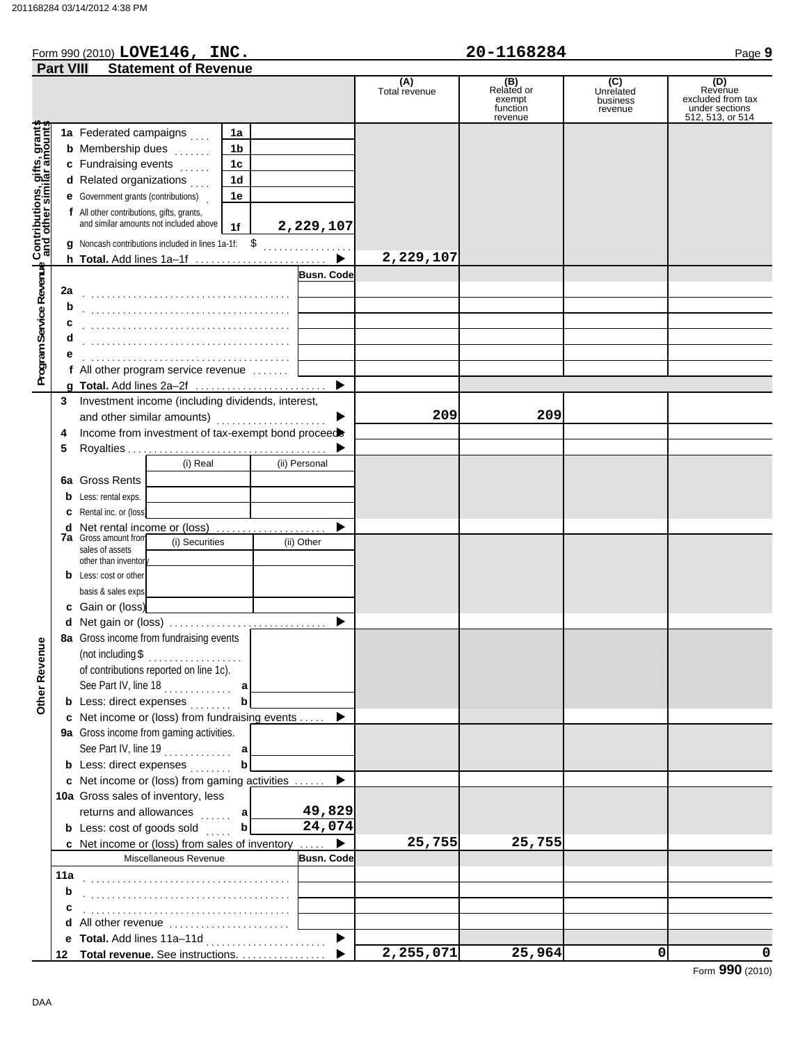## Form 990 (2010) Page **9 LOVE146, INC. 20-1168284**

|                                                                                                           | <b>Part VIII</b>                  |                                                            | <b>Statement of Revenue</b>                                                         |                |   |                   |                      |                                                    |                                         |                                                                           |
|-----------------------------------------------------------------------------------------------------------|-----------------------------------|------------------------------------------------------------|-------------------------------------------------------------------------------------|----------------|---|-------------------|----------------------|----------------------------------------------------|-----------------------------------------|---------------------------------------------------------------------------|
|                                                                                                           |                                   |                                                            |                                                                                     |                |   |                   | (A)<br>Total revenue | (B)<br>Related or<br>exempt<br>function<br>revenue | (C)<br>Unrelated<br>business<br>revenue | (D)<br>Revenue<br>excluded from tax<br>under sections<br>512, 513, or 514 |
|                                                                                                           |                                   | 1a Federated campaigns                                     |                                                                                     | 1a             |   |                   |                      |                                                    |                                         |                                                                           |
|                                                                                                           |                                   | <b>b</b> Membership dues                                   | .                                                                                   | 1b             |   |                   |                      |                                                    |                                         |                                                                           |
|                                                                                                           |                                   | c Fundraising events                                       | .                                                                                   | 1 <sub>c</sub> |   |                   |                      |                                                    |                                         |                                                                           |
|                                                                                                           |                                   | d Related organizations                                    |                                                                                     | 1d             |   |                   |                      |                                                    |                                         |                                                                           |
|                                                                                                           |                                   | <b>e</b> Government grants (contributions)                 |                                                                                     | 1e             |   |                   |                      |                                                    |                                         |                                                                           |
|                                                                                                           |                                   | f All other contributions, gifts, grants,                  |                                                                                     |                |   |                   |                      |                                                    |                                         |                                                                           |
|                                                                                                           |                                   |                                                            | and similar amounts not included above                                              | 1f             |   | 2,229,107         |                      |                                                    |                                         |                                                                           |
|                                                                                                           |                                   |                                                            | <b>q</b> Noncash contributions included in lines 1a-1f: \$                          |                |   |                   |                      |                                                    |                                         |                                                                           |
|                                                                                                           |                                   |                                                            | h Total. Add lines 1a-1f                                                            |                |   |                   | 2,229,107            |                                                    |                                         |                                                                           |
| Program Service Revenue Contributions, gifts, grants<br>Program Service Revenue and other similar amounts |                                   |                                                            |                                                                                     |                |   | <b>Busn. Code</b> |                      |                                                    |                                         |                                                                           |
|                                                                                                           | 2a                                |                                                            |                                                                                     |                |   |                   |                      |                                                    |                                         |                                                                           |
|                                                                                                           | b                                 |                                                            |                                                                                     |                |   |                   |                      |                                                    |                                         |                                                                           |
|                                                                                                           | с                                 |                                                            |                                                                                     |                |   |                   |                      |                                                    |                                         |                                                                           |
|                                                                                                           | d                                 |                                                            |                                                                                     |                |   |                   |                      |                                                    |                                         |                                                                           |
|                                                                                                           |                                   |                                                            |                                                                                     |                |   |                   |                      |                                                    |                                         |                                                                           |
|                                                                                                           |                                   |                                                            | f All other program service revenue                                                 |                |   |                   |                      |                                                    |                                         |                                                                           |
|                                                                                                           |                                   |                                                            |                                                                                     |                |   | ▶                 |                      |                                                    |                                         |                                                                           |
|                                                                                                           | 3                                 |                                                            | Investment income (including dividends, interest,                                   |                |   |                   |                      |                                                    |                                         |                                                                           |
|                                                                                                           |                                   | and other similar amounts)                                 |                                                                                     |                |   |                   | 209                  | 209                                                |                                         |                                                                           |
|                                                                                                           | 4                                 |                                                            | Income from investment of tax-exempt bond proceed                                   |                |   |                   |                      |                                                    |                                         |                                                                           |
|                                                                                                           | 5                                 |                                                            |                                                                                     |                |   |                   |                      |                                                    |                                         |                                                                           |
|                                                                                                           |                                   |                                                            | (i) Real                                                                            |                |   | (ii) Personal     |                      |                                                    |                                         |                                                                           |
|                                                                                                           |                                   | 6a Gross Rents                                             |                                                                                     |                |   |                   |                      |                                                    |                                         |                                                                           |
|                                                                                                           |                                   | <b>b</b> Less: rental exps.                                |                                                                                     |                |   |                   |                      |                                                    |                                         |                                                                           |
|                                                                                                           | c                                 | Rental inc. or (loss)                                      |                                                                                     |                |   |                   |                      |                                                    |                                         |                                                                           |
|                                                                                                           | d                                 | Net rental income or (loss)<br><b>7a</b> Gross amount from |                                                                                     |                | . |                   |                      |                                                    |                                         |                                                                           |
|                                                                                                           | (i) Securities<br>sales of assets |                                                            |                                                                                     |                |   | (ii) Other        |                      |                                                    |                                         |                                                                           |
|                                                                                                           |                                   | other than inventor                                        |                                                                                     |                |   |                   |                      |                                                    |                                         |                                                                           |
|                                                                                                           |                                   | <b>b</b> Less: cost or other                               |                                                                                     |                |   |                   |                      |                                                    |                                         |                                                                           |
|                                                                                                           |                                   | basis & sales exps                                         |                                                                                     |                |   |                   |                      |                                                    |                                         |                                                                           |
|                                                                                                           |                                   | c Gain or (loss)                                           |                                                                                     |                |   |                   |                      |                                                    |                                         |                                                                           |
|                                                                                                           |                                   |                                                            | d Net gain or (loss)                                                                |                |   |                   |                      |                                                    |                                         |                                                                           |
| gur                                                                                                       |                                   |                                                            | 8a Gross income from fundraising events                                             |                |   |                   |                      |                                                    |                                         |                                                                           |
|                                                                                                           |                                   |                                                            | $($ not including \$ $\ldots$                                                       |                |   |                   |                      |                                                    |                                         |                                                                           |
|                                                                                                           |                                   |                                                            | of contributions reported on line 1c).                                              |                |   |                   |                      |                                                    |                                         |                                                                           |
| Other Rever                                                                                               |                                   |                                                            | See Part IV, line 18                                                                | а              |   |                   |                      |                                                    |                                         |                                                                           |
|                                                                                                           |                                   |                                                            | <b>b</b> Less: direct expenses                                                      | b              |   |                   |                      |                                                    |                                         |                                                                           |
|                                                                                                           |                                   |                                                            | c Net income or (loss) from fundraising events                                      |                |   |                   |                      |                                                    |                                         |                                                                           |
|                                                                                                           |                                   |                                                            | 9a Gross income from gaming activities.                                             |                |   |                   |                      |                                                    |                                         |                                                                           |
|                                                                                                           |                                   |                                                            |                                                                                     |                |   |                   |                      |                                                    |                                         |                                                                           |
|                                                                                                           |                                   |                                                            | <b>b</b> Less: direct expenses                                                      |                |   |                   |                      |                                                    |                                         |                                                                           |
|                                                                                                           |                                   |                                                            | c Net income or (loss) from gaming activities<br>10a Gross sales of inventory, less |                |   |                   |                      |                                                    |                                         |                                                                           |
|                                                                                                           |                                   | returns and allowances                                     |                                                                                     |                |   | 49,829            |                      |                                                    |                                         |                                                                           |
|                                                                                                           |                                   | <b>b</b> Less: cost of goods sold                          |                                                                                     | а<br>.<br>b    |   | 24,074            |                      |                                                    |                                         |                                                                           |
|                                                                                                           |                                   |                                                            | c Net income or (loss) from sales of inventory                                      |                |   | ▶                 | 25,755               | 25,755                                             |                                         |                                                                           |
|                                                                                                           |                                   |                                                            | Miscellaneous Revenue                                                               |                |   | <b>Busn. Code</b> |                      |                                                    |                                         |                                                                           |
|                                                                                                           | 11a                               |                                                            |                                                                                     |                |   |                   |                      |                                                    |                                         |                                                                           |
|                                                                                                           | b                                 |                                                            |                                                                                     |                |   |                   |                      |                                                    |                                         |                                                                           |
|                                                                                                           | c                                 |                                                            |                                                                                     |                |   |                   |                      |                                                    |                                         |                                                                           |
|                                                                                                           | d                                 |                                                            | All other revenue                                                                   |                |   |                   |                      |                                                    |                                         |                                                                           |
|                                                                                                           |                                   |                                                            | e Total. Add lines 11a-11d                                                          |                |   |                   |                      |                                                    |                                         |                                                                           |
|                                                                                                           |                                   |                                                            | 12 Total revenue. See instructions.                                                 |                |   |                   | 2,255,071            | 25,964                                             | 0                                       | 0                                                                         |

Form **990** (2010)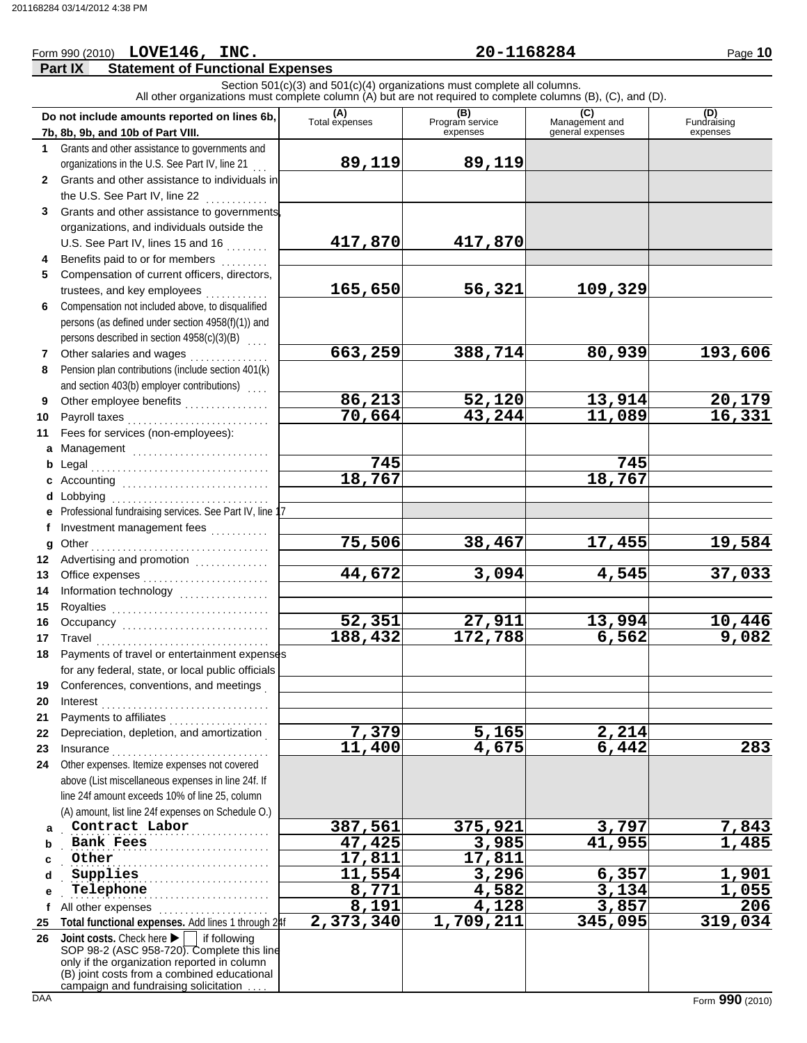# Form 990 (2010) Page **10 LOVE146, INC. 20-1168284**

## **Part IX Statement of Functional Expenses**

Section 501(c)(3) and 501(c)(4) organizations must complete all columns. All other organizations must complete column (A) but are not required to complete columns (B), (C), and (D).

|            | Do not include amounts reported on lines 6b,<br>7b, 8b, 9b, and 10b of Part VIII.                  | (A)<br>Total expenses  | (B)<br>Program service<br>expenses | $\sqrt{2}$<br>(C)<br>Management and<br>general expenses | (D)<br>Fundraising<br>expenses |
|------------|----------------------------------------------------------------------------------------------------|------------------------|------------------------------------|---------------------------------------------------------|--------------------------------|
|            | 1 Grants and other assistance to governments and                                                   |                        |                                    |                                                         |                                |
|            | organizations in the U.S. See Part IV, line 21                                                     | 89,119                 | 89,119                             |                                                         |                                |
|            | 2 Grants and other assistance to individuals in                                                    |                        |                                    |                                                         |                                |
|            | the U.S. See Part IV, line 22                                                                      |                        |                                    |                                                         |                                |
| 3          | .<br>Grants and other assistance to governments,                                                   |                        |                                    |                                                         |                                |
|            | organizations, and individuals outside the                                                         |                        |                                    |                                                         |                                |
|            | U.S. See Part IV, lines 15 and 16                                                                  | 417,870                | 417,870                            |                                                         |                                |
| 4          | Benefits paid to or for members                                                                    |                        |                                    |                                                         |                                |
| 5          | Compensation of current officers, directors,                                                       |                        |                                    |                                                         |                                |
|            |                                                                                                    | 165,650                | 56,321                             | 109,329                                                 |                                |
| 6          | Compensation not included above, to disqualified                                                   |                        |                                    |                                                         |                                |
|            | persons (as defined under section 4958(f)(1)) and                                                  |                        |                                    |                                                         |                                |
|            | persons described in section 4958(c)(3)(B)<br>$\sim 10^{-1}$                                       |                        |                                    |                                                         |                                |
| 7          | Other salaries and wages                                                                           | 663,259                | 388,714                            | 80,939                                                  | 193,606                        |
| 8          | Pension plan contributions (include section 401(k)                                                 |                        |                                    |                                                         |                                |
|            | and section 403(b) employer contributions)                                                         |                        |                                    |                                                         |                                |
| 9          | Other employee benefits                                                                            | 86,213                 | 52,120                             | 13,914                                                  |                                |
| 10         | Payroll taxes                                                                                      | 70,664                 | 43,244                             | 11,089                                                  | $\frac{20,179}{16,331}$        |
| 11         | Fees for services (non-employees):                                                                 |                        |                                    |                                                         |                                |
|            | a Management                                                                                       |                        |                                    |                                                         |                                |
|            |                                                                                                    | 745                    |                                    | 745                                                     |                                |
|            |                                                                                                    | 18,767                 |                                    | 18,767                                                  |                                |
|            | <b>d</b> Lobbying                                                                                  |                        |                                    |                                                         |                                |
|            | e Professional fundraising services. See Part IV, line 17                                          |                        |                                    |                                                         |                                |
| f          | Investment management fees<br>                                                                     |                        |                                    |                                                         |                                |
| g          |                                                                                                    | 75,506                 | 38,467                             | 17,455                                                  | 19,584                         |
| 12         | Advertising and promotion<br>                                                                      |                        |                                    |                                                         |                                |
| 13         | Office expenses                                                                                    | 44,672                 | 3,094                              | 4,545                                                   | 37,033                         |
| 14         | Information technology<br>                                                                         |                        |                                    |                                                         |                                |
| 15         | Royalties                                                                                          |                        |                                    |                                                         |                                |
| 16         | Occupancy                                                                                          | 52,351                 | 27,911                             | 13,994                                                  | $\frac{10,446}{9,082}$         |
| 17         | Travel                                                                                             | 188,432                | $\overline{172,788}$               | 6,562                                                   |                                |
| 18         | Payments of travel or entertainment expenses                                                       |                        |                                    |                                                         |                                |
|            | for any federal, state, or local public officials                                                  |                        |                                    |                                                         |                                |
|            | 19 Conferences, conventions, and meetings                                                          |                        |                                    |                                                         |                                |
| 20         | Interest                                                                                           |                        |                                    |                                                         |                                |
| 21         | Payments to affiliates                                                                             |                        | 5,165                              |                                                         |                                |
| 22         | Depreciation, depletion, and amortization                                                          | $\frac{7,379}{11,400}$ | 4,675                              | <u>2,214</u><br>6,442                                   | 283                            |
| 23<br>24   | Insurance<br>.                                                                                     |                        |                                    |                                                         |                                |
|            | Other expenses. Itemize expenses not covered<br>above (List miscellaneous expenses in line 24f. If |                        |                                    |                                                         |                                |
|            | line 24f amount exceeds 10% of line 25, column                                                     |                        |                                    |                                                         |                                |
|            | (A) amount, list line 24f expenses on Schedule O.)                                                 |                        |                                    |                                                         |                                |
| a          | Contract Labor                                                                                     | 387,561                | 375,921                            | 3,797                                                   | 7,843                          |
| b          | <b>Bank Fees</b>                                                                                   | 47,425                 | 3,985                              | 41,955                                                  | 1,485                          |
|            | Other                                                                                              | 17,811                 | 17,811                             |                                                         |                                |
| d          | Supplies                                                                                           | 11,554                 | 3,296                              | 6,357                                                   | 1,901                          |
| e          | Telephone                                                                                          | 8,771                  | 4,582                              | 3,134                                                   | 1,055                          |
| f          | All other expenses                                                                                 | 8,191                  | 4,128                              | 3,857                                                   | 206                            |
| 25         | Total functional expenses. Add lines 1 through 24f                                                 | 2,373,340              | 1,709,211                          | 345,095                                                 | 319,034                        |
| 26         | Joint costs. Check here<br>if following                                                            |                        |                                    |                                                         |                                |
|            | SOP 98-2 (ASC 958-720). Complete this line                                                         |                        |                                    |                                                         |                                |
|            | only if the organization reported in column<br>(B) joint costs from a combined educational         |                        |                                    |                                                         |                                |
|            | campaign and fundraising solicitation                                                              |                        |                                    |                                                         |                                |
| <b>DAA</b> |                                                                                                    |                        |                                    |                                                         | Form 990 (2010)                |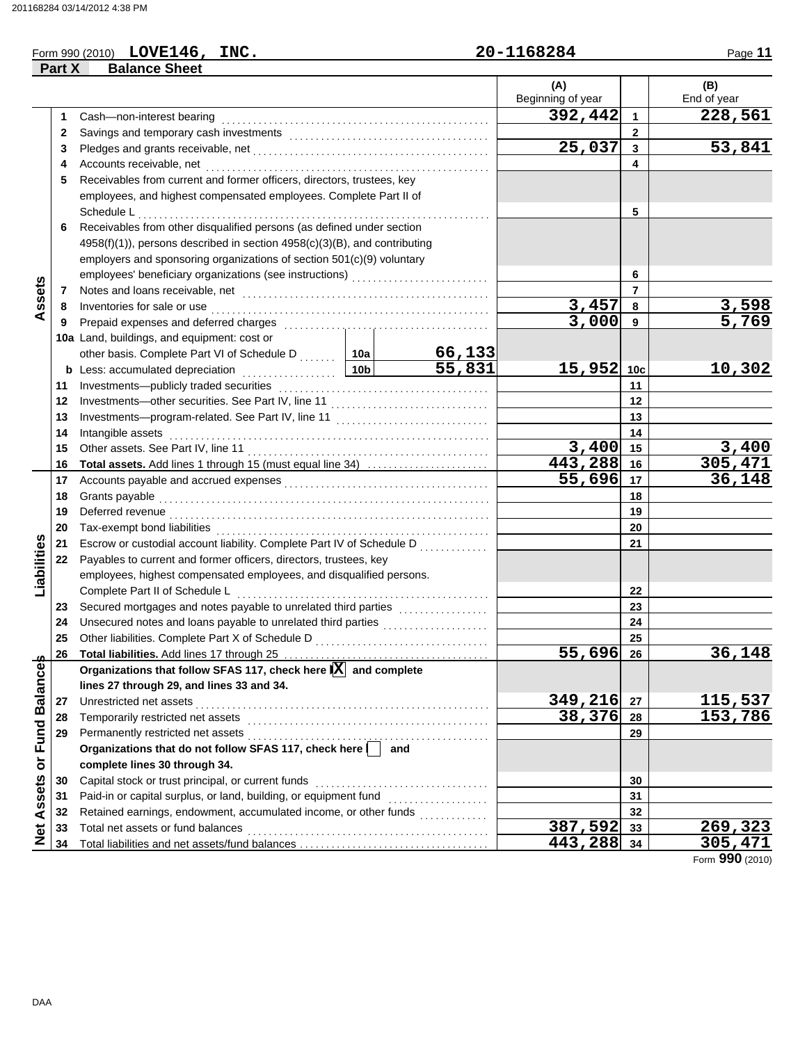## Form 990 (2010) Page **11 LOVE146, INC. 20-1168284**

|                   | Part X       | <b>Balance Sheet</b>                                                                                                                                      |  |         |                       |                |                    |
|-------------------|--------------|-----------------------------------------------------------------------------------------------------------------------------------------------------------|--|---------|-----------------------|----------------|--------------------|
|                   |              |                                                                                                                                                           |  |         | (A)                   |                | (B)                |
|                   |              |                                                                                                                                                           |  |         | Beginning of year     |                | End of year        |
|                   | 1            | Cash-non-interest bearing                                                                                                                                 |  |         | 392,442               | 1              | 228,561            |
|                   | $\mathbf{2}$ |                                                                                                                                                           |  |         |                       | $\mathbf{2}$   |                    |
|                   | 3            |                                                                                                                                                           |  |         | $\overline{25}$ , 037 | 3              | 53,841             |
|                   | 4            |                                                                                                                                                           |  |         |                       | 4              |                    |
|                   | 5            | Receivables from current and former officers, directors, trustees, key                                                                                    |  |         |                       |                |                    |
|                   |              | employees, and highest compensated employees. Complete Part II of                                                                                         |  |         |                       |                |                    |
|                   |              | Schedule L                                                                                                                                                |  |         |                       | 5              |                    |
|                   | 6            | Receivables from other disqualified persons (as defined under section                                                                                     |  |         |                       |                |                    |
|                   |              | 4958(f)(1)), persons described in section 4958(c)(3)(B), and contributing                                                                                 |  |         |                       |                |                    |
|                   |              | employers and sponsoring organizations of section 501(c)(9) voluntary                                                                                     |  |         |                       |                |                    |
|                   |              |                                                                                                                                                           |  |         |                       | 6              |                    |
| Assets            | 7            |                                                                                                                                                           |  |         |                       | $\overline{7}$ |                    |
|                   | 8            |                                                                                                                                                           |  |         | 3,457                 | 8              | 3,598              |
|                   | 9            |                                                                                                                                                           |  |         | 3,000                 | 9              | $\overline{5,769}$ |
|                   |              | 10a Land, buildings, and equipment: cost or                                                                                                               |  |         |                       |                |                    |
|                   |              |                                                                                                                                                           |  |         |                       |                |                    |
|                   |              | other basis. Complete Part VI of Schedule D<br>Less: accumulated depreciation 10b 55, 831<br><b>b</b> Less: accumulated depreciation <b>contained 10b</b> |  |         | 15,952 10c            |                | 10,302             |
|                   | 11           |                                                                                                                                                           |  |         |                       | 11             |                    |
|                   | 12           | Investments-other securities. See Part IV, line 11                                                                                                        |  |         |                       | 12             |                    |
|                   | 13           | Investments---program-related. See Part IV, line 11                                                                                                       |  | 13      |                       |                |                    |
|                   | 14           | Intangible assets                                                                                                                                         |  |         |                       | 14             |                    |
|                   | 15           |                                                                                                                                                           |  |         | $3,400$ 15            |                | 3,400              |
|                   | 16           | Total assets. Add lines 1 through 15 (must equal line 34)                                                                                                 |  |         | 443,288 16            |                | <u>305,471</u>     |
|                   | 17           |                                                                                                                                                           |  |         | 55,696                | 17             | 36,148             |
|                   | 18           |                                                                                                                                                           |  |         | 18                    |                |                    |
|                   | 19           |                                                                                                                                                           |  |         | 19                    |                |                    |
|                   | 20           |                                                                                                                                                           |  |         |                       | 20             |                    |
| Liabilities       | 21           | Escrow or custodial account liability. Complete Part IV of Schedule D                                                                                     |  |         |                       | 21             |                    |
|                   | 22           | Payables to current and former officers, directors, trustees, key                                                                                         |  |         |                       |                |                    |
|                   |              | employees, highest compensated employees, and disqualified persons.                                                                                       |  |         |                       |                |                    |
|                   |              |                                                                                                                                                           |  |         |                       | 22             |                    |
|                   | 23           |                                                                                                                                                           |  |         |                       | 23             |                    |
|                   | 24           | Unsecured notes and loans payable to unrelated third parties                                                                                              |  |         |                       | 24             |                    |
|                   | 25           |                                                                                                                                                           |  |         |                       | 25             |                    |
|                   | 26           |                                                                                                                                                           |  |         | <u>55,696  26</u>     |                | <u>36,148</u>      |
| or Fund Balances  |              | Organizations that follow SFAS 117, check here $ \overline{X} $ and complete                                                                              |  |         |                       |                |                    |
|                   |              | lines 27 through 29, and lines 33 and 34.                                                                                                                 |  |         |                       |                |                    |
|                   | 27           | Unrestricted net assets                                                                                                                                   |  |         | 349,216               | 27             | <u>115,537</u>     |
|                   | 28           |                                                                                                                                                           |  |         | 38,376                | 28             | 153,786            |
|                   | 29           | Permanently restricted net assets<br>Permanently restricted net assets<br>Organizations that do not follow SFAS 117, check here     and                   |  |         |                       | 29             |                    |
|                   |              |                                                                                                                                                           |  |         |                       |                |                    |
|                   |              | complete lines 30 through 34.                                                                                                                             |  |         |                       |                |                    |
|                   | 30           | Capital stock or trust principal, or current funds                                                                                                        |  |         |                       | 30             |                    |
|                   | 31           | Paid-in or capital surplus, or land, building, or equipment fund [[[[[[[[[[[[[[[[[[[[[[[[[[[[[[[[[[[                                                      |  |         |                       | 31             |                    |
|                   | 32           |                                                                                                                                                           |  |         |                       | 32             |                    |
| <b>Net Assets</b> | 33           | Total net assets or fund balances                                                                                                                         |  | 387,592 | 33                    | 269,323        |                    |
|                   | 34           |                                                                                                                                                           |  |         | 443,288 34            |                | 305,471            |

Form **990** (2010)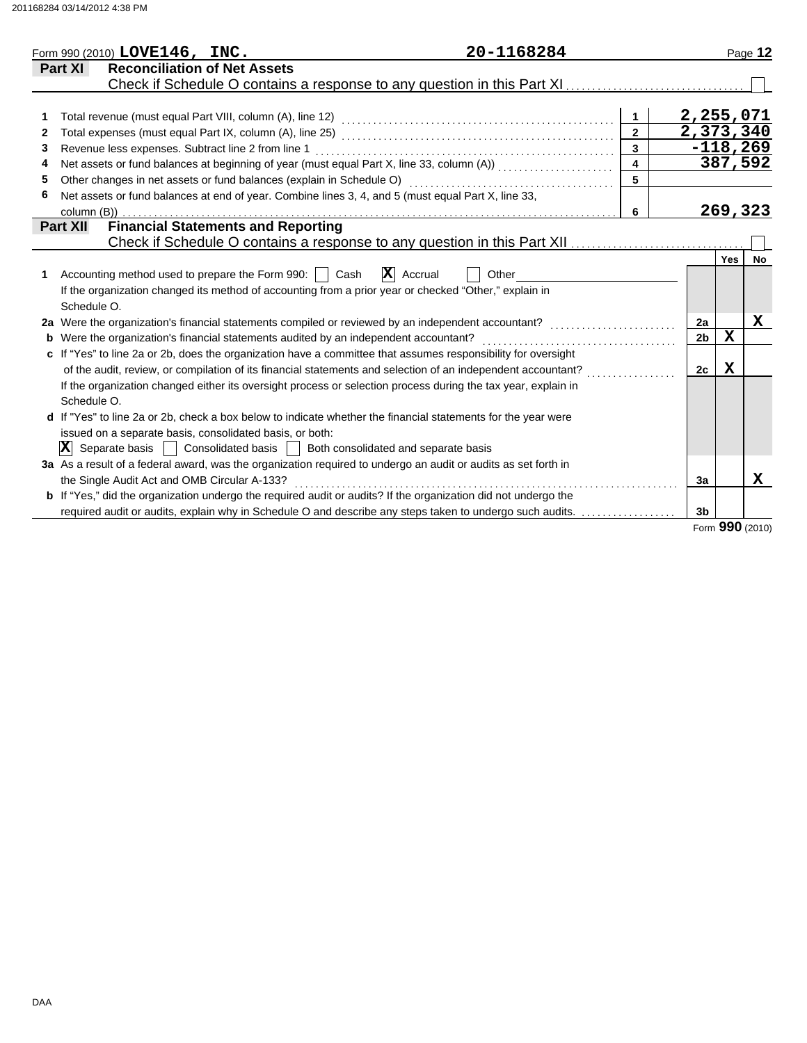| Form 990 (2010) $LOVE146$ , $INC.$                                                                                    | 20-1168284                    |                         |                |                   | Page 12    |
|-----------------------------------------------------------------------------------------------------------------------|-------------------------------|-------------------------|----------------|-------------------|------------|
| <b>Reconciliation of Net Assets</b><br>Part XI                                                                        |                               |                         |                |                   |            |
| Check if Schedule O contains a response to any question in this Part XI                                               |                               |                         |                |                   |            |
|                                                                                                                       |                               |                         |                |                   |            |
|                                                                                                                       |                               | $\mathbf{1}$            | 2,255,071      |                   |            |
| 2                                                                                                                     |                               |                         | 2,373,340      |                   |            |
| Revenue less expenses. Subtract line 2 from line 1<br>3                                                               |                               |                         |                |                   | $-118,269$ |
| Net assets or fund balances at beginning of year (must equal Part X, line 33, column (A)) [[[[[[[[[[[[[[[[[[[<br>4    |                               | $\overline{\mathbf{4}}$ |                |                   | 387,592    |
| Other changes in net assets or fund balances (explain in Schedule O)<br>5                                             |                               |                         |                |                   |            |
| Net assets or fund balances at end of year. Combine lines 3, 4, and 5 (must equal Part X, line 33,<br>6               |                               |                         |                |                   |            |
| column (B))                                                                                                           |                               | 6                       |                |                   | 269,323    |
| <b>Financial Statements and Reporting</b><br><b>Part XII</b>                                                          |                               |                         |                |                   |            |
|                                                                                                                       |                               |                         |                |                   |            |
|                                                                                                                       |                               |                         |                | <b>Yes</b>        | No         |
| Accounting method used to prepare the Form 990:     Cash                                                              | $\mathbf{X}$ Accrual<br>Other |                         |                |                   |            |
| If the organization changed its method of accounting from a prior year or checked "Other," explain in                 |                               |                         |                |                   |            |
| Schedule O.                                                                                                           |                               |                         |                |                   |            |
| 2a Were the organization's financial statements compiled or reviewed by an independent accountant?                    |                               |                         | 2a             |                   | х          |
| <b>b</b> Were the organization's financial statements audited by an independent accountant?                           |                               |                         | 2 <sub>b</sub> | $\mathbf X$       |            |
| c If "Yes" to line 2a or 2b, does the organization have a committee that assumes responsibility for oversight         |                               |                         |                |                   |            |
| of the audit, review, or compilation of its financial statements and selection of an independent accountant?          |                               |                         | 2c             | x                 |            |
| If the organization changed either its oversight process or selection process during the tax year, explain in         |                               |                         |                |                   |            |
| Schedule O.                                                                                                           |                               |                         |                |                   |            |
| d If "Yes" to line 2a or 2b, check a box below to indicate whether the financial statements for the year were         |                               |                         |                |                   |            |
| issued on a separate basis, consolidated basis, or both:                                                              |                               |                         |                |                   |            |
| $ \mathbf{X} $<br>Separate basis<br>Consolidated basis     Both consolidated and separate basis                       |                               |                         |                |                   |            |
| 3a As a result of a federal award, was the organization required to undergo an audit or audits as set forth in        |                               |                         |                |                   |            |
| the Single Audit Act and OMB Circular A-133?                                                                          |                               |                         | 3a             |                   | x          |
| <b>b</b> If "Yes," did the organization undergo the required audit or audits? If the organization did not undergo the |                               |                         |                |                   |            |
| required audit or audits, explain why in Schedule O and describe any steps taken to undergo such audits.              |                               |                         | 3 <sub>b</sub> |                   |            |
|                                                                                                                       |                               |                         |                | $000 \text{ mas}$ |            |

Form **990** (2010)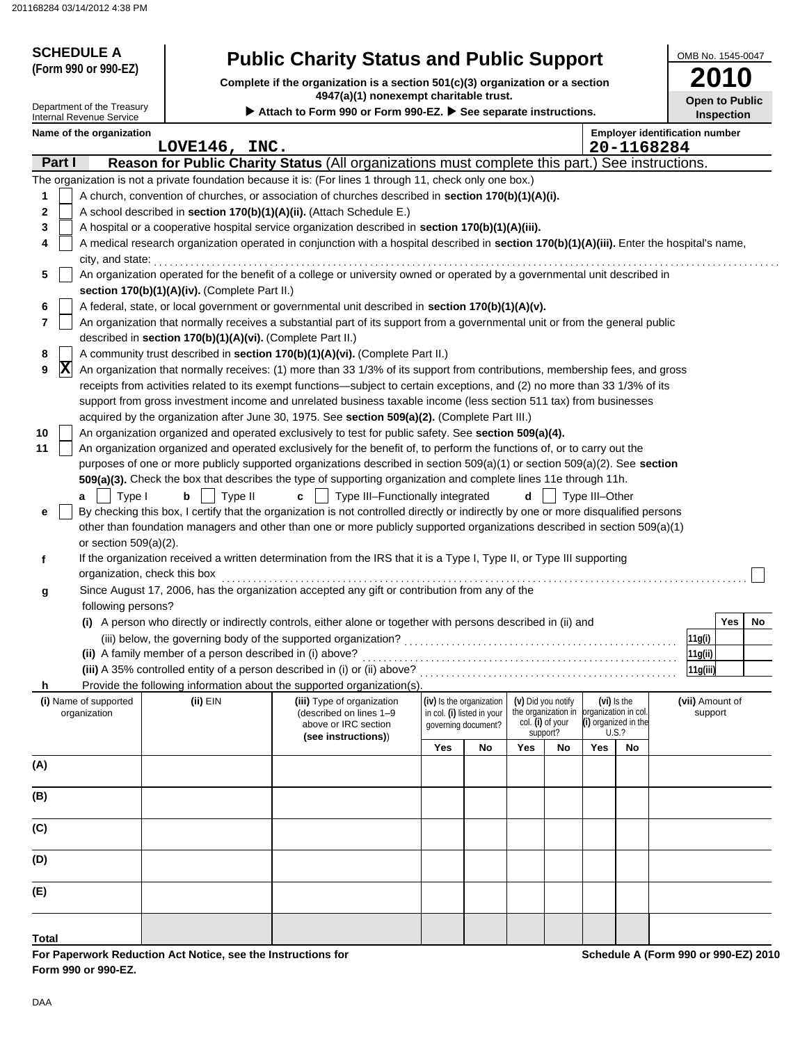| <b>SCHEDULE A</b>                                                  |                                                                                                                                                                            |                                                                                                                                                                                                                                                                                 |     |                            |                    |                     |                      |                               | OMB No. 1545-0047                                          |  |  |
|--------------------------------------------------------------------|----------------------------------------------------------------------------------------------------------------------------------------------------------------------------|---------------------------------------------------------------------------------------------------------------------------------------------------------------------------------------------------------------------------------------------------------------------------------|-----|----------------------------|--------------------|---------------------|----------------------|-------------------------------|------------------------------------------------------------|--|--|
| (Form 990 or 990-EZ)                                               |                                                                                                                                                                            | <b>Public Charity Status and Public Support</b><br>Complete if the organization is a section 501(c)(3) organization or a section                                                                                                                                                |     |                            |                    |                     |                      |                               | <b>2010</b>                                                |  |  |
| Department of the Treasury                                         |                                                                                                                                                                            | 4947(a)(1) nonexempt charitable trust.<br>Attach to Form 990 or Form 990-EZ. > See separate instructions.                                                                                                                                                                       |     |                            |                    |                     |                      |                               | <b>Open to Public</b>                                      |  |  |
| Internal Revenue Service<br>Name of the organization<br>20-1168284 |                                                                                                                                                                            |                                                                                                                                                                                                                                                                                 |     |                            |                    |                     |                      |                               | <b>Inspection</b><br><b>Employer identification number</b> |  |  |
| Part I                                                             | LOVE146, INC.                                                                                                                                                              | Reason for Public Charity Status (All organizations must complete this part.) See instructions.                                                                                                                                                                                 |     |                            |                    |                     |                      |                               |                                                            |  |  |
|                                                                    |                                                                                                                                                                            | The organization is not a private foundation because it is: (For lines 1 through 11, check only one box.)                                                                                                                                                                       |     |                            |                    |                     |                      |                               |                                                            |  |  |
| 1<br>2<br>3<br>4                                                   |                                                                                                                                                                            | A church, convention of churches, or association of churches described in section 170(b)(1)(A)(i).<br>A school described in section 170(b)(1)(A)(ii). (Attach Schedule E.)<br>A hospital or a cooperative hospital service organization described in section 170(b)(1)(A)(iii). |     |                            |                    |                     |                      |                               |                                                            |  |  |
| city, and state:                                                   | A medical research organization operated in conjunction with a hospital described in section 170(b)(1)(A)(iii). Enter the hospital's name,                                 |                                                                                                                                                                                                                                                                                 |     |                            |                    |                     |                      |                               |                                                            |  |  |
| 5                                                                  | An organization operated for the benefit of a college or university owned or operated by a governmental unit described in<br>section 170(b)(1)(A)(iv). (Complete Part II.) |                                                                                                                                                                                                                                                                                 |     |                            |                    |                     |                      |                               |                                                            |  |  |
| 6                                                                  |                                                                                                                                                                            | A federal, state, or local government or governmental unit described in section 170(b)(1)(A)(v).                                                                                                                                                                                |     |                            |                    |                     |                      |                               |                                                            |  |  |
| 7                                                                  | described in section 170(b)(1)(A)(vi). (Complete Part II.)                                                                                                                 | An organization that normally receives a substantial part of its support from a governmental unit or from the general public                                                                                                                                                    |     |                            |                    |                     |                      |                               |                                                            |  |  |
| 8                                                                  |                                                                                                                                                                            | A community trust described in section 170(b)(1)(A)(vi). (Complete Part II.)                                                                                                                                                                                                    |     |                            |                    |                     |                      |                               |                                                            |  |  |
| $ {\bf X} $<br>9                                                   |                                                                                                                                                                            | An organization that normally receives: (1) more than 33 1/3% of its support from contributions, membership fees, and gross                                                                                                                                                     |     |                            |                    |                     |                      |                               |                                                            |  |  |
|                                                                    |                                                                                                                                                                            | receipts from activities related to its exempt functions—subject to certain exceptions, and (2) no more than 33 1/3% of its                                                                                                                                                     |     |                            |                    |                     |                      |                               |                                                            |  |  |
|                                                                    |                                                                                                                                                                            | support from gross investment income and unrelated business taxable income (less section 511 tax) from businesses                                                                                                                                                               |     |                            |                    |                     |                      |                               |                                                            |  |  |
| 10                                                                 |                                                                                                                                                                            | acquired by the organization after June 30, 1975. See section 509(a)(2). (Complete Part III.)<br>An organization organized and operated exclusively to test for public safety. See section 509(a)(4).                                                                           |     |                            |                    |                     |                      |                               |                                                            |  |  |
| 11                                                                 |                                                                                                                                                                            | An organization organized and operated exclusively for the benefit of, to perform the functions of, or to carry out the                                                                                                                                                         |     |                            |                    |                     |                      |                               |                                                            |  |  |
|                                                                    |                                                                                                                                                                            | purposes of one or more publicly supported organizations described in section 509(a)(1) or section 509(a)(2). See section                                                                                                                                                       |     |                            |                    |                     |                      |                               |                                                            |  |  |
|                                                                    |                                                                                                                                                                            | 509(a)(3). Check the box that describes the type of supporting organization and complete lines 11e through 11h.                                                                                                                                                                 |     |                            |                    |                     |                      |                               |                                                            |  |  |
| Type I<br>a                                                        | Type II<br>b                                                                                                                                                               | Type III-Functionally integrated<br>c                                                                                                                                                                                                                                           |     |                            | d                  |                     | Type III-Other       |                               |                                                            |  |  |
| е                                                                  |                                                                                                                                                                            | By checking this box, I certify that the organization is not controlled directly or indirectly by one or more disqualified persons                                                                                                                                              |     |                            |                    |                     |                      |                               |                                                            |  |  |
|                                                                    |                                                                                                                                                                            | other than foundation managers and other than one or more publicly supported organizations described in section 509(a)(1)                                                                                                                                                       |     |                            |                    |                     |                      |                               |                                                            |  |  |
| or section $509(a)(2)$ .<br>f                                      |                                                                                                                                                                            | If the organization received a written determination from the IRS that it is a Type I, Type II, or Type III supporting                                                                                                                                                          |     |                            |                    |                     |                      |                               |                                                            |  |  |
|                                                                    | organization, check this box                                                                                                                                               | Since August 17, 2006, has the organization accepted any gift or contribution from any of the                                                                                                                                                                                   |     |                            |                    |                     |                      |                               |                                                            |  |  |
| g<br>following persons?                                            |                                                                                                                                                                            |                                                                                                                                                                                                                                                                                 |     |                            |                    |                     |                      |                               |                                                            |  |  |
|                                                                    |                                                                                                                                                                            | (i) A person who directly or indirectly controls, either alone or together with persons described in (ii) and                                                                                                                                                                   |     |                            |                    |                     |                      |                               | Yes No                                                     |  |  |
|                                                                    |                                                                                                                                                                            |                                                                                                                                                                                                                                                                                 |     |                            |                    |                     |                      |                               | 11g(i)                                                     |  |  |
|                                                                    | (ii) A family member of a person described in (i) above?                                                                                                                   |                                                                                                                                                                                                                                                                                 |     |                            |                    |                     |                      |                               | 11g(ii)                                                    |  |  |
|                                                                    |                                                                                                                                                                            | (iii) A 35% controlled entity of a person described in (i) or (ii) above?                                                                                                                                                                                                       |     |                            |                    |                     |                      |                               | 11g(iii)                                                   |  |  |
| h<br>(i) Name of supported                                         | (ii) EIN                                                                                                                                                                   | Provide the following information about the supported organization(s).<br>(iii) Type of organization                                                                                                                                                                            |     | (iv) Is the organization   | (v) Did you notify |                     |                      | (vi) Is the                   | (vii) Amount of                                            |  |  |
| organization                                                       |                                                                                                                                                                            | (described on lines 1-9                                                                                                                                                                                                                                                         |     | in col. (i) listed in your |                    | the organization in | organization in col. |                               | support                                                    |  |  |
|                                                                    |                                                                                                                                                                            | above or IRC section<br>(see instructions))                                                                                                                                                                                                                                     |     | governing document?        | col. (i) of your   | support?            |                      | (i) organized in the<br>U.S.? |                                                            |  |  |
|                                                                    |                                                                                                                                                                            |                                                                                                                                                                                                                                                                                 | Yes | No                         | Yes                | No                  | Yes                  | No                            |                                                            |  |  |
| (A)                                                                |                                                                                                                                                                            |                                                                                                                                                                                                                                                                                 |     |                            |                    |                     |                      |                               |                                                            |  |  |
| (B)                                                                |                                                                                                                                                                            |                                                                                                                                                                                                                                                                                 |     |                            |                    |                     |                      |                               |                                                            |  |  |
| (C)                                                                |                                                                                                                                                                            |                                                                                                                                                                                                                                                                                 |     |                            |                    |                     |                      |                               |                                                            |  |  |
| (D)                                                                |                                                                                                                                                                            |                                                                                                                                                                                                                                                                                 |     |                            |                    |                     |                      |                               |                                                            |  |  |
| (E)                                                                |                                                                                                                                                                            |                                                                                                                                                                                                                                                                                 |     |                            |                    |                     |                      |                               |                                                            |  |  |
|                                                                    |                                                                                                                                                                            |                                                                                                                                                                                                                                                                                 |     |                            |                    |                     |                      |                               |                                                            |  |  |
| Total                                                              |                                                                                                                                                                            |                                                                                                                                                                                                                                                                                 |     |                            |                    |                     |                      |                               |                                                            |  |  |

**For Paperwork Reduction Act Notice, see the Instructions for Form 990 or 990-EZ.**

**Schedule A (Form 990 or 990-EZ) 2010**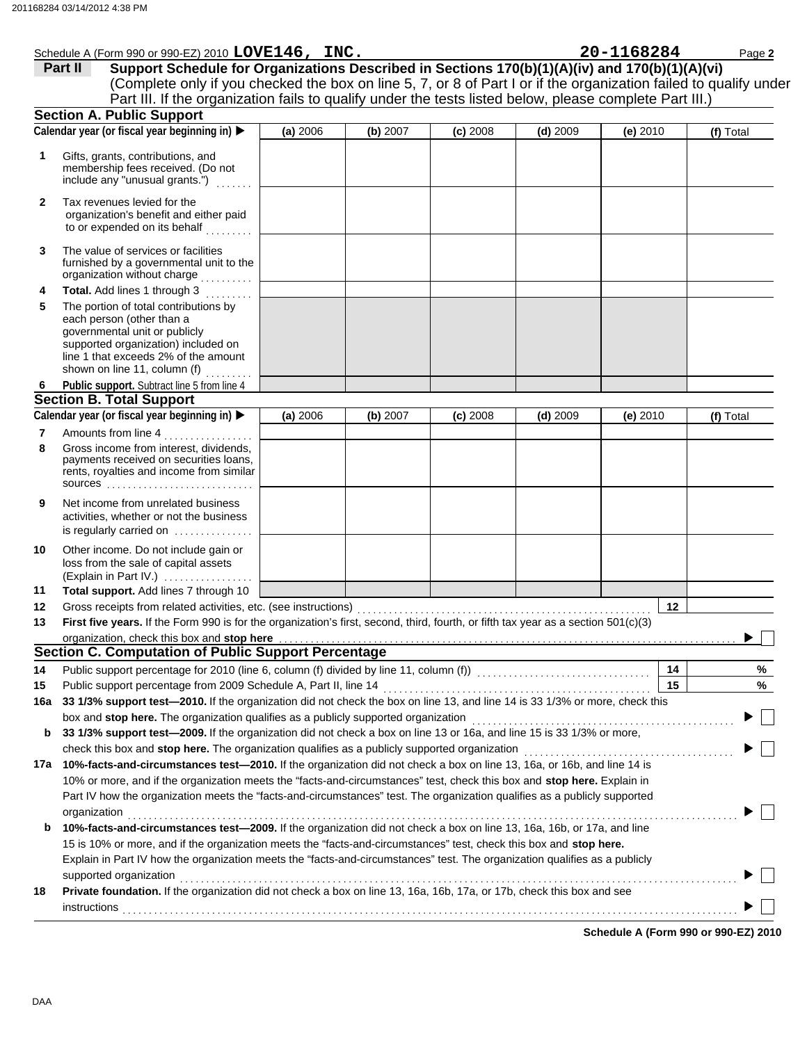|              | Schedule A (Form 990 or 990-EZ) 2010 LOVE146, INC.                                                                                                                                                                                               |          |          |            |            | 20-1168284 | Page 2    |
|--------------|--------------------------------------------------------------------------------------------------------------------------------------------------------------------------------------------------------------------------------------------------|----------|----------|------------|------------|------------|-----------|
|              | Support Schedule for Organizations Described in Sections 170(b)(1)(A)(iv) and 170(b)(1)(A)(vi)<br>Part II                                                                                                                                        |          |          |            |            |            |           |
|              | (Complete only if you checked the box on line 5, 7, or 8 of Part I or if the organization failed to qualify under                                                                                                                                |          |          |            |            |            |           |
|              | Part III. If the organization fails to qualify under the tests listed below, please complete Part III.)                                                                                                                                          |          |          |            |            |            |           |
|              | <b>Section A. Public Support</b>                                                                                                                                                                                                                 |          |          |            |            |            |           |
|              | Calendar year (or fiscal year beginning in)                                                                                                                                                                                                      | (a) 2006 | (b) 2007 | $(c)$ 2008 | $(d)$ 2009 | (e) 2010   | (f) Total |
|              |                                                                                                                                                                                                                                                  |          |          |            |            |            |           |
| 1            | Gifts, grants, contributions, and<br>membership fees received. (Do not                                                                                                                                                                           |          |          |            |            |            |           |
|              | include any "unusual grants.")                                                                                                                                                                                                                   |          |          |            |            |            |           |
|              |                                                                                                                                                                                                                                                  |          |          |            |            |            |           |
| $\mathbf{2}$ | Tax revenues levied for the<br>organization's benefit and either paid                                                                                                                                                                            |          |          |            |            |            |           |
|              | to or expended on its behalf                                                                                                                                                                                                                     |          |          |            |            |            |           |
|              |                                                                                                                                                                                                                                                  |          |          |            |            |            |           |
| 3            | The value of services or facilities                                                                                                                                                                                                              |          |          |            |            |            |           |
|              | furnished by a governmental unit to the<br>organization without charge                                                                                                                                                                           |          |          |            |            |            |           |
| 4            | Total. Add lines 1 through 3<br>.                                                                                                                                                                                                                |          |          |            |            |            |           |
| 5            | The portion of total contributions by                                                                                                                                                                                                            |          |          |            |            |            |           |
|              | each person (other than a                                                                                                                                                                                                                        |          |          |            |            |            |           |
|              | governmental unit or publicly                                                                                                                                                                                                                    |          |          |            |            |            |           |
|              | supported organization) included on                                                                                                                                                                                                              |          |          |            |            |            |           |
|              | line 1 that exceeds 2% of the amount<br>shown on line 11, column (f)                                                                                                                                                                             |          |          |            |            |            |           |
| 6            | Public support. Subtract line 5 from line 4                                                                                                                                                                                                      |          |          |            |            |            |           |
|              | <b>Section B. Total Support</b>                                                                                                                                                                                                                  |          |          |            |            |            |           |
|              | Calendar year (or fiscal year beginning in)                                                                                                                                                                                                      | (a) 2006 | (b) 2007 | $(c)$ 2008 | $(d)$ 2009 | (e) 2010   | (f) Total |
| 7            | Amounts from line 4                                                                                                                                                                                                                              |          |          |            |            |            |           |
| 8            | Gross income from interest, dividends,                                                                                                                                                                                                           |          |          |            |            |            |           |
|              | payments received on securities loans,                                                                                                                                                                                                           |          |          |            |            |            |           |
|              | rents, royalties and income from similar                                                                                                                                                                                                         |          |          |            |            |            |           |
|              |                                                                                                                                                                                                                                                  |          |          |            |            |            |           |
| 9            | Net income from unrelated business                                                                                                                                                                                                               |          |          |            |            |            |           |
|              | activities, whether or not the business                                                                                                                                                                                                          |          |          |            |            |            |           |
|              | is regularly carried on $\dots\dots\dots\dots$                                                                                                                                                                                                   |          |          |            |            |            |           |
| 10           | Other income. Do not include gain or                                                                                                                                                                                                             |          |          |            |            |            |           |
|              | loss from the sale of capital assets                                                                                                                                                                                                             |          |          |            |            |            |           |
| 11           | (Explain in Part IV.)<br>Total support. Add lines 7 through 10                                                                                                                                                                                   |          |          |            |            |            |           |
| 12           |                                                                                                                                                                                                                                                  |          |          |            |            | 12         |           |
| 13           | Gross receipts from related activities, etc. (see instructions)<br>First five years. If the Form 990 is for the organization's first, second, third, fourth, or fifth tax year as a section 501(c)(3)                                            |          |          |            |            |            |           |
|              |                                                                                                                                                                                                                                                  |          |          |            |            |            |           |
|              | Section C. Computation of Public Support Percentage                                                                                                                                                                                              |          |          |            |            |            |           |
| 14           | Public support percentage for 2010 (line 6, column (f) divided by line 11, column (f)) [[[[[[[[[[[[[[[[[[[[[[                                                                                                                                    |          |          |            |            | 14         | ℅         |
| 15           | Public support percentage from 2009 Schedule A, Part II, line 14                                                                                                                                                                                 |          |          |            |            | 15         | %         |
| 16a          | 33 1/3% support test-2010. If the organization did not check the box on line 13, and line 14 is 33 1/3% or more, check this                                                                                                                      |          |          |            |            |            |           |
|              | box and stop here. The organization qualifies as a publicly supported organization                                                                                                                                                               |          |          |            |            |            |           |
| b            | 33 1/3% support test-2009. If the organization did not check a box on line 13 or 16a, and line 15 is 33 1/3% or more,                                                                                                                            |          |          |            |            |            |           |
|              |                                                                                                                                                                                                                                                  |          |          |            |            |            |           |
|              | 17a 10%-facts-and-circumstances test-2010. If the organization did not check a box on line 13, 16a, or 16b, and line 14 is                                                                                                                       |          |          |            |            |            |           |
|              | 10% or more, and if the organization meets the "facts-and-circumstances" test, check this box and stop here. Explain in                                                                                                                          |          |          |            |            |            |           |
|              | Part IV how the organization meets the "facts-and-circumstances" test. The organization qualifies as a publicly supported                                                                                                                        |          |          |            |            |            |           |
|              |                                                                                                                                                                                                                                                  |          |          |            |            |            |           |
|              | organization<br>10%-facts-and-circumstances test-2009. If the organization did not check a box on line 13, 16a, 16b, or 17a, and line                                                                                                            |          |          |            |            |            |           |
| b            |                                                                                                                                                                                                                                                  |          |          |            |            |            |           |
|              | 15 is 10% or more, and if the organization meets the "facts-and-circumstances" test, check this box and stop here.<br>Explain in Part IV how the organization meets the "facts-and-circumstances" test. The organization qualifies as a publicly |          |          |            |            |            |           |
|              |                                                                                                                                                                                                                                                  |          |          |            |            |            |           |
| 18           | supported organization<br>Private foundation. If the organization did not check a box on line 13, 16a, 16b, 17a, or 17b, check this box and see                                                                                                  |          |          |            |            |            |           |
|              |                                                                                                                                                                                                                                                  |          |          |            |            |            |           |
|              | instructions                                                                                                                                                                                                                                     |          |          |            |            |            |           |

**Schedule A (Form 990 or 990-EZ) 2010**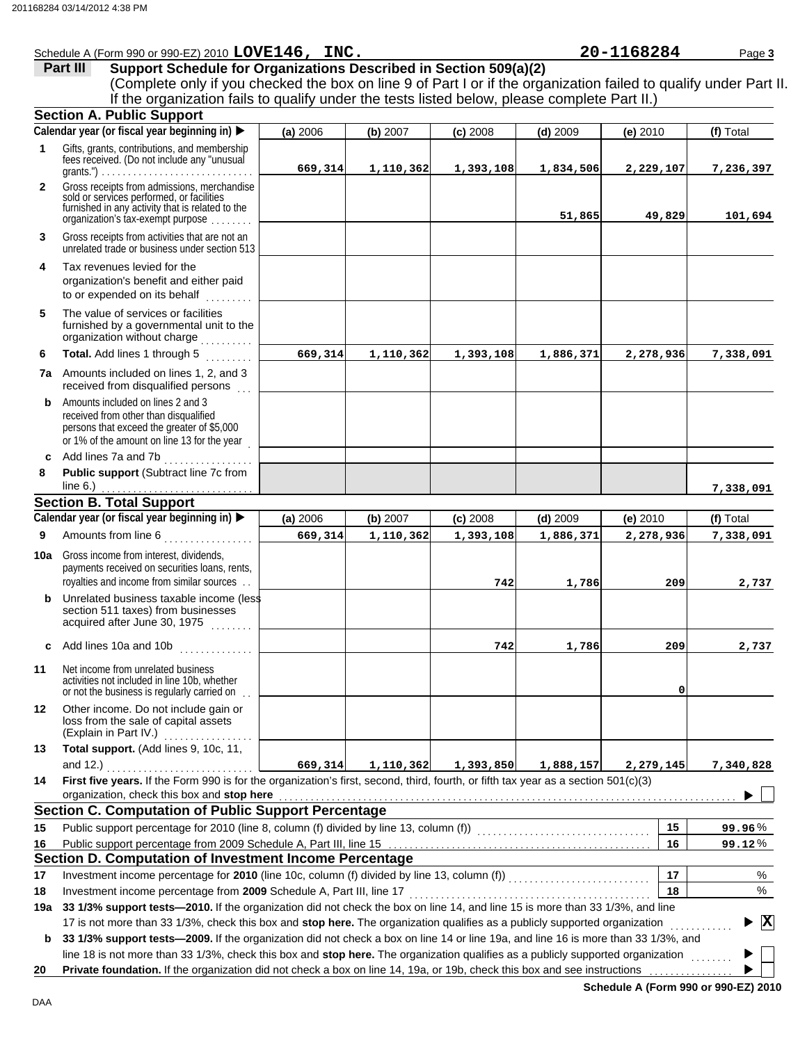|              | Schedule A (Form 990 or 990-EZ) 2010 LOVE146, INC.                                                                                                                                                                                                                                                                                                                        |          |           |            |            | 20-1168284 | Page 3                  |
|--------------|---------------------------------------------------------------------------------------------------------------------------------------------------------------------------------------------------------------------------------------------------------------------------------------------------------------------------------------------------------------------------|----------|-----------|------------|------------|------------|-------------------------|
|              | Support Schedule for Organizations Described in Section 509(a)(2)<br>Part III                                                                                                                                                                                                                                                                                             |          |           |            |            |            |                         |
|              | (Complete only if you checked the box on line 9 of Part I or if the organization failed to qualify under Part II.                                                                                                                                                                                                                                                         |          |           |            |            |            |                         |
|              | If the organization fails to qualify under the tests listed below, please complete Part II.)                                                                                                                                                                                                                                                                              |          |           |            |            |            |                         |
|              | <b>Section A. Public Support</b>                                                                                                                                                                                                                                                                                                                                          |          |           |            |            |            |                         |
|              | Calendar year (or fiscal year beginning in)                                                                                                                                                                                                                                                                                                                               | (a) 2006 | (b) 2007  | $(c)$ 2008 | $(d)$ 2009 | (e) $2010$ | (f) Total               |
| 1            | Gifts, grants, contributions, and membership<br>fees received. (Do not include any "unusual                                                                                                                                                                                                                                                                               |          |           |            |            |            |                         |
|              |                                                                                                                                                                                                                                                                                                                                                                           | 669,314  | 1,110,362 | 1,393,108  | 1,834,506  | 2,229,107  | 7,236,397               |
| $\mathbf{2}$ | Gross receipts from admissions, merchandise<br>sold or services performed, or facilities<br>furnished in any activity that is related to the<br>organization's fax-exempt purpose                                                                                                                                                                                         |          |           |            | 51,865     | 49,829     | 101,694                 |
| 3            | Gross receipts from activities that are not an<br>unrelated trade or business under section 513                                                                                                                                                                                                                                                                           |          |           |            |            |            |                         |
| 4            | Tax revenues levied for the<br>organization's benefit and either paid<br>to or expended on its behalf                                                                                                                                                                                                                                                                     |          |           |            |            |            |                         |
| 5            | The value of services or facilities<br>furnished by a governmental unit to the<br>organization without charge                                                                                                                                                                                                                                                             |          |           |            |            |            |                         |
| 6            | Total. Add lines 1 through 5                                                                                                                                                                                                                                                                                                                                              | 669,314  | 1,110,362 | 1,393,108  | 1,886,371  | 2,278,936  | 7,338,091               |
|              | 7a Amounts included on lines 1, 2, and 3<br>received from disqualified persons                                                                                                                                                                                                                                                                                            |          |           |            |            |            |                         |
| b            | Amounts included on lines 2 and 3<br>received from other than disqualified<br>persons that exceed the greater of \$5,000<br>or 1% of the amount on line 13 for the year                                                                                                                                                                                                   |          |           |            |            |            |                         |
|              | c Add lines 7a and 7b<br>.                                                                                                                                                                                                                                                                                                                                                |          |           |            |            |            |                         |
| 8            | Public support (Subtract line 7c from                                                                                                                                                                                                                                                                                                                                     |          |           |            |            |            |                         |
|              |                                                                                                                                                                                                                                                                                                                                                                           |          |           |            |            |            | 7,338,091               |
|              | <b>Section B. Total Support</b>                                                                                                                                                                                                                                                                                                                                           |          |           |            |            |            |                         |
|              | Calendar year (or fiscal year beginning in)                                                                                                                                                                                                                                                                                                                               | (a) 2006 | (b) 2007  | $(c)$ 2008 | $(d)$ 2009 | (e) 2010   | (f) Total               |
| 9            | Amounts from line 6<br><u>.</u><br>1990 - Personald Barbara, president                                                                                                                                                                                                                                                                                                    | 669,314  | 1,110,362 | 1,393,108  | 1,886,371  | 2,278,936  | 7,338,091               |
| 10a          | Gross income from interest, dividends,                                                                                                                                                                                                                                                                                                                                    |          |           |            |            |            |                         |
|              | payments received on securities loans, rents,<br>royalties and income from similar sources                                                                                                                                                                                                                                                                                |          |           | 742        | 1,786      | 209        | 2,737                   |
|              | <b>b</b> Unrelated business taxable income (less<br>section 511 taxes) from businesses<br>acquired after June 30, 1975<br>.                                                                                                                                                                                                                                               |          |           |            |            |            |                         |
| C            | Add lines 10a and 10b<br>. <b>.</b> .                                                                                                                                                                                                                                                                                                                                     |          |           | 742        | 1,786      | 209        | 2,737                   |
| 11           | Net income from unrelated business<br>activities not included in line 10b, whether<br>or not the business is regularly carried on.                                                                                                                                                                                                                                        |          |           |            |            | 0          |                         |
| 12           | Other income. Do not include gain or<br>loss from the sale of capital assets<br>(Explain in Part IV.)<br>.                                                                                                                                                                                                                                                                |          |           |            |            |            |                         |
| 13           | Total support. (Add lines 9, 10c, 11,<br>and 12.)                                                                                                                                                                                                                                                                                                                         | 669,314  | 1,110,362 | 1,393,850  | 1,888,157  | 2,279,145  | 7,340,828               |
| 14           | First five years. If the Form 990 is for the organization's first, second, third, fourth, or fifth tax year as a section 501(c)(3)<br>organization, check this box and stop here <b>contained</b> and all contained and all contained a state of the state of the state of the state of the state of the state of the state of the state of the state of the state of the |          |           |            |            |            |                         |
|              | <b>Section C. Computation of Public Support Percentage</b>                                                                                                                                                                                                                                                                                                                |          |           |            |            |            |                         |
| 15           |                                                                                                                                                                                                                                                                                                                                                                           |          |           |            |            | 15         |                         |
|              |                                                                                                                                                                                                                                                                                                                                                                           |          |           |            |            |            | 99.96%                  |
| 16           |                                                                                                                                                                                                                                                                                                                                                                           |          |           |            |            | 16         | 99.12%                  |
|              | Section D. Computation of Investment Income Percentage                                                                                                                                                                                                                                                                                                                    |          |           |            |            |            |                         |
| 17           |                                                                                                                                                                                                                                                                                                                                                                           |          |           |            |            | 17         | %                       |
| 18           | Investment income percentage from 2009 Schedule A, Part III, line 17                                                                                                                                                                                                                                                                                                      |          |           |            |            | 18         | $\%$                    |
|              | 19a 33 1/3% support tests-2010. If the organization did not check the box on line 14, and line 15 is more than 33 1/3%, and line                                                                                                                                                                                                                                          |          |           |            |            |            |                         |
|              | 17 is not more than 33 1/3%, check this box and stop here. The organization qualifies as a publicly supported organization                                                                                                                                                                                                                                                |          |           |            |            |            | $\overline{\mathbf{x}}$ |
| b            | 33 1/3% support tests-2009. If the organization did not check a box on line 14 or line 19a, and line 16 is more than 33 1/3%, and                                                                                                                                                                                                                                         |          |           |            |            |            |                         |
|              | line 18 is not more than 33 1/3%, check this box and stop here. The organization qualifies as a publicly supported organization                                                                                                                                                                                                                                           |          |           |            |            |            |                         |
| 20           | Private foundation. If the organization did not check a box on line 14, 19a, or 19b, check this box and see instructions                                                                                                                                                                                                                                                  |          |           |            |            |            |                         |

**Schedule A (Form 990 or 990-EZ) 2010**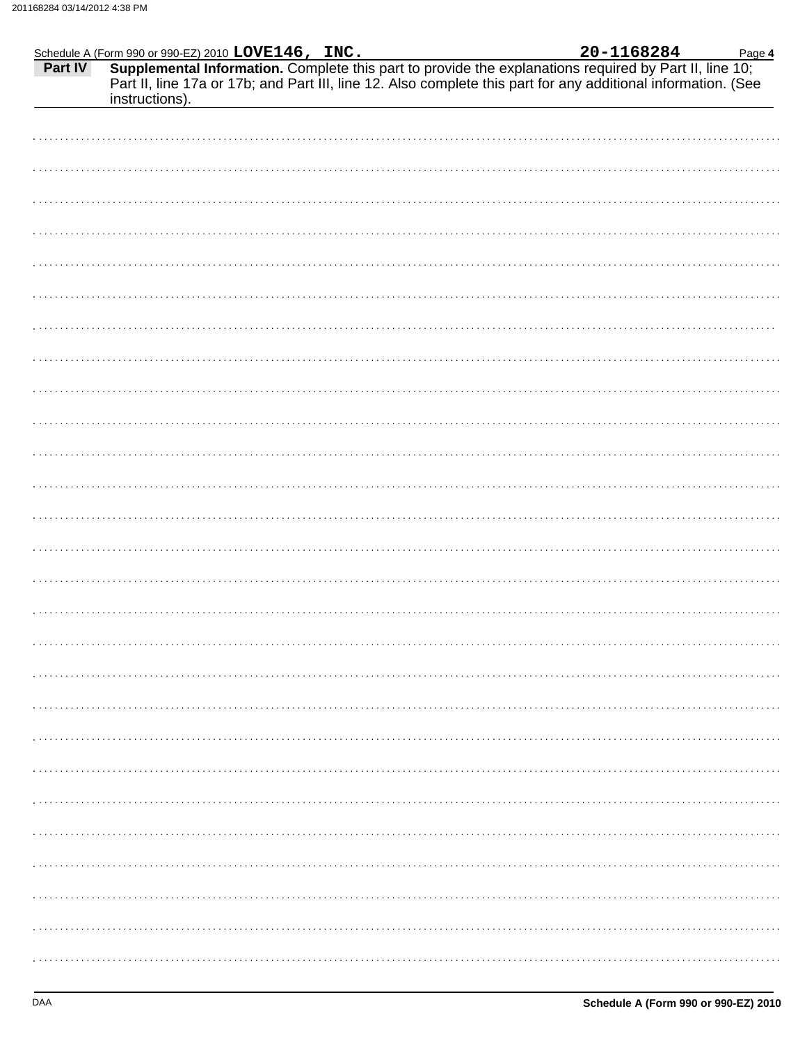|                |  | Page 4                                                                                                                                                                                                                             |
|----------------|--|------------------------------------------------------------------------------------------------------------------------------------------------------------------------------------------------------------------------------------|
| instructions). |  | Schedule A (Form 990 or 990-EZ) 2010 LOVE146, INC.<br>Part IV Supplemental Information. Complete this part to provide the explanations required by Part II, line 10;<br>Part II, line 17a or 17b; and Part III, line 12. Also comp |
|                |  |                                                                                                                                                                                                                                    |
|                |  |                                                                                                                                                                                                                                    |
|                |  |                                                                                                                                                                                                                                    |
|                |  |                                                                                                                                                                                                                                    |
|                |  |                                                                                                                                                                                                                                    |
|                |  |                                                                                                                                                                                                                                    |
|                |  |                                                                                                                                                                                                                                    |
|                |  |                                                                                                                                                                                                                                    |
|                |  |                                                                                                                                                                                                                                    |
|                |  |                                                                                                                                                                                                                                    |
|                |  |                                                                                                                                                                                                                                    |
|                |  |                                                                                                                                                                                                                                    |
|                |  |                                                                                                                                                                                                                                    |
|                |  |                                                                                                                                                                                                                                    |
|                |  |                                                                                                                                                                                                                                    |
|                |  |                                                                                                                                                                                                                                    |
|                |  |                                                                                                                                                                                                                                    |
|                |  |                                                                                                                                                                                                                                    |
|                |  |                                                                                                                                                                                                                                    |
|                |  |                                                                                                                                                                                                                                    |
|                |  |                                                                                                                                                                                                                                    |
|                |  |                                                                                                                                                                                                                                    |
|                |  |                                                                                                                                                                                                                                    |
|                |  |                                                                                                                                                                                                                                    |
|                |  |                                                                                                                                                                                                                                    |
|                |  |                                                                                                                                                                                                                                    |
|                |  |                                                                                                                                                                                                                                    |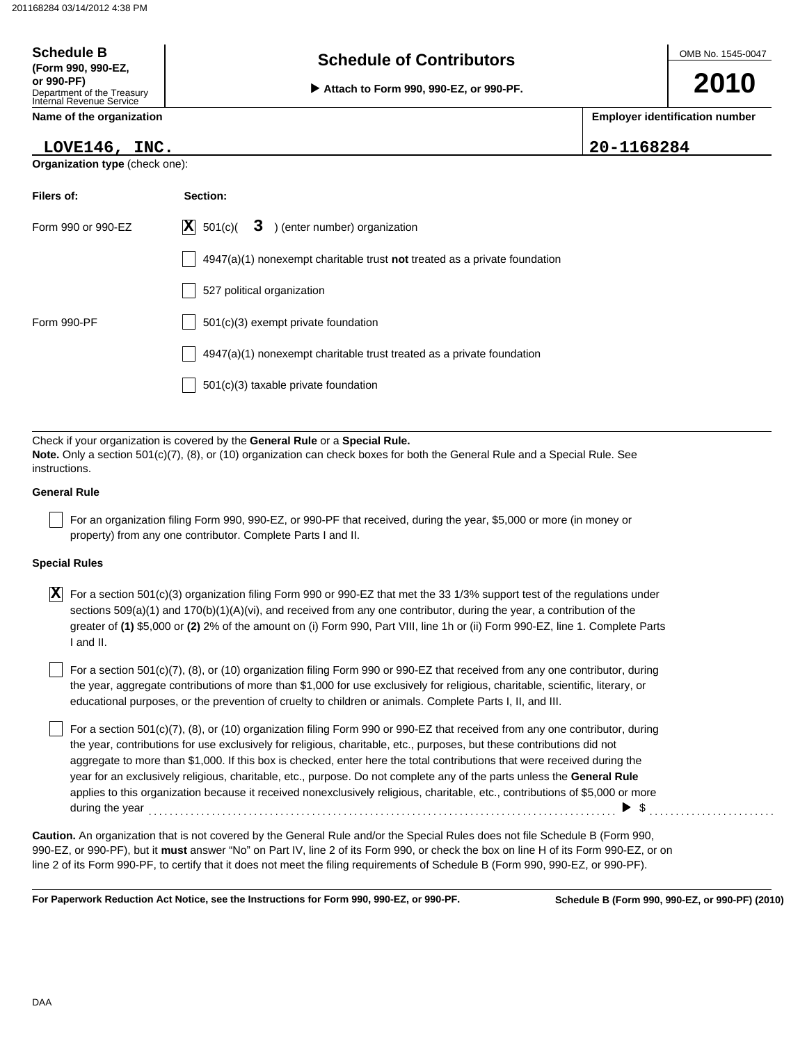| <b>Schedule B</b><br>(Form 990, 990-EZ,<br>or 990-PF)<br>Department of the Treasury<br>Internal Revenue Service | <b>Schedule of Contributors</b><br>Attach to Form 990, 990-EZ, or 990-PF.          | OMB No. 1545-0047<br>2010 |                                       |
|-----------------------------------------------------------------------------------------------------------------|------------------------------------------------------------------------------------|---------------------------|---------------------------------------|
| Name of the organization                                                                                        |                                                                                    |                           | <b>Employer identification number</b> |
| LOVE146, INC.                                                                                                   |                                                                                    | 20-1168284                |                                       |
| <b>Organization type (check one):</b>                                                                           |                                                                                    |                           |                                       |
| Filers of:                                                                                                      | Section:                                                                           |                           |                                       |
| Form 990 or 990-EZ                                                                                              | $ \mathbf{X} $ 501(c)(<br>3 ) (enter number) organization                          |                           |                                       |
|                                                                                                                 | $4947(a)(1)$ nonexempt charitable trust <b>not</b> treated as a private foundation |                           |                                       |
|                                                                                                                 | 527 political organization                                                         |                           |                                       |
| Form 990-PF                                                                                                     | $501(c)(3)$ exempt private foundation                                              |                           |                                       |
|                                                                                                                 | $4947(a)(1)$ nonexempt charitable trust treated as a private foundation            |                           |                                       |
|                                                                                                                 | 501(c)(3) taxable private foundation                                               |                           |                                       |
|                                                                                                                 |                                                                                    |                           |                                       |

Check if your organization is covered by the **General Rule** or a **Special Rule. Note.** Only a section 501(c)(7), (8), or (10) organization can check boxes for both the General Rule and a Special Rule. See instructions.

### **General Rule**

For an organization filing Form 990, 990-EZ, or 990-PF that received, during the year, \$5,000 or more (in money or property) from any one contributor. Complete Parts I and II.

### **Special Rules**

 $\overline{X}$  For a section 501(c)(3) organization filing Form 990 or 990-EZ that met the 33 1/3% support test of the regulations under sections 509(a)(1) and 170(b)(1)(A)(vi), and received from any one contributor, during the year, a contribution of the greater of **(1)** \$5,000 or **(2)** 2% of the amount on (i) Form 990, Part VIII, line 1h or (ii) Form 990-EZ, line 1. Complete Parts I and II.

educational purposes, or the prevention of cruelty to children or animals. Complete Parts I, II, and III. For a section  $501(c)(7)$ , (8), or (10) organization filing Form 990 or 990-EZ that received from any one contributor, during the year, aggregate contributions of more than \$1,000 for use exclusively for religious, charitable, scientific, literary, or

For a section 501(c)(7), (8), or (10) organization filing Form 990 or 990-EZ that received from any one contributor, during the year, contributions for use exclusively for religious, charitable, etc., purposes, but these contributions did not aggregate to more than \$1,000. If this box is checked, enter here the total contributions that were received during the year for an exclusively religious, charitable, etc., purpose. Do not complete any of the parts unless the **General Rule** applies to this organization because it received nonexclusively religious, charitable, etc., contributions of \$5,000 or more during the year . . . . . . . . . . . . . . . . . . . . . . . . . . . . . . . . . . . . . . . . . . . . . . . . . . . . . . . . . . . . . . . . . . . . . . . . . . . . . . . . . . . . . . . . . \$ . . . . . . . . . . . . . . . . . . . . . . . .

990-EZ, or 990-PF), but it **must** answer "No" on Part IV, line 2 of its Form 990, or check the box on line H of its Form 990-EZ, or on line 2 of its Form 990-PF, to certify that it does not meet the filing requirements of Schedule B (Form 990, 990-EZ, or 990-PF). **Caution.** An organization that is not covered by the General Rule and/or the Special Rules does not file Schedule B (Form 990,

**For Paperwork Reduction Act Notice, see the Instructions for Form 990, 990-EZ, or 990-PF.**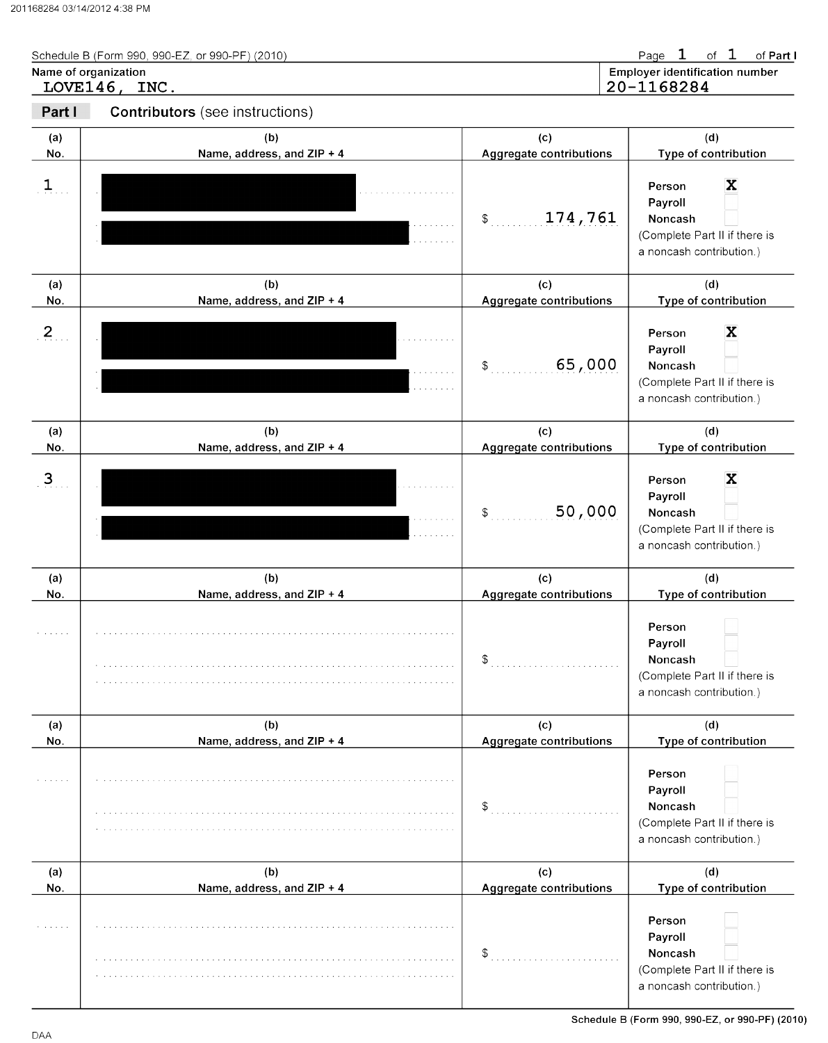| Schedule B (Form 990, 990-EZ, or 990-PF) (2010) | Page 1 of 1 of Part I                 |
|-------------------------------------------------|---------------------------------------|
| Name of organization                            | <b>Employer identification number</b> |
| LOVE146, INC.                                   | 20-1168284                            |

| Part I         | <b>Contributors</b> (see instructions) |                                       |                                                                                                                   |
|----------------|----------------------------------------|---------------------------------------|-------------------------------------------------------------------------------------------------------------------|
| (a)<br>No.     | (b)<br>Name, address, and ZIP + 4      | (c)<br><b>Aggregate contributions</b> | (d)<br>Type of contribution                                                                                       |
| $\mathbf{1}$   |                                        | 174,761<br>$\mathcal{S}$              | X<br>Person<br>Payroll<br>Noncash<br>(Complete Part II if there is<br>a noncash contribution.)                    |
| (a)<br>No.     | (b)<br>Name, address, and ZIP + 4      | (c)<br><b>Aggregate contributions</b> | (d)<br>Type of contribution                                                                                       |
| 2 <sub>1</sub> |                                        | 65,000<br>\$                          | X<br>Person<br>Payroll<br>Noncash<br>(Complete Part II if there is<br>a noncash contribution.)                    |
| (a)<br>No.     | (b)<br>Name, address, and ZIP + 4      | (c)<br>Aggregate contributions        | (d)<br>Type of contribution                                                                                       |
| $\mathbf{3}$   |                                        | 50,000<br>\$                          | X<br>Person<br>Payroll<br>Noncash<br>(Complete Part II if there is<br>a noncash contribution.)                    |
| (a)            | (b)                                    | (c)                                   | (d)                                                                                                               |
| No.            | Name, address, and ZIP + 4             | Aggregate contributions<br>\$         | Type of contribution<br>Person<br>Payroll<br>Noncash<br>(Complete Part II if there is<br>a noncash contribution.) |
| (a)            | (b)                                    | (c)                                   | (d)                                                                                                               |
| No.            | Name, address, and ZIP + 4             | Aggregate contributions<br>\$         | Type of contribution<br>Person<br>Payroll<br>Noncash<br>(Complete Part II if there is<br>a noncash contribution.) |
| (a)            | (b)                                    | (c)                                   | (d)                                                                                                               |
| No.            | Name, address, and ZIP + 4             | <b>Aggregate contributions</b><br>\$  | Type of contribution<br>Person<br>Payroll<br>Noncash<br>(Complete Part II if there is<br>a noncash contribution.) |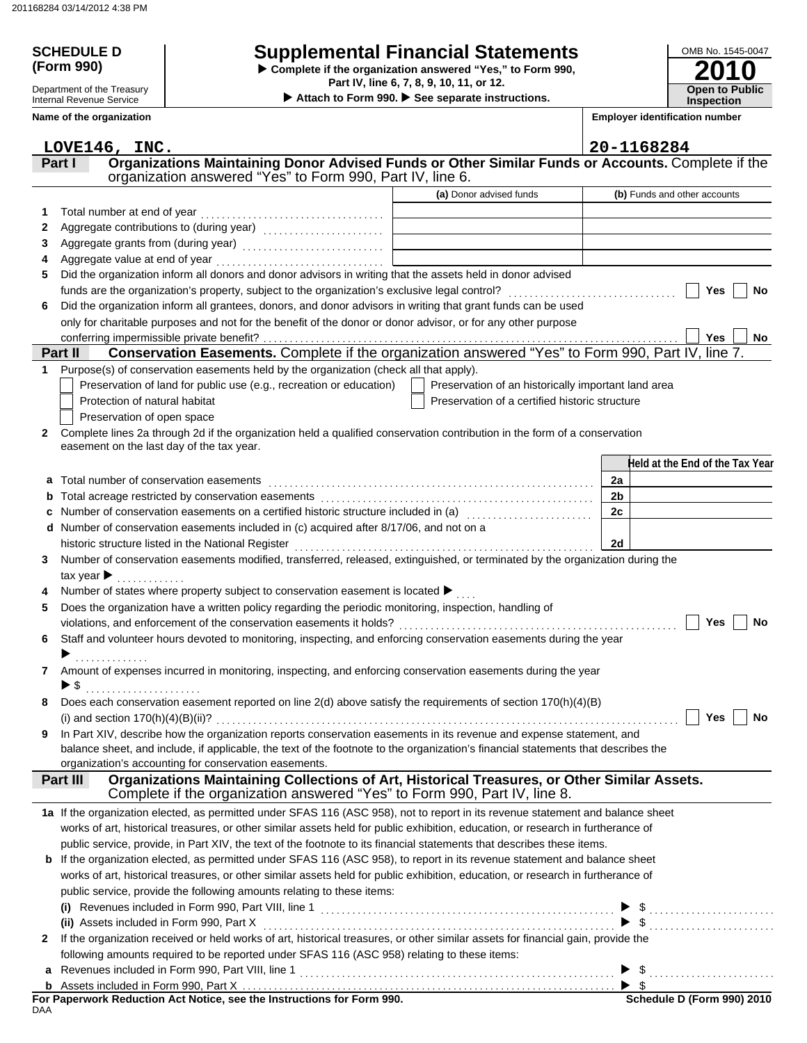# **(Form 990)**

Department of the Treasury Internal Revenue Service **Name of the organization**

## **SCHEDULE D Supplemental Financial Statements**

**Part IV, line 6, 7, 8, 9, 10, 11, or 12. Complete if the organization answered "Yes," to Form 990,**

 **Attach to Form 990. See separate instructions.**



**Employer identification number**

|              | LOVE146, INC.                                                                                                                                                                                                 |                                                     | 20-1168284                      |
|--------------|---------------------------------------------------------------------------------------------------------------------------------------------------------------------------------------------------------------|-----------------------------------------------------|---------------------------------|
|              | Organizations Maintaining Donor Advised Funds or Other Similar Funds or Accounts. Complete if the<br>Part I<br>organization answered "Yes" to Form 990, Part IV, line 6.                                      |                                                     |                                 |
|              |                                                                                                                                                                                                               | (a) Donor advised funds                             | (b) Funds and other accounts    |
|              |                                                                                                                                                                                                               |                                                     |                                 |
| 1            | Total number at end of year                                                                                                                                                                                   |                                                     |                                 |
| 2            |                                                                                                                                                                                                               |                                                     |                                 |
| 3            | Aggregate grants from (during year) [10] [10] [10] Aggregate grants from (during year)                                                                                                                        |                                                     |                                 |
| 5            | Aggregate value at end of year<br>Did the organization inform all donors and donor advisors in writing that the assets held in donor advised                                                                  |                                                     |                                 |
|              |                                                                                                                                                                                                               |                                                     | Yes                             |
| 6            | funds are the organization's property, subject to the organization's exclusive legal control?<br>Did the organization inform all grantees, donors, and donor advisors in writing that grant funds can be used |                                                     | No                              |
|              | only for charitable purposes and not for the benefit of the donor or donor advisor, or for any other purpose                                                                                                  |                                                     |                                 |
|              | conferring impermissible private benefit?                                                                                                                                                                     |                                                     | Yes<br>No.                      |
|              | Conservation Easements. Complete if the organization answered "Yes" to Form 990, Part IV, line 7.<br>Part II                                                                                                  |                                                     |                                 |
| 1            | Purpose(s) of conservation easements held by the organization (check all that apply).                                                                                                                         |                                                     |                                 |
|              | Preservation of land for public use (e.g., recreation or education)                                                                                                                                           | Preservation of an historically important land area |                                 |
|              | Protection of natural habitat                                                                                                                                                                                 | Preservation of a certified historic structure      |                                 |
|              | Preservation of open space                                                                                                                                                                                    |                                                     |                                 |
| $\mathbf{2}$ | Complete lines 2a through 2d if the organization held a qualified conservation contribution in the form of a conservation                                                                                     |                                                     |                                 |
|              | easement on the last day of the tax year.                                                                                                                                                                     |                                                     |                                 |
|              |                                                                                                                                                                                                               |                                                     | Held at the End of the Tax Year |
| a            | Total number of conservation easements                                                                                                                                                                        |                                                     | 2a                              |
|              |                                                                                                                                                                                                               |                                                     | 2 <sub>b</sub>                  |
|              | Number of conservation easements on a certified historic structure included in (a) [11] Number of conservation easements on a certified historic etrache included in (a)                                      |                                                     | 2c                              |
| d            | Number of conservation easements included in (c) acquired after 8/17/06, and not on a                                                                                                                         |                                                     |                                 |
|              | historic structure listed in the National Register                                                                                                                                                            |                                                     | 2d                              |
| 3            | Number of conservation easements modified, transferred, released, extinguished, or terminated by the organization during the                                                                                  |                                                     |                                 |
|              | tax year $\blacktriangleright$                                                                                                                                                                                |                                                     |                                 |
|              | Number of states where property subject to conservation easement is located ▶                                                                                                                                 |                                                     |                                 |
| 5            | Does the organization have a written policy regarding the periodic monitoring, inspection, handling of                                                                                                        |                                                     |                                 |
|              |                                                                                                                                                                                                               |                                                     | Yes<br>No                       |
| 6            | Staff and volunteer hours devoted to monitoring, inspecting, and enforcing conservation easements during the year                                                                                             |                                                     |                                 |
|              | .                                                                                                                                                                                                             |                                                     |                                 |
| 7            | Amount of expenses incurred in monitoring, inspecting, and enforcing conservation easements during the year                                                                                                   |                                                     |                                 |
|              | ▶ \$                                                                                                                                                                                                          |                                                     |                                 |
|              | Does each conservation easement reported on line 2(d) above satisfy the requirements of section 170(h)(4)(B)                                                                                                  |                                                     |                                 |
|              |                                                                                                                                                                                                               |                                                     | Yes<br>No                       |
|              | In Part XIV, describe how the organization reports conservation easements in its revenue and expense statement, and                                                                                           |                                                     |                                 |
|              | balance sheet, and include, if applicable, the text of the footnote to the organization's financial statements that describes the                                                                             |                                                     |                                 |
|              | organization's accounting for conservation easements.                                                                                                                                                         |                                                     |                                 |
|              | Organizations Maintaining Collections of Art, Historical Treasures, or Other Similar Assets.<br>Part III<br>Complete if the organization answered "Yes" to Form 990, Part IV, line 8.                         |                                                     |                                 |
|              | 1a If the organization elected, as permitted under SFAS 116 (ASC 958), not to report in its revenue statement and balance sheet                                                                               |                                                     |                                 |
|              | works of art, historical treasures, or other similar assets held for public exhibition, education, or research in furtherance of                                                                              |                                                     |                                 |
|              | public service, provide, in Part XIV, the text of the footnote to its financial statements that describes these items.                                                                                        |                                                     |                                 |
| b            | If the organization elected, as permitted under SFAS 116 (ASC 958), to report in its revenue statement and balance sheet                                                                                      |                                                     |                                 |
|              | works of art, historical treasures, or other similar assets held for public exhibition, education, or research in furtherance of                                                                              |                                                     |                                 |
|              | public service, provide the following amounts relating to these items:                                                                                                                                        |                                                     |                                 |
|              |                                                                                                                                                                                                               |                                                     |                                 |
|              | (ii) Assets included in Form 990, Part X                                                                                                                                                                      |                                                     | $\blacktriangleright$ \$        |
| $\mathbf{2}$ | If the organization received or held works of art, historical treasures, or other similar assets for financial gain, provide the                                                                              |                                                     |                                 |
|              | following amounts required to be reported under SFAS 116 (ASC 958) relating to these items:                                                                                                                   |                                                     |                                 |
| a            |                                                                                                                                                                                                               |                                                     |                                 |
|              |                                                                                                                                                                                                               |                                                     |                                 |
|              |                                                                                                                                                                                                               |                                                     |                                 |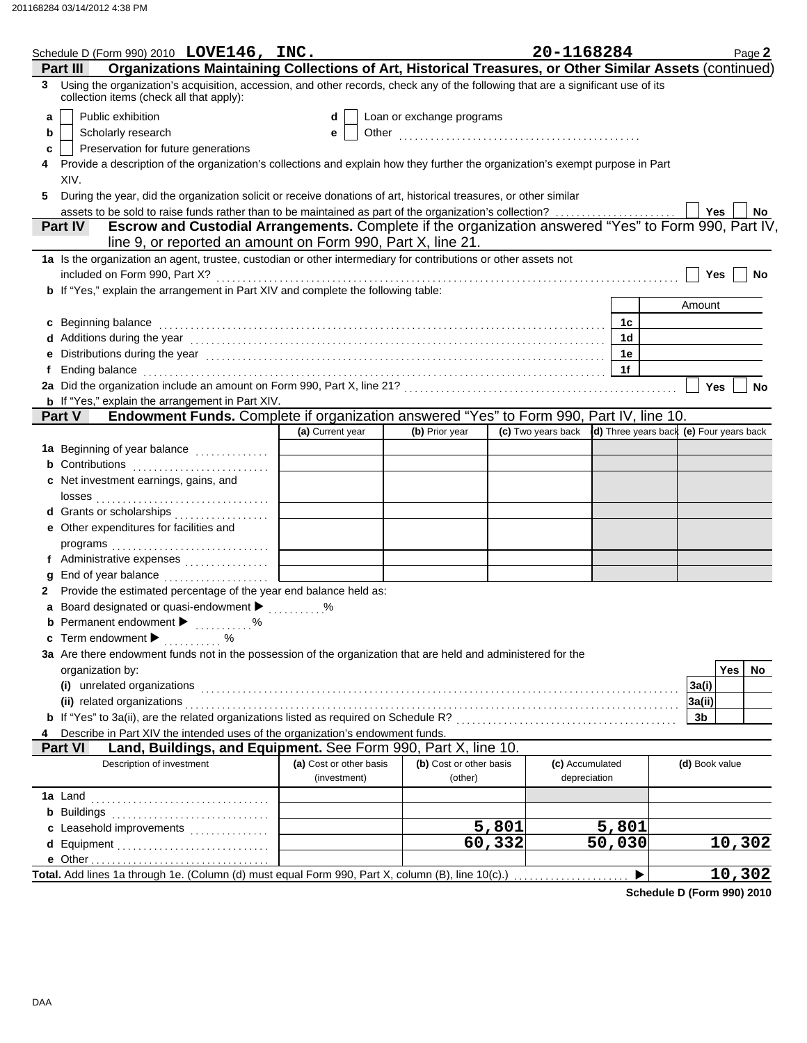|    | Schedule D (Form 990) 2010 LOVE146, INC.                                                                                                                                                                                       |                                         |                                    |        | 20-1168284                      | Page 2                                                      |
|----|--------------------------------------------------------------------------------------------------------------------------------------------------------------------------------------------------------------------------------|-----------------------------------------|------------------------------------|--------|---------------------------------|-------------------------------------------------------------|
|    | Organizations Maintaining Collections of Art, Historical Treasures, or Other Similar Assets (continued)<br>Part II                                                                                                             |                                         |                                    |        |                                 |                                                             |
|    | 3 Using the organization's acquisition, accession, and other records, check any of the following that are a significant use of its<br>collection items (check all that apply):                                                 |                                         |                                    |        |                                 |                                                             |
| a  | Public exhibition                                                                                                                                                                                                              | d                                       | Loan or exchange programs          |        |                                 |                                                             |
| b  | Scholarly research                                                                                                                                                                                                             | е                                       |                                    |        |                                 |                                                             |
| c  | Preservation for future generations                                                                                                                                                                                            |                                         |                                    |        |                                 |                                                             |
|    | Provide a description of the organization's collections and explain how they further the organization's exempt purpose in Part                                                                                                 |                                         |                                    |        |                                 |                                                             |
|    | XIV.                                                                                                                                                                                                                           |                                         |                                    |        |                                 |                                                             |
| 5. | During the year, did the organization solicit or receive donations of art, historical treasures, or other similar                                                                                                              |                                         |                                    |        |                                 |                                                             |
|    | assets to be sold to raise funds rather than to be maintained as part of the organization's collection?                                                                                                                        |                                         |                                    |        |                                 | Yes<br>No                                                   |
|    | Escrow and Custodial Arrangements. Complete if the organization answered "Yes" to Form 990, Part IV,<br><b>Part IV</b>                                                                                                         |                                         |                                    |        |                                 |                                                             |
|    | line 9, or reported an amount on Form 990, Part X, line 21.                                                                                                                                                                    |                                         |                                    |        |                                 |                                                             |
|    | 1a Is the organization an agent, trustee, custodian or other intermediary for contributions or other assets not                                                                                                                |                                         |                                    |        |                                 |                                                             |
|    | included on Form 990, Part X?                                                                                                                                                                                                  |                                         |                                    |        |                                 | Yes<br>No                                                   |
|    | <b>b</b> If "Yes," explain the arrangement in Part XIV and complete the following table:                                                                                                                                       |                                         |                                    |        |                                 |                                                             |
|    |                                                                                                                                                                                                                                |                                         |                                    |        |                                 | Amount                                                      |
|    | c Beginning balance                                                                                                                                                                                                            |                                         |                                    |        | 1c                              |                                                             |
|    | d Additions during the year electron contains and a set of a set of the year of Additions during the year                                                                                                                      |                                         |                                    |        | 1d                              |                                                             |
|    | e Distributions during the year manufactured contains and the year manufactured with the set of the set of the                                                                                                                 |                                         |                                    |        | 1e                              |                                                             |
|    |                                                                                                                                                                                                                                |                                         |                                    |        | 1f                              |                                                             |
|    |                                                                                                                                                                                                                                |                                         |                                    |        |                                 | Yes<br>No                                                   |
|    | <b>b</b> If "Yes," explain the arrangement in Part XIV.                                                                                                                                                                        |                                         |                                    |        |                                 |                                                             |
|    | Endowment Funds. Complete if organization answered "Yes" to Form 990, Part IV, line 10.<br>Part V                                                                                                                              |                                         |                                    |        |                                 |                                                             |
|    |                                                                                                                                                                                                                                | (a) Current year                        | (b) Prior year                     |        |                                 | (c) Two years back (d) Three years back (e) Four years back |
|    | 1a Beginning of year balance                                                                                                                                                                                                   |                                         |                                    |        |                                 |                                                             |
|    |                                                                                                                                                                                                                                |                                         |                                    |        |                                 |                                                             |
|    | c Net investment earnings, gains, and                                                                                                                                                                                          |                                         |                                    |        |                                 |                                                             |
|    |                                                                                                                                                                                                                                |                                         |                                    |        |                                 |                                                             |
|    | d Grants or scholarships                                                                                                                                                                                                       |                                         |                                    |        |                                 |                                                             |
|    | e Other expenditures for facilities and                                                                                                                                                                                        |                                         |                                    |        |                                 |                                                             |
|    |                                                                                                                                                                                                                                |                                         |                                    |        |                                 |                                                             |
|    | f Administrative expenses                                                                                                                                                                                                      |                                         |                                    |        |                                 |                                                             |
|    | End of year balance                                                                                                                                                                                                            |                                         |                                    |        |                                 |                                                             |
|    | Provide the estimated percentage of the year end balance held as:                                                                                                                                                              |                                         |                                    |        |                                 |                                                             |
|    | Board designated or quasi-endowment > %                                                                                                                                                                                        |                                         |                                    |        |                                 |                                                             |
|    | <b>b</b> Permanent endowment <b>D</b> %                                                                                                                                                                                        |                                         |                                    |        |                                 |                                                             |
|    | Term endowment ▶  %                                                                                                                                                                                                            |                                         |                                    |        |                                 |                                                             |
|    | 3a Are there endowment funds not in the possession of the organization that are held and administered for the                                                                                                                  |                                         |                                    |        |                                 |                                                             |
|    | organization by:                                                                                                                                                                                                               |                                         |                                    |        |                                 | Yes<br>No                                                   |
|    | (i) unrelated organizations entertainment and a set of the contract of the contract of the contract of the contract or contract or the contract of the contract of the contract of the contract of the contract of the contrac |                                         |                                    |        |                                 | 3a(i)                                                       |
|    | (ii) related organizations                                                                                                                                                                                                     |                                         |                                    |        |                                 | 3a(ii)                                                      |
|    |                                                                                                                                                                                                                                |                                         |                                    |        |                                 | 3 <sub>b</sub>                                              |
|    | Describe in Part XIV the intended uses of the organization's endowment funds.                                                                                                                                                  |                                         |                                    |        |                                 |                                                             |
|    | Land, Buildings, and Equipment. See Form 990, Part X, line 10.<br><b>Part VI</b>                                                                                                                                               |                                         |                                    |        |                                 |                                                             |
|    | Description of investment                                                                                                                                                                                                      | (a) Cost or other basis<br>(investment) | (b) Cost or other basis<br>(other) |        | (c) Accumulated<br>depreciation | (d) Book value                                              |
|    | <b>1a</b> Land                                                                                                                                                                                                                 |                                         |                                    |        |                                 |                                                             |
|    | <b>b</b> Buildings                                                                                                                                                                                                             |                                         |                                    |        |                                 |                                                             |
|    | c Leasehold improvements                                                                                                                                                                                                       |                                         |                                    | 5,801  | 5,801                           |                                                             |
|    | d Equipment                                                                                                                                                                                                                    |                                         |                                    | 60,332 | $\overline{50,030}$             | 10,302                                                      |
|    |                                                                                                                                                                                                                                |                                         |                                    |        |                                 |                                                             |
|    | Total. Add lines 1a through 1e. (Column (d) must equal Form 990, Part X, column (B), line 10(c).)                                                                                                                              |                                         |                                    |        |                                 | <u>10,302</u>                                               |
|    |                                                                                                                                                                                                                                |                                         |                                    |        |                                 |                                                             |

**Schedule D (Form 990) 2010**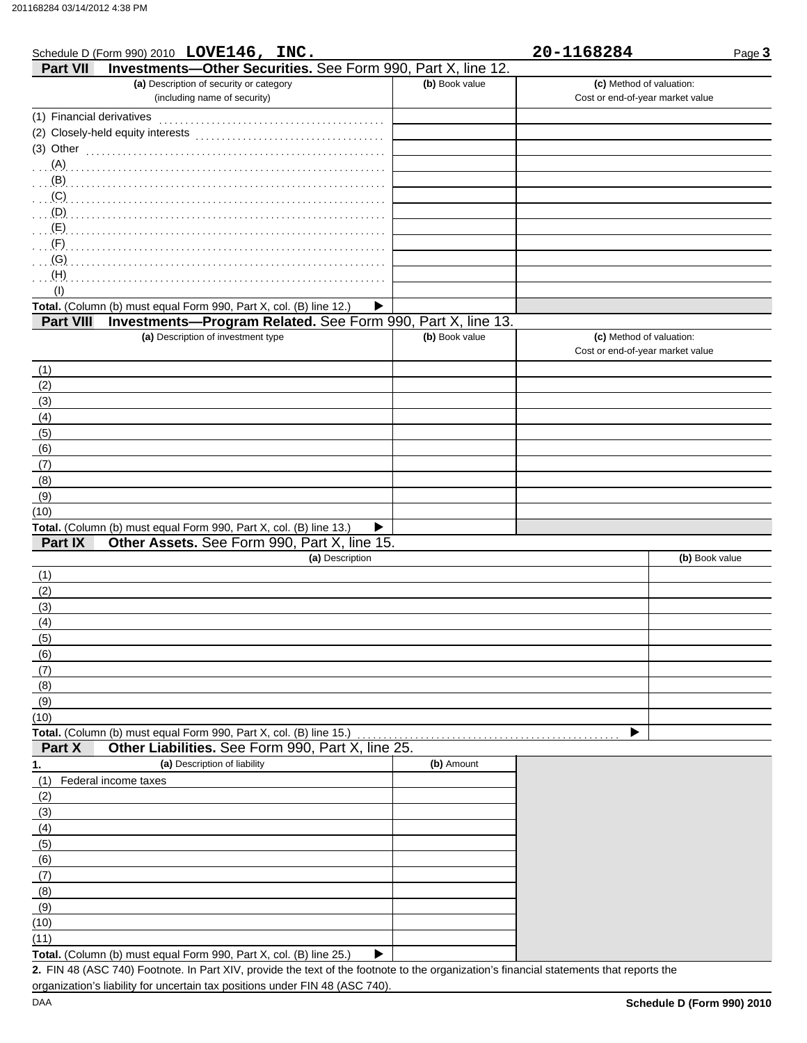|                           | Schedule D (Form 990) 2010 LOVE146, INC.                                                                                             |                | 20-1168284                       | Page 3         |
|---------------------------|--------------------------------------------------------------------------------------------------------------------------------------|----------------|----------------------------------|----------------|
| <b>Part VII</b>           | Investments-Other Securities. See Form 990, Part X, line 12.                                                                         |                |                                  |                |
|                           | (a) Description of security or category                                                                                              | (b) Book value | (c) Method of valuation:         |                |
|                           | (including name of security)                                                                                                         |                | Cost or end-of-year market value |                |
| (1) Financial derivatives |                                                                                                                                      |                |                                  |                |
|                           |                                                                                                                                      |                |                                  |                |
| (3) Other                 |                                                                                                                                      |                |                                  |                |
|                           |                                                                                                                                      |                |                                  |                |
|                           |                                                                                                                                      |                |                                  |                |
|                           |                                                                                                                                      |                |                                  |                |
|                           |                                                                                                                                      |                |                                  |                |
|                           |                                                                                                                                      |                |                                  |                |
|                           |                                                                                                                                      |                |                                  |                |
| (G)                       |                                                                                                                                      |                |                                  |                |
| (H)                       |                                                                                                                                      |                |                                  |                |
| (1)                       |                                                                                                                                      |                |                                  |                |
|                           | Total. (Column (b) must equal Form 990, Part X, col. (B) line 12.)<br>▶                                                              |                |                                  |                |
| <b>Part VIII</b>          | Investments-Program Related. See Form 990, Part X, line 13.                                                                          |                |                                  |                |
|                           | (a) Description of investment type                                                                                                   | (b) Book value | (c) Method of valuation:         |                |
|                           |                                                                                                                                      |                | Cost or end-of-year market value |                |
|                           |                                                                                                                                      |                |                                  |                |
| (1)                       |                                                                                                                                      |                |                                  |                |
| (2)                       |                                                                                                                                      |                |                                  |                |
| (3)                       |                                                                                                                                      |                |                                  |                |
| (4)                       |                                                                                                                                      |                |                                  |                |
| (5)                       |                                                                                                                                      |                |                                  |                |
| (6)                       |                                                                                                                                      |                |                                  |                |
| (7)                       |                                                                                                                                      |                |                                  |                |
| (8)                       |                                                                                                                                      |                |                                  |                |
| (9)                       |                                                                                                                                      |                |                                  |                |
| (10)                      |                                                                                                                                      |                |                                  |                |
| Part IX                   | Total. (Column (b) must equal Form 990, Part X, col. (B) line 13.)<br>▶<br>Other Assets. See Form 990, Part X, line 15.              |                |                                  |                |
|                           | (a) Description                                                                                                                      |                |                                  |                |
|                           |                                                                                                                                      |                |                                  | (b) Book value |
| (1)                       |                                                                                                                                      |                |                                  |                |
| (2)                       |                                                                                                                                      |                |                                  |                |
| (3)                       |                                                                                                                                      |                |                                  |                |
| (4)                       |                                                                                                                                      |                |                                  |                |
| (5)                       |                                                                                                                                      |                |                                  |                |
| (6)                       |                                                                                                                                      |                |                                  |                |
| (7)                       |                                                                                                                                      |                |                                  |                |
| (8)                       |                                                                                                                                      |                |                                  |                |
| (9)                       |                                                                                                                                      |                |                                  |                |
| (10)                      |                                                                                                                                      |                |                                  |                |
|                           | Total. (Column (b) must equal Form 990, Part X, col. (B) line 15.)                                                                   |                |                                  |                |
| Part X                    | Other Liabilities. See Form 990, Part X, line 25.                                                                                    |                |                                  |                |
| 1.                        | (a) Description of liability                                                                                                         | (b) Amount     |                                  |                |
| (1)                       | Federal income taxes                                                                                                                 |                |                                  |                |
| (2)                       |                                                                                                                                      |                |                                  |                |
| (3)                       |                                                                                                                                      |                |                                  |                |
| (4)                       |                                                                                                                                      |                |                                  |                |
| (5)                       |                                                                                                                                      |                |                                  |                |
| (6)                       |                                                                                                                                      |                |                                  |                |
| (7)                       |                                                                                                                                      |                |                                  |                |
| (8)                       |                                                                                                                                      |                |                                  |                |
| (9)                       |                                                                                                                                      |                |                                  |                |
| (10)                      |                                                                                                                                      |                |                                  |                |
| (11)                      |                                                                                                                                      |                |                                  |                |
|                           | Total. (Column (b) must equal Form 990, Part X, col. (B) line 25.)<br>▶                                                              |                |                                  |                |
|                           | 2 FIN 48 (ASC 740) Footpote In Part XIV provide the text of the footpote to the organization's financial statements that reports the |                |                                  |                |

FIN 48 (ASC 740) Footnote. In Part XIV, provide the text of the footnote to the organization's financial statements that reports the **2.** organization's liability for uncertain tax positions under FIN 48 (ASC 740).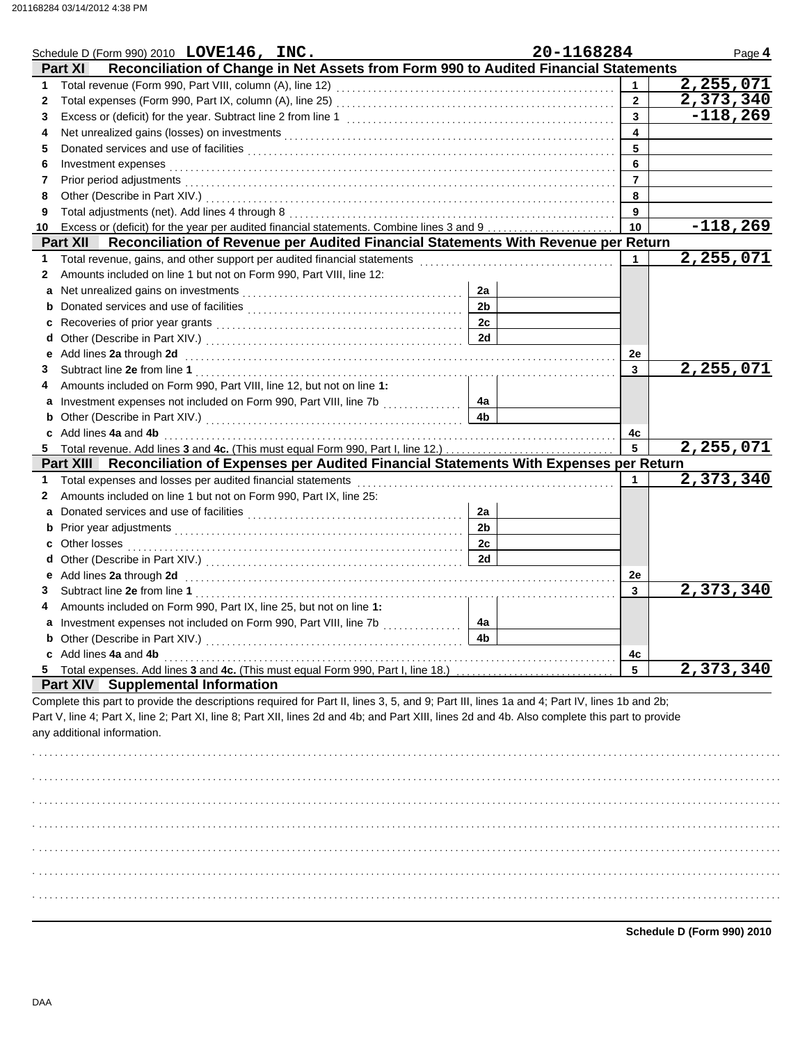|              | Schedule D (Form 990) 2010 $LOVE146$ , $INC.$                                                                                                                                                                                                                                                                                |                      | 20-1168284      | Page 4                    |
|--------------|------------------------------------------------------------------------------------------------------------------------------------------------------------------------------------------------------------------------------------------------------------------------------------------------------------------------------|----------------------|-----------------|---------------------------|
|              | Reconciliation of Change in Net Assets from Form 990 to Audited Financial Statements<br><b>Part XI</b>                                                                                                                                                                                                                       |                      |                 |                           |
| $\mathbf 1$  |                                                                                                                                                                                                                                                                                                                              |                      |                 | 2,255,071                 |
| $\mathbf{2}$ |                                                                                                                                                                                                                                                                                                                              |                      | $\overline{2}$  | 2,373,340                 |
| 3            |                                                                                                                                                                                                                                                                                                                              |                      | 3               | $-118,269$                |
| 4            |                                                                                                                                                                                                                                                                                                                              |                      | 4               |                           |
| 5            |                                                                                                                                                                                                                                                                                                                              |                      | 5               |                           |
| 6            | Investment expenses examples and according to the state of the state of the state of the state of the state of the state of the state of the state of the state of the state of the state of the state of the state of the sta                                                                                               |                      | 6               |                           |
| 7            |                                                                                                                                                                                                                                                                                                                              |                      | $\overline{7}$  |                           |
| 8            |                                                                                                                                                                                                                                                                                                                              |                      | 8               |                           |
| 9            |                                                                                                                                                                                                                                                                                                                              |                      | 9               |                           |
| 10           | Excess or (deficit) for the year per audited financial statements. Combine lines 3 and 9                                                                                                                                                                                                                                     |                      | 10              | $-118,269$                |
|              | Reconciliation of Revenue per Audited Financial Statements With Revenue per Return<br>Part XII                                                                                                                                                                                                                               |                      |                 |                           |
| 1            |                                                                                                                                                                                                                                                                                                                              |                      | $\mathbf{1}$    | 2,255,071                 |
| 2            | Amounts included on line 1 but not on Form 990, Part VIII, line 12:                                                                                                                                                                                                                                                          |                      |                 |                           |
| a            |                                                                                                                                                                                                                                                                                                                              | 2a<br>2 <sub>b</sub> |                 |                           |
| b            |                                                                                                                                                                                                                                                                                                                              | 2c                   |                 |                           |
| c            |                                                                                                                                                                                                                                                                                                                              | 2d                   |                 |                           |
| d            |                                                                                                                                                                                                                                                                                                                              |                      |                 |                           |
| е            | Add lines 2a through 2d [1, 2010] Add [1, 2010] Add lines 2a through 2d [1, 2010] Add lines 2a through 2d [1, 2010] Add [1, 2010] Add [1, 2010] Add [1, 2010] Add [1, 2010] Add [1, 2010] Add [1, 2010] Add [1, 2010] Add [1,                                                                                                |                      | 2e<br>3         | 2,255,071                 |
| 3            | Amounts included on Form 990, Part VIII, line 12, but not on line 1:                                                                                                                                                                                                                                                         |                      |                 |                           |
| 4            | a Investment expenses not included on Form 990, Part VIII, line 7b                                                                                                                                                                                                                                                           | 4a                   |                 |                           |
|              |                                                                                                                                                                                                                                                                                                                              | 4 <sub>b</sub>       |                 |                           |
|              | c Add lines 4a and 4b                                                                                                                                                                                                                                                                                                        |                      | 4c              |                           |
|              | 5 Total revenue. Add lines 3 and 4c. (This must equal Form 990, Part I, line 12.)                                                                                                                                                                                                                                            |                      | $5\phantom{.0}$ | $\overline{2}$ , 255, 071 |
|              | Part XIII Reconciliation of Expenses per Audited Financial Statements With Expenses per Return                                                                                                                                                                                                                               |                      |                 |                           |
| $\mathbf 1$  |                                                                                                                                                                                                                                                                                                                              |                      | 1               | 2,373,340                 |
| 2            | Amounts included on line 1 but not on Form 990, Part IX, line 25:                                                                                                                                                                                                                                                            |                      |                 |                           |
| a            |                                                                                                                                                                                                                                                                                                                              | 2a                   |                 |                           |
|              |                                                                                                                                                                                                                                                                                                                              | 2 <sub>b</sub>       |                 |                           |
| c            |                                                                                                                                                                                                                                                                                                                              | 2c                   |                 |                           |
| d            |                                                                                                                                                                                                                                                                                                                              | 2d                   |                 |                           |
| е            |                                                                                                                                                                                                                                                                                                                              |                      | 2e              |                           |
| 3            |                                                                                                                                                                                                                                                                                                                              |                      | 3               | $\overline{2}$ , 373, 340 |
|              | Amounts included on Form 990, Part IX, line 25, but not on line 1:                                                                                                                                                                                                                                                           |                      |                 |                           |
|              | a Investment expenses not included on Form 990, Part VIII, line 7b                                                                                                                                                                                                                                                           | 4a                   |                 |                           |
|              |                                                                                                                                                                                                                                                                                                                              | 4b                   |                 |                           |
|              | c Add lines 4a and 4b                                                                                                                                                                                                                                                                                                        |                      | 4с              |                           |
|              | 5 Total expenses. Add lines 3 and 4c. (This must equal Form 990, Part I, line 18.)                                                                                                                                                                                                                                           |                      | 5               | 2,373,340                 |
|              | <b>Part XIV Supplemental Information</b>                                                                                                                                                                                                                                                                                     |                      |                 |                           |
|              | Complete this part to provide the descriptions required for Part II, lines 3, 5, and 9; Part III, lines 1a and 4; Part IV, lines 1b and 2b;<br>Part V, line 4; Part X, line 2; Part XI, line 8; Part XII, lines 2d and 4b; and Part XIII, lines 2d and 4b. Also complete this part to provide<br>any additional information. |                      |                 |                           |
|              |                                                                                                                                                                                                                                                                                                                              |                      |                 |                           |
|              |                                                                                                                                                                                                                                                                                                                              |                      |                 |                           |
|              |                                                                                                                                                                                                                                                                                                                              |                      |                 |                           |

**Schedule D (Form 990) 2010**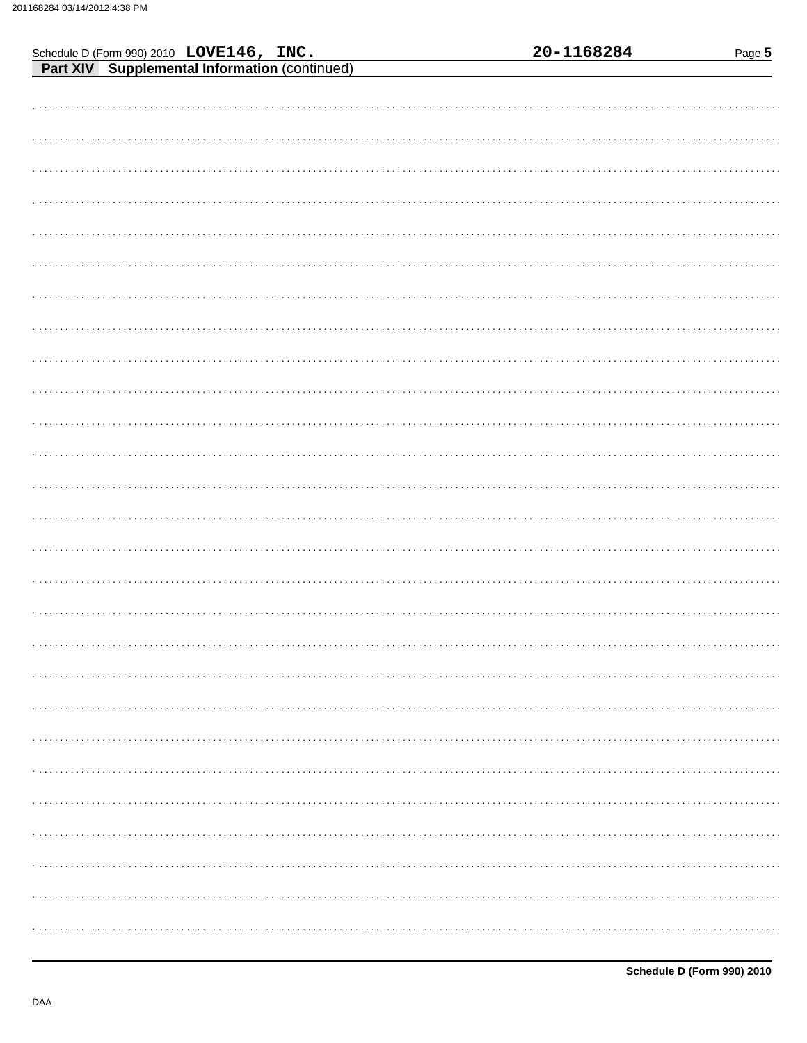|  |                                                                                           |  | 20-1168284 | Page 5 |
|--|-------------------------------------------------------------------------------------------|--|------------|--------|
|  | Schedule D (Form 990) 2010 LOVE146, INC.<br>Part XIV Supplemental Information (continued) |  |            |        |
|  |                                                                                           |  |            |        |
|  |                                                                                           |  |            |        |
|  |                                                                                           |  |            |        |
|  |                                                                                           |  |            |        |
|  |                                                                                           |  |            |        |
|  |                                                                                           |  |            |        |
|  |                                                                                           |  |            |        |
|  |                                                                                           |  |            |        |
|  |                                                                                           |  |            |        |
|  |                                                                                           |  |            |        |
|  |                                                                                           |  |            |        |
|  |                                                                                           |  |            |        |
|  |                                                                                           |  |            |        |
|  |                                                                                           |  |            |        |
|  |                                                                                           |  |            |        |
|  |                                                                                           |  |            |        |
|  |                                                                                           |  |            |        |
|  |                                                                                           |  |            |        |
|  |                                                                                           |  |            |        |
|  |                                                                                           |  |            |        |
|  |                                                                                           |  |            |        |
|  |                                                                                           |  |            |        |
|  |                                                                                           |  |            |        |
|  |                                                                                           |  |            |        |
|  |                                                                                           |  |            |        |
|  |                                                                                           |  |            |        |
|  |                                                                                           |  |            |        |
|  |                                                                                           |  |            |        |
|  |                                                                                           |  |            |        |
|  |                                                                                           |  |            |        |
|  |                                                                                           |  |            |        |
|  |                                                                                           |  |            |        |
|  |                                                                                           |  |            |        |
|  |                                                                                           |  |            |        |
|  |                                                                                           |  |            |        |
|  |                                                                                           |  |            |        |
|  |                                                                                           |  |            |        |
|  |                                                                                           |  |            |        |
|  |                                                                                           |  |            |        |
|  |                                                                                           |  |            |        |
|  |                                                                                           |  |            |        |
|  |                                                                                           |  |            |        |
|  |                                                                                           |  |            |        |
|  |                                                                                           |  |            |        |
|  |                                                                                           |  |            |        |
|  |                                                                                           |  |            |        |
|  |                                                                                           |  |            |        |
|  |                                                                                           |  |            |        |
|  |                                                                                           |  |            |        |
|  |                                                                                           |  |            |        |
|  |                                                                                           |  |            |        |
|  |                                                                                           |  |            |        |
|  |                                                                                           |  |            |        |
|  |                                                                                           |  |            |        |
|  |                                                                                           |  |            |        |
|  |                                                                                           |  |            |        |
|  |                                                                                           |  |            |        |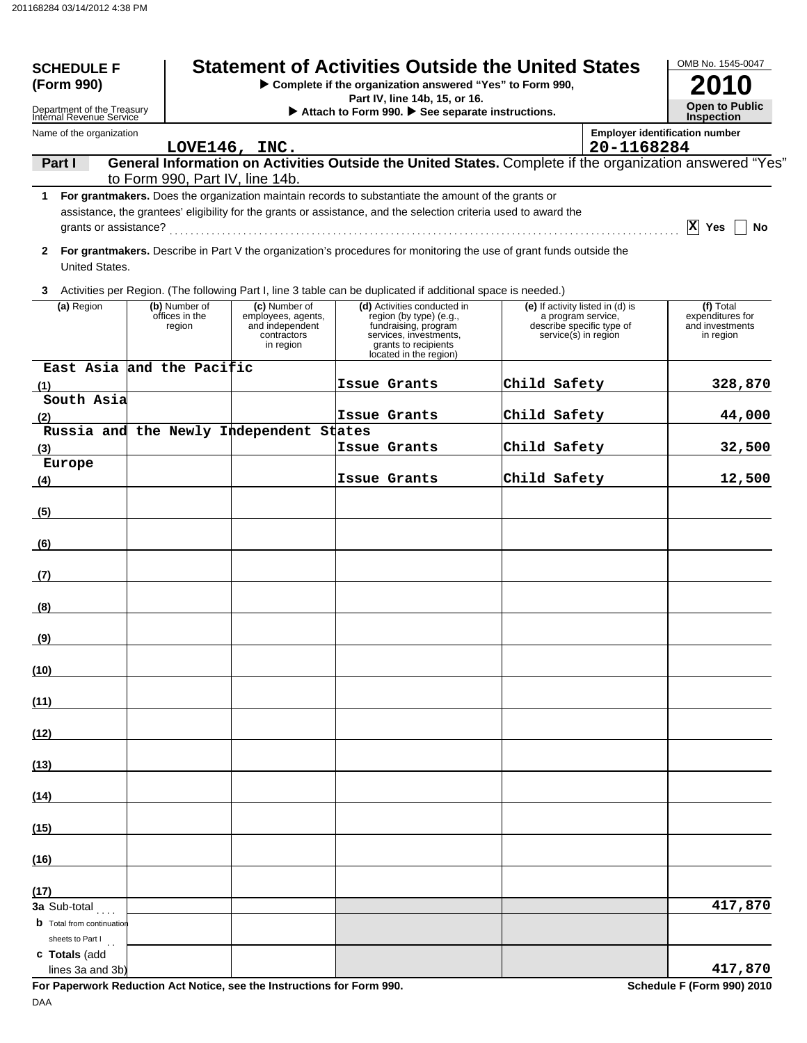| <b>SCHEDULE F</b><br>(Form 990)                        |  | <b>Statement of Activities Outside the United States</b> | OMB No. 1545-0047                                                                  |                                                                                                                                                                                                                           |                                                                                                             |            |                                                               |
|--------------------------------------------------------|--|----------------------------------------------------------|------------------------------------------------------------------------------------|---------------------------------------------------------------------------------------------------------------------------------------------------------------------------------------------------------------------------|-------------------------------------------------------------------------------------------------------------|------------|---------------------------------------------------------------|
| Department of the Treasury<br>Internal Revenue Service |  |                                                          |                                                                                    | Part IV, line 14b, 15, or 16.<br>Attach to Form 990. See separate instructions.                                                                                                                                           |                                                                                                             |            | <b>Open to Public</b><br><b>Inspection</b>                    |
| Name of the organization                               |  |                                                          |                                                                                    |                                                                                                                                                                                                                           |                                                                                                             |            | <b>Employer identification number</b>                         |
| Part I                                                 |  |                                                          | LOVE146, INC.                                                                      | General Information on Activities Outside the United States. Complete if the organization answered "Yes"                                                                                                                  |                                                                                                             | 20-1168284 |                                                               |
|                                                        |  |                                                          | to Form 990, Part IV, line 14b.                                                    |                                                                                                                                                                                                                           |                                                                                                             |            |                                                               |
| grants or assistance?                                  |  |                                                          |                                                                                    | 1 For grantmakers. Does the organization maintain records to substantiate the amount of the grants or<br>assistance, the grantees' eligibility for the grants or assistance, and the selection criteria used to award the |                                                                                                             |            | X Yes<br>No                                                   |
| United States.                                         |  |                                                          |                                                                                    | 2 For grantmakers. Describe in Part V the organization's procedures for monitoring the use of grant funds outside the                                                                                                     |                                                                                                             |            |                                                               |
|                                                        |  |                                                          |                                                                                    | 3 Activities per Region. (The following Part I, line 3 table can be duplicated if additional space is needed.)                                                                                                            |                                                                                                             |            |                                                               |
| (a) Region                                             |  | (b) Number of<br>offices in the<br>region                | (c) Number of<br>employees, agents,<br>and independent<br>contractors<br>in region | (d) Activities conducted in<br>region (by type) (e.g.,<br>fundraising, program<br>services, investments,<br>grants to recipients<br>located in the region)                                                                | (e) If activity listed in (d) is<br>a program service,<br>describe specific type of<br>service(s) in region |            | (f) Total<br>expenditures for<br>and investments<br>in region |
| East Asia and the Pacific                              |  |                                                          |                                                                                    | Issue Grants                                                                                                                                                                                                              | Child Safety                                                                                                |            | 328,870                                                       |
| (1)<br>South Asia                                      |  |                                                          |                                                                                    |                                                                                                                                                                                                                           |                                                                                                             |            |                                                               |
| (2)                                                    |  |                                                          |                                                                                    | Issue Grants                                                                                                                                                                                                              | Child Safety                                                                                                |            | 44,000                                                        |
| (3)                                                    |  |                                                          | Russia and the Newly Independent States                                            | Issue Grants                                                                                                                                                                                                              | Child Safety                                                                                                |            | 32,500                                                        |
| Europe                                                 |  |                                                          |                                                                                    |                                                                                                                                                                                                                           |                                                                                                             |            |                                                               |
| (4)                                                    |  |                                                          |                                                                                    | Issue Grants                                                                                                                                                                                                              | Child Safety                                                                                                |            | 12,500                                                        |
| (5)                                                    |  |                                                          |                                                                                    |                                                                                                                                                                                                                           |                                                                                                             |            |                                                               |
| (6)                                                    |  |                                                          |                                                                                    |                                                                                                                                                                                                                           |                                                                                                             |            |                                                               |
| (7)                                                    |  |                                                          |                                                                                    |                                                                                                                                                                                                                           |                                                                                                             |            |                                                               |
| (8)                                                    |  |                                                          |                                                                                    |                                                                                                                                                                                                                           |                                                                                                             |            |                                                               |
| (9)                                                    |  |                                                          |                                                                                    |                                                                                                                                                                                                                           |                                                                                                             |            |                                                               |
| (10)                                                   |  |                                                          |                                                                                    |                                                                                                                                                                                                                           |                                                                                                             |            |                                                               |
| (11)                                                   |  |                                                          |                                                                                    |                                                                                                                                                                                                                           |                                                                                                             |            |                                                               |
| (12)                                                   |  |                                                          |                                                                                    |                                                                                                                                                                                                                           |                                                                                                             |            |                                                               |
| (13)                                                   |  |                                                          |                                                                                    |                                                                                                                                                                                                                           |                                                                                                             |            |                                                               |
| (14)                                                   |  |                                                          |                                                                                    |                                                                                                                                                                                                                           |                                                                                                             |            |                                                               |
| (15)                                                   |  |                                                          |                                                                                    |                                                                                                                                                                                                                           |                                                                                                             |            |                                                               |
| (16)                                                   |  |                                                          |                                                                                    |                                                                                                                                                                                                                           |                                                                                                             |            |                                                               |
| (17)                                                   |  |                                                          |                                                                                    |                                                                                                                                                                                                                           |                                                                                                             |            |                                                               |
| 3a Sub-total<br><b>b</b> Total from continuation       |  |                                                          |                                                                                    |                                                                                                                                                                                                                           |                                                                                                             |            | 417,870                                                       |
| sheets to Part I<br>c Totals (add<br>lines 3a and 3b)  |  |                                                          |                                                                                    |                                                                                                                                                                                                                           |                                                                                                             |            | 417,870                                                       |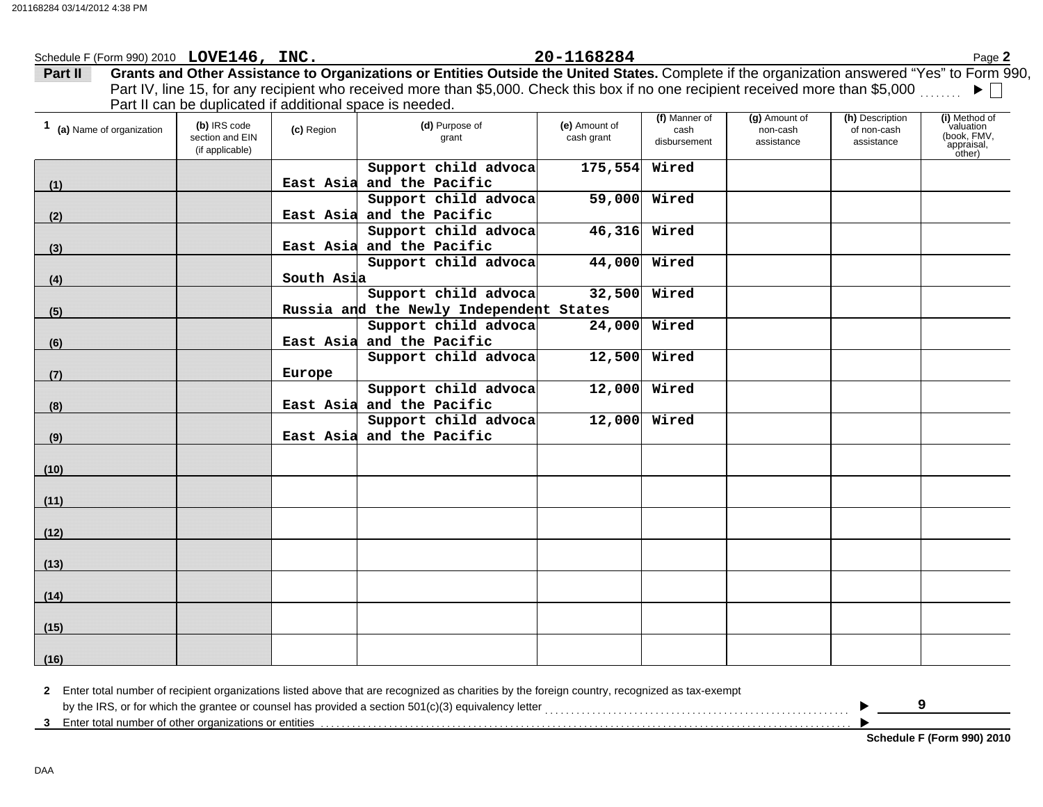| Part II                    |                                                    |            | Grants and Other Assistance to Organizations or Entities Outside the United States. Complete if the organization answered "Yes" to Form 990, |                             |                                       |                                         |                                              |                                                                   |
|----------------------------|----------------------------------------------------|------------|----------------------------------------------------------------------------------------------------------------------------------------------|-----------------------------|---------------------------------------|-----------------------------------------|----------------------------------------------|-------------------------------------------------------------------|
|                            |                                                    |            | Part IV, line 15, for any recipient who received more than \$5,000. Check this box if no one recipient received more than \$5,000            |                             |                                       |                                         |                                              |                                                                   |
|                            |                                                    |            | Part II can be duplicated if additional space is needed.                                                                                     |                             |                                       |                                         |                                              |                                                                   |
| 1 (a) Name of organization | (b) IRS code<br>section and EIN<br>(if applicable) | (c) Region | (d) Purpose of<br>grant                                                                                                                      | (e) Amount of<br>cash grant | (f) Manner of<br>cash<br>disbursement | (g) Amount of<br>non-cash<br>assistance | (h) Description<br>of non-cash<br>assistance | (i) Method of<br>valuation<br>(book, FMV,<br>appraisal,<br>other) |
|                            |                                                    |            | Support child advoca                                                                                                                         | 175,554                     | Wired                                 |                                         |                                              |                                                                   |
| (1)                        |                                                    | East Asia  | and the Pacific                                                                                                                              |                             |                                       |                                         |                                              |                                                                   |
|                            |                                                    |            | Support child advoca                                                                                                                         | 59,000                      | Wired                                 |                                         |                                              |                                                                   |
| (2)                        |                                                    |            | East Asia and the Pacific                                                                                                                    |                             |                                       |                                         |                                              |                                                                   |
|                            |                                                    |            | Support child advoca                                                                                                                         | 46,316                      | Wired                                 |                                         |                                              |                                                                   |
| (3)                        |                                                    |            | East Asia and the Pacific                                                                                                                    |                             |                                       |                                         |                                              |                                                                   |
|                            |                                                    |            | Support child advoca                                                                                                                         | 44,000                      | Wired                                 |                                         |                                              |                                                                   |
| (4)                        |                                                    | South Asia |                                                                                                                                              |                             |                                       |                                         |                                              |                                                                   |
|                            |                                                    |            | Support child advoca                                                                                                                         | 32,500                      | Wired                                 |                                         |                                              |                                                                   |
| (5)                        |                                                    |            | Russia and the Newly Independent States                                                                                                      |                             |                                       |                                         |                                              |                                                                   |
|                            |                                                    |            | Support child advoca                                                                                                                         | 24,000                      | Wired                                 |                                         |                                              |                                                                   |
| (6)                        |                                                    |            | East Asia and the Pacific                                                                                                                    |                             |                                       |                                         |                                              |                                                                   |
|                            |                                                    |            | Support child advoca                                                                                                                         | 12,500                      | Wired                                 |                                         |                                              |                                                                   |
| (7)                        |                                                    | Europe     |                                                                                                                                              |                             |                                       |                                         |                                              |                                                                   |
|                            |                                                    |            | Support child advoca                                                                                                                         | 12,000                      | Wired                                 |                                         |                                              |                                                                   |
| (8)                        |                                                    | East Asia  | and the Pacific                                                                                                                              |                             |                                       |                                         |                                              |                                                                   |
|                            |                                                    |            | Support child advoca                                                                                                                         | $12,000$ Wired              |                                       |                                         |                                              |                                                                   |
| (9)                        |                                                    | East Asia  | and the Pacific                                                                                                                              |                             |                                       |                                         |                                              |                                                                   |
| (10)                       |                                                    |            |                                                                                                                                              |                             |                                       |                                         |                                              |                                                                   |
| (11)                       |                                                    |            |                                                                                                                                              |                             |                                       |                                         |                                              |                                                                   |
|                            |                                                    |            |                                                                                                                                              |                             |                                       |                                         |                                              |                                                                   |
| (12)                       |                                                    |            |                                                                                                                                              |                             |                                       |                                         |                                              |                                                                   |
| (13)                       |                                                    |            |                                                                                                                                              |                             |                                       |                                         |                                              |                                                                   |
| (14)                       |                                                    |            |                                                                                                                                              |                             |                                       |                                         |                                              |                                                                   |
| (15)                       |                                                    |            |                                                                                                                                              |                             |                                       |                                         |                                              |                                                                   |
| (16)                       |                                                    |            |                                                                                                                                              |                             |                                       |                                         |                                              |                                                                   |

Schedule F (Form 990) 2010 Page **2 LOVE146, INC. 20-1168284**

**2** Enter total number of recipient organizations listed above that are recognized as charities by the foreign country, recognized as tax-exempt 3 Enter total number of other organizations or entities enterties of the content of the content of the content of the content of the content of the content of the content of the content of the content of the content of the by the IRS, or for which the grantee or counsel has provided a section 501(c)(3) equivalency letter . . . . . . . . . . . . . . . . . . . . . . . . . . . . . . . . . . . . . . . . . . . . . . . . . . . . . . . . . . ▶  $\blacktriangleright$ **9**

**Schedule F (Form 990) 2010**

DAA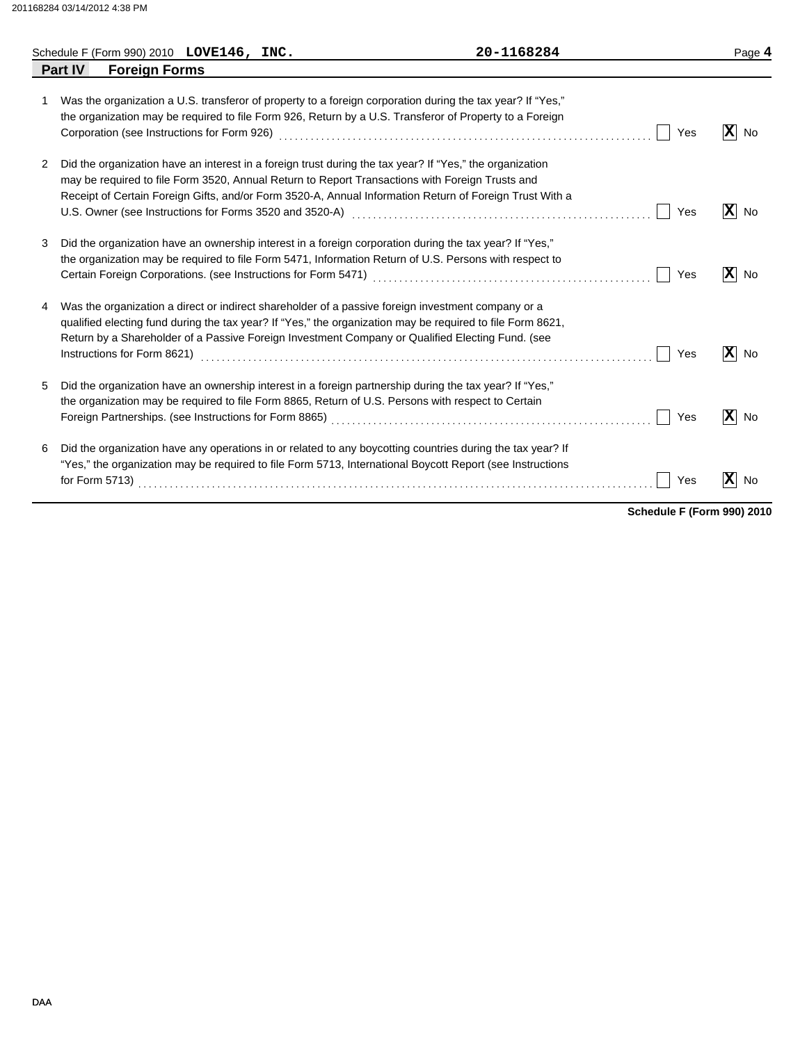|   | Schedule F (Form 990) 2010 $LOVE146$ , $INC.$ |  | 20-1168284                                                                                                                                                                                                                                                                                                             |     | Page 4                         |
|---|-----------------------------------------------|--|------------------------------------------------------------------------------------------------------------------------------------------------------------------------------------------------------------------------------------------------------------------------------------------------------------------------|-----|--------------------------------|
|   | <b>Part IV</b><br><b>Foreign Forms</b>        |  |                                                                                                                                                                                                                                                                                                                        |     |                                |
| 1 |                                               |  | Was the organization a U.S. transferor of property to a foreign corporation during the tax year? If "Yes,"<br>the organization may be required to file Form 926, Return by a U.S. Transferor of Property to a Foreign                                                                                                  | Yes | $ \mathbf{x} $<br>No           |
| 2 |                                               |  | Did the organization have an interest in a foreign trust during the tax year? If "Yes," the organization<br>may be required to file Form 3520, Annual Return to Report Transactions with Foreign Trusts and<br>Receipt of Certain Foreign Gifts, and/or Form 3520-A, Annual Information Return of Foreign Trust With a | Yes | $ \mathbf{X} $<br>No           |
| 3 |                                               |  | Did the organization have an ownership interest in a foreign corporation during the tax year? If "Yes,"<br>the organization may be required to file Form 5471, Information Return of U.S. Persons with respect to                                                                                                      | Yes | $ \mathbf{X} $ No              |
| 4 | Instructions for Form 8621)                   |  | Was the organization a direct or indirect shareholder of a passive foreign investment company or a<br>qualified electing fund during the tax year? If "Yes," the organization may be required to file Form 8621,<br>Return by a Shareholder of a Passive Foreign Investment Company or Qualified Electing Fund. (see   | Yes | $\vert \mathbf{X} \vert$<br>No |
| 5 |                                               |  | Did the organization have an ownership interest in a foreign partnership during the tax year? If "Yes,"<br>the organization may be required to file Form 8865, Return of U.S. Persons with respect to Certain                                                                                                          | Yes | $ \mathbf{X} $<br>No           |
| 6 |                                               |  | Did the organization have any operations in or related to any boycotting countries during the tax year? If<br>"Yes," the organization may be required to file Form 5713, International Boycott Report (see Instructions                                                                                                | Yes | $ \mathbf{X} $<br>No           |

**Schedule F (Form 990) 2010**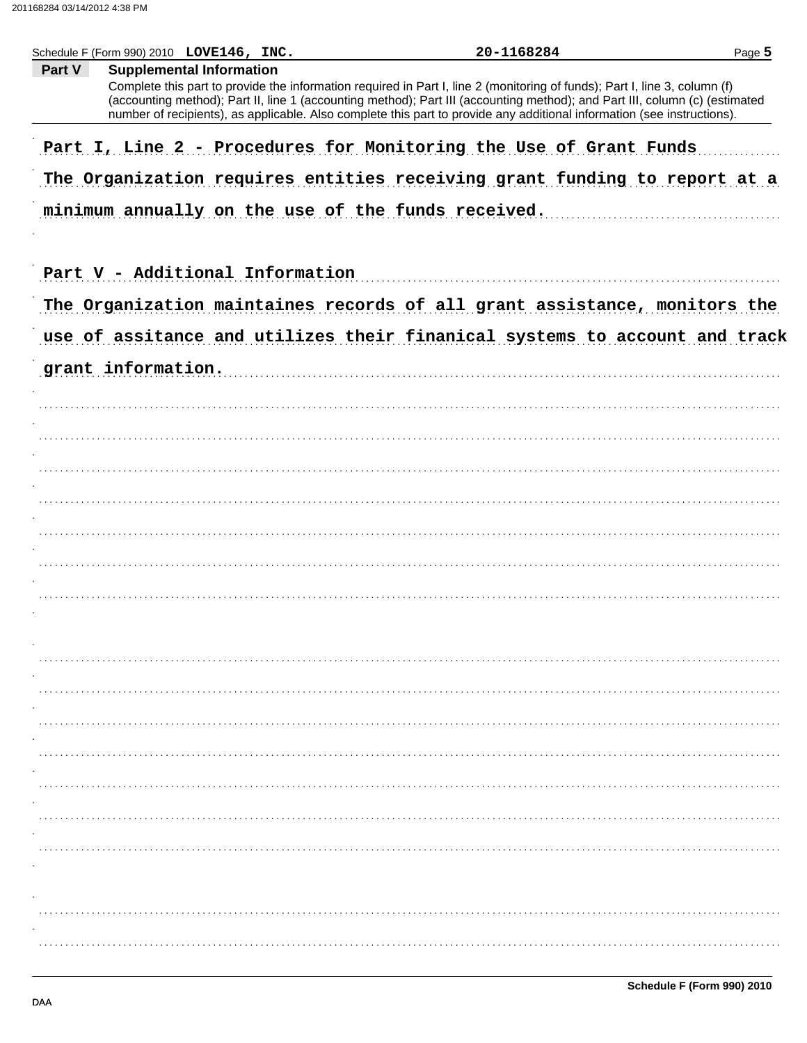| Schedule F (Form 990) 2010 LOVE146, INC.                                                                                                                                                                                                                                                               | 20-1168284 | Page 5 |
|--------------------------------------------------------------------------------------------------------------------------------------------------------------------------------------------------------------------------------------------------------------------------------------------------------|------------|--------|
| Part V<br><b>Supplemental Information</b><br>Complete this part to provide the information required in Part I, line 2 (monitoring of funds); Part I, line 3, column (f)<br>(accounting method); Part II, line 1 (accounting method); Part III (accounting method); and Part III, column (c) (estimated |            |        |
| number of recipients), as applicable. Also complete this part to provide any additional information (see instructions).                                                                                                                                                                                |            |        |
| Part I, Line 2 - Procedures for Monitoring the Use of Grant Funds                                                                                                                                                                                                                                      |            |        |
| The Organization requires entities receiving grant funding to report at a                                                                                                                                                                                                                              |            |        |
| minimum annually on the use of the funds received.                                                                                                                                                                                                                                                     |            |        |
|                                                                                                                                                                                                                                                                                                        |            |        |
| Part V - Additional Information                                                                                                                                                                                                                                                                        |            |        |
| The Organization maintaines records of all grant assistance, monitors the                                                                                                                                                                                                                              |            |        |
| use of assitance and utilizes their finanical systems to account and track                                                                                                                                                                                                                             |            |        |
| grant information.                                                                                                                                                                                                                                                                                     |            |        |
|                                                                                                                                                                                                                                                                                                        |            |        |
|                                                                                                                                                                                                                                                                                                        |            |        |
|                                                                                                                                                                                                                                                                                                        |            |        |
|                                                                                                                                                                                                                                                                                                        |            |        |
|                                                                                                                                                                                                                                                                                                        |            |        |
|                                                                                                                                                                                                                                                                                                        |            |        |
|                                                                                                                                                                                                                                                                                                        |            |        |
|                                                                                                                                                                                                                                                                                                        |            |        |
|                                                                                                                                                                                                                                                                                                        |            |        |
|                                                                                                                                                                                                                                                                                                        |            |        |
|                                                                                                                                                                                                                                                                                                        |            |        |
|                                                                                                                                                                                                                                                                                                        |            |        |
|                                                                                                                                                                                                                                                                                                        |            |        |
|                                                                                                                                                                                                                                                                                                        |            |        |
|                                                                                                                                                                                                                                                                                                        |            |        |
|                                                                                                                                                                                                                                                                                                        |            |        |
|                                                                                                                                                                                                                                                                                                        |            |        |
|                                                                                                                                                                                                                                                                                                        |            |        |
|                                                                                                                                                                                                                                                                                                        |            |        |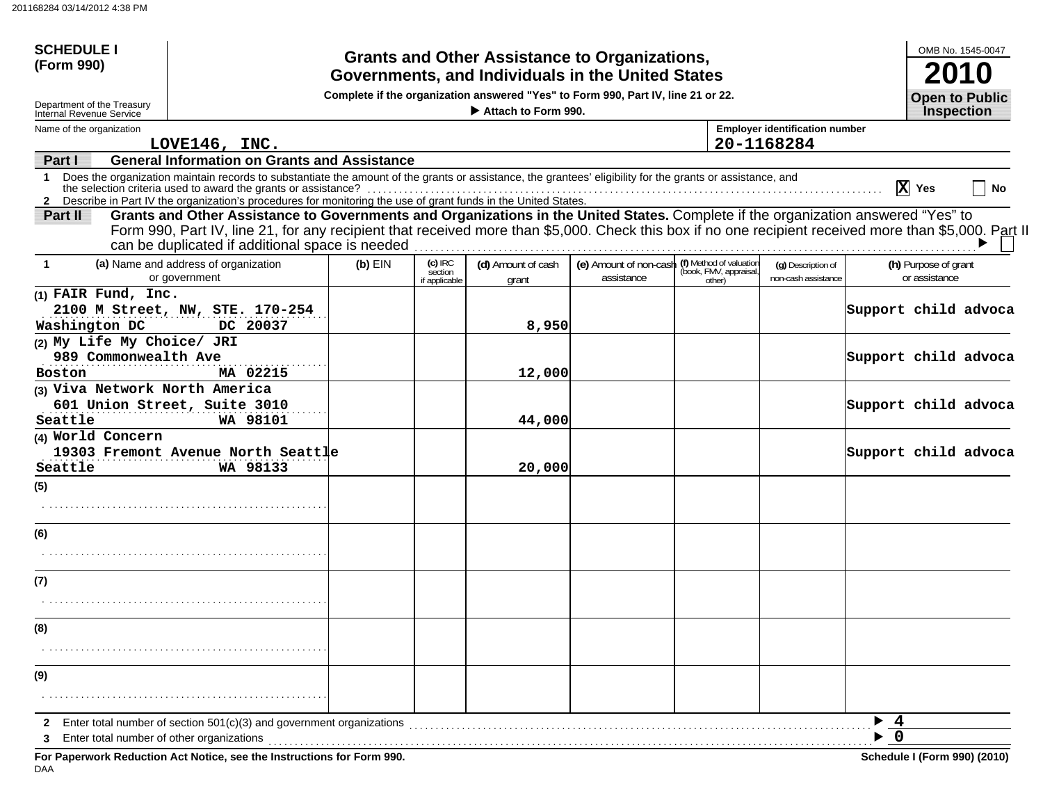| <b>SCHEDULE I</b><br>(Form 990)                        |                                                                                                                                                                                                                                                                                                                                                 |           |                                       |                             | <b>Grants and Other Assistance to Organizations,</b><br>Governments, and Individuals in the United States |                                                             |                                           |                               | OMB No. 1545-0047                     |    |
|--------------------------------------------------------|-------------------------------------------------------------------------------------------------------------------------------------------------------------------------------------------------------------------------------------------------------------------------------------------------------------------------------------------------|-----------|---------------------------------------|-----------------------------|-----------------------------------------------------------------------------------------------------------|-------------------------------------------------------------|-------------------------------------------|-------------------------------|---------------------------------------|----|
| Department of the Treasury<br>Internal Revenue Service |                                                                                                                                                                                                                                                                                                                                                 |           |                                       |                             | Complete if the organization answered "Yes" to Form 990, Part IV, line 21 or 22.                          |                                                             |                                           |                               | <b>Open to Public</b>                 |    |
| Name of the organization                               |                                                                                                                                                                                                                                                                                                                                                 |           |                                       | Attach to Form 990.         |                                                                                                           |                                                             | <b>Employer identification number</b>     |                               | <b>Inspection</b>                     |    |
|                                                        | LOVE146, INC.                                                                                                                                                                                                                                                                                                                                   |           |                                       |                             |                                                                                                           |                                                             | 20-1168284                                |                               |                                       |    |
| Part I                                                 | <b>General Information on Grants and Assistance</b>                                                                                                                                                                                                                                                                                             |           |                                       |                             |                                                                                                           |                                                             |                                           |                               |                                       |    |
| 1                                                      | Does the organization maintain records to substantiate the amount of the grants or assistance, the grantees' eligibility for the grants or assistance, and<br>the selection criteria used to award the grants or assistance?<br>2 Describe in Part IV the organization's procedures for monitoring the use of grant funds in the United States. |           |                                       |                             |                                                                                                           |                                                             |                                           |                               | $\overline{X}$ Yes                    | No |
| Part II                                                | Grants and Other Assistance to Governments and Organizations in the United States. Complete if the organization answered "Yes" to<br>Form 990, Part IV, line 21, for any recipient that received more than \$5,000. Check this box if no one recipient received more than \$5,000. Part II<br>can be duplicated if additional space is needed   |           |                                       |                             |                                                                                                           |                                                             |                                           |                               |                                       |    |
| $\mathbf{1}$                                           | (a) Name and address of organization<br>or government                                                                                                                                                                                                                                                                                           | $(b)$ EIN | $(c)$ IRC<br>section<br>if applicable | (d) Amount of cash<br>grant | (e) Amount of non-cash<br>assistance                                                                      | (f) Method of valuation<br>(book, FMV, appraisal,<br>other) | (q) Description of<br>non-cash assistance |                               | (h) Purpose of grant<br>or assistance |    |
| (1) FAIR Fund, Inc.<br>Washington DC                   | 2100 M Street, NW, STE. 170-254<br>DC 20037                                                                                                                                                                                                                                                                                                     |           |                                       | 8,950                       |                                                                                                           |                                                             |                                           | Support child advoca          |                                       |    |
| (2) My Life My Choice/ JRI<br>989 Commonwealth Ave     |                                                                                                                                                                                                                                                                                                                                                 |           |                                       |                             |                                                                                                           |                                                             |                                           | Support child advoca          |                                       |    |
| Boston<br>(3) Viva Network North America               | MA 02215                                                                                                                                                                                                                                                                                                                                        |           |                                       | 12,000                      |                                                                                                           |                                                             |                                           |                               |                                       |    |
| Seattle                                                | 601 Union Street, Suite 3010<br>WA 98101                                                                                                                                                                                                                                                                                                        |           |                                       | 44,000                      |                                                                                                           |                                                             |                                           | Support child advoca          |                                       |    |
| (4) World Concern<br>Seattle                           | 19303 Fremont Avenue North Seattle<br>WA 98133                                                                                                                                                                                                                                                                                                  |           |                                       | 20,000                      |                                                                                                           |                                                             |                                           | Support child advoca          |                                       |    |
| (5)                                                    |                                                                                                                                                                                                                                                                                                                                                 |           |                                       |                             |                                                                                                           |                                                             |                                           |                               |                                       |    |
| (6)                                                    |                                                                                                                                                                                                                                                                                                                                                 |           |                                       |                             |                                                                                                           |                                                             |                                           |                               |                                       |    |
|                                                        |                                                                                                                                                                                                                                                                                                                                                 |           |                                       |                             |                                                                                                           |                                                             |                                           |                               |                                       |    |
| (7)                                                    |                                                                                                                                                                                                                                                                                                                                                 |           |                                       |                             |                                                                                                           |                                                             |                                           |                               |                                       |    |
| (8)                                                    |                                                                                                                                                                                                                                                                                                                                                 |           |                                       |                             |                                                                                                           |                                                             |                                           |                               |                                       |    |
| (9)                                                    |                                                                                                                                                                                                                                                                                                                                                 |           |                                       |                             |                                                                                                           |                                                             |                                           |                               |                                       |    |
| Enter total number of other organizations              | Enter total number of section $501(c)(3)$ and government organizations                                                                                                                                                                                                                                                                          |           |                                       |                             |                                                                                                           |                                                             |                                           | $\overline{4}$<br>$\mathbf 0$ |                                       |    |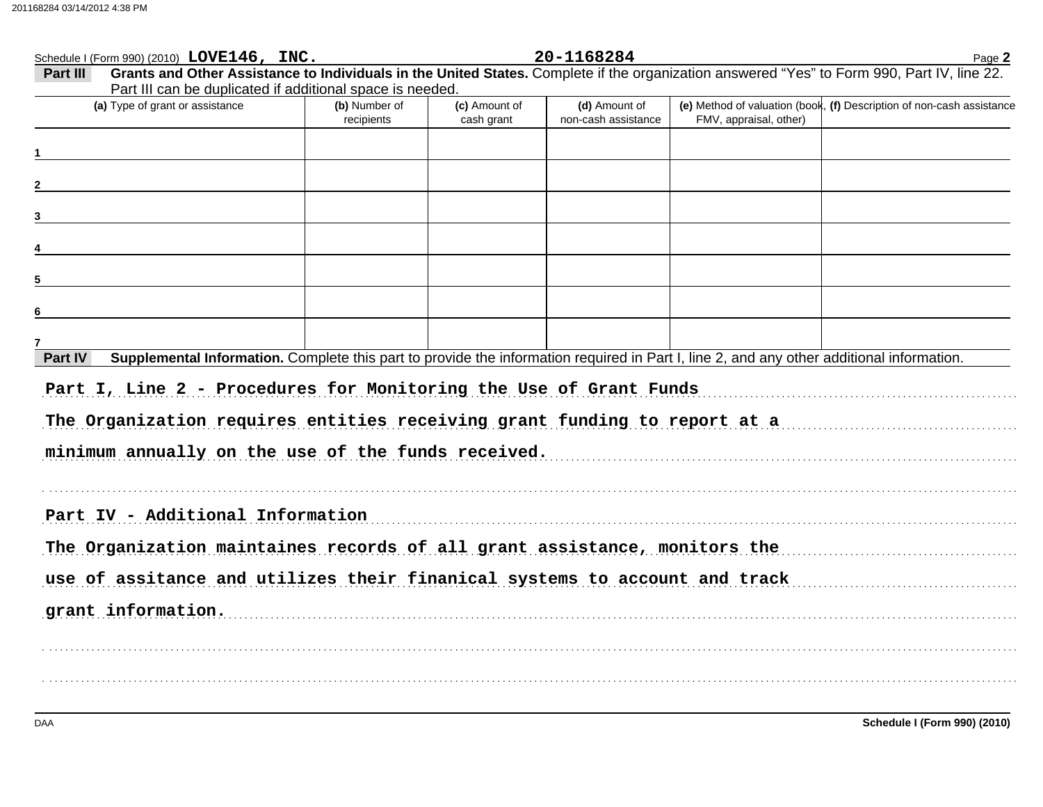| Schedule I (Form 990) (2010) LOVE146, INC.                                                                                                                                                           |                             |                             | 20-1168284                           |                        | Page 2                                                                |
|------------------------------------------------------------------------------------------------------------------------------------------------------------------------------------------------------|-----------------------------|-----------------------------|--------------------------------------|------------------------|-----------------------------------------------------------------------|
| Grants and Other Assistance to Individuals in the United States. Complete if the organization answered "Yes" to Form 990, Part IV, line 22.<br>Part III                                              |                             |                             |                                      |                        |                                                                       |
| Part III can be duplicated if additional space is needed.                                                                                                                                            |                             |                             |                                      |                        |                                                                       |
| (a) Type of grant or assistance                                                                                                                                                                      | (b) Number of<br>recipients | (c) Amount of<br>cash grant | (d) Amount of<br>non-cash assistance | FMV, appraisal, other) | (e) Method of valuation (book, (f) Description of non-cash assistance |
|                                                                                                                                                                                                      |                             |                             |                                      |                        |                                                                       |
|                                                                                                                                                                                                      |                             |                             |                                      |                        |                                                                       |
| 3                                                                                                                                                                                                    |                             |                             |                                      |                        |                                                                       |
|                                                                                                                                                                                                      |                             |                             |                                      |                        |                                                                       |
| 5                                                                                                                                                                                                    |                             |                             |                                      |                        |                                                                       |
| 6                                                                                                                                                                                                    |                             |                             |                                      |                        |                                                                       |
|                                                                                                                                                                                                      |                             |                             |                                      |                        |                                                                       |
| Supplemental Information. Complete this part to provide the information required in Part I, line 2, and any other additional information.<br>Part IV                                                 |                             |                             |                                      |                        |                                                                       |
| Part I, Line 2 - Procedures for Monitoring the Use of Grant Funds<br>The Organization requires entities receiving grant funding to report at a<br>minimum annually on the use of the funds received. |                             |                             |                                      |                        |                                                                       |
| Part IV - Additional Information                                                                                                                                                                     |                             |                             |                                      |                        |                                                                       |
| The Organization maintaines records of all grant assistance, monitors the                                                                                                                            |                             |                             |                                      |                        |                                                                       |
| use of assitance and utilizes their finanical systems to account and track                                                                                                                           |                             |                             |                                      |                        |                                                                       |
| grant information.                                                                                                                                                                                   |                             |                             |                                      |                        |                                                                       |
|                                                                                                                                                                                                      |                             |                             |                                      |                        |                                                                       |
|                                                                                                                                                                                                      |                             |                             |                                      |                        |                                                                       |
|                                                                                                                                                                                                      |                             |                             |                                      |                        |                                                                       |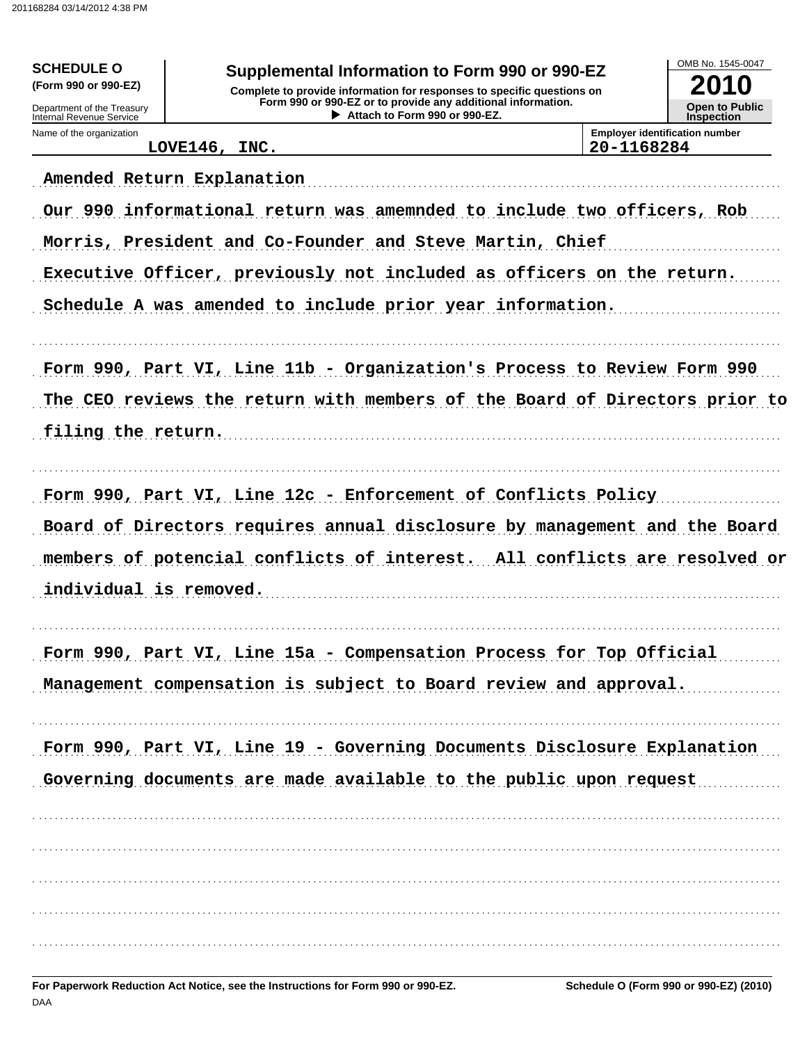| <b>SCHEDULE O</b><br>(Form 990 or 990-EZ)<br>Department of the Treasury<br>Internal Revenue Service | Supplemental Information to Form 990 or 990-EZ<br>Complete to provide information for responses to specific questions on<br>Form 990 or 990-EZ or to provide any additional information.<br>Attach to Form 990 or 990-EZ. |            | OMB No. 1545-0047<br>2010<br><b>Open to Public</b><br><b>Inspection</b> |
|-----------------------------------------------------------------------------------------------------|---------------------------------------------------------------------------------------------------------------------------------------------------------------------------------------------------------------------------|------------|-------------------------------------------------------------------------|
| Name of the organization                                                                            | LOVE146, INC.                                                                                                                                                                                                             | 20-1168284 | <b>Employer identification number</b>                                   |
|                                                                                                     | Amended Return Explanation<br>Our 990 informational return was amemnded to include two officers, Rob                                                                                                                      |            |                                                                         |
|                                                                                                     | Morris, President and Co-Founder and Steve Martin, Chief                                                                                                                                                                  |            |                                                                         |
|                                                                                                     | Executive Officer, previously not included as officers on the return.                                                                                                                                                     |            |                                                                         |
|                                                                                                     | Schedule A was amended to include prior year information.                                                                                                                                                                 |            |                                                                         |
| filing the return.                                                                                  | Form 990, Part VI, Line 11b - Organization's Process to Review Form 990<br>The CEO reviews the return with members of the Board of Directors prior to                                                                     |            |                                                                         |
| individual is removed.                                                                              | Form 990, Part VI, Line 12c - Enforcement of Conflicts Policy<br>Board of Directors requires annual disclosure by management and the Board<br>members of potencial conflicts of interest.                                 |            | All conflicts are resolved or                                           |
|                                                                                                     | Form 990, Part VI, Line 15a - Compensation Process for Top Official<br>Management compensation is subject to Board review and approval.                                                                                   |            |                                                                         |
|                                                                                                     | Form 990, Part VI, Line 19 - Governing Documents Disclosure Explanation<br>Governing documents are made available to the public upon request                                                                              |            |                                                                         |
|                                                                                                     |                                                                                                                                                                                                                           |            |                                                                         |
|                                                                                                     |                                                                                                                                                                                                                           |            |                                                                         |
|                                                                                                     |                                                                                                                                                                                                                           |            |                                                                         |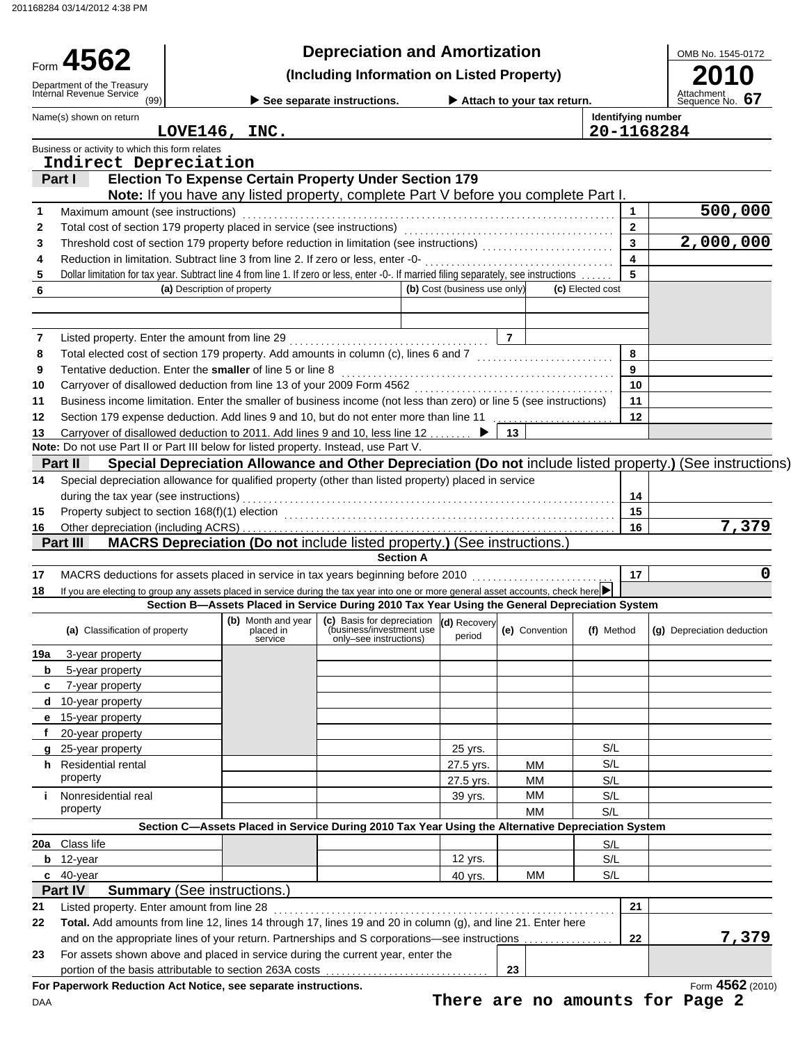201168284 03/14/2012 4:38 PM

|                                                                                                                                                                                               |                                    |                      | <b>Depreciation and Amortization</b>                                                                               |                              |                                                  |                           |                         | OMB No. 1545-0172                                                                                          |
|-----------------------------------------------------------------------------------------------------------------------------------------------------------------------------------------------|------------------------------------|----------------------|--------------------------------------------------------------------------------------------------------------------|------------------------------|--------------------------------------------------|---------------------------|-------------------------|------------------------------------------------------------------------------------------------------------|
| Form 4562                                                                                                                                                                                     |                                    |                      | (Including Information on Listed Property)                                                                         |                              |                                                  |                           |                         |                                                                                                            |
| Department of the Treasury<br>Internal Revenue Service<br>(99)                                                                                                                                |                                    |                      | See separate instructions.                                                                                         |                              | $\blacktriangleright$ Attach to your tax return. |                           |                         | Attachment<br>Sequence No. 67                                                                              |
| Name(s) shown on return                                                                                                                                                                       |                                    |                      |                                                                                                                    |                              |                                                  | <b>Identifying number</b> |                         |                                                                                                            |
|                                                                                                                                                                                               | LOVE146, INC.                      |                      |                                                                                                                    |                              |                                                  | 20-1168284                |                         |                                                                                                            |
| Business or activity to which this form relates<br>Indirect Depreciation                                                                                                                      |                                    |                      |                                                                                                                    |                              |                                                  |                           |                         |                                                                                                            |
| Part I                                                                                                                                                                                        |                                    |                      | <b>Election To Expense Certain Property Under Section 179</b>                                                      |                              |                                                  |                           |                         |                                                                                                            |
|                                                                                                                                                                                               |                                    |                      | Note: If you have any listed property, complete Part V before you complete Part I.                                 |                              |                                                  |                           |                         |                                                                                                            |
| Maximum amount (see instructions)<br>1                                                                                                                                                        |                                    |                      |                                                                                                                    |                              |                                                  |                           | $\mathbf{1}$            | 500,000                                                                                                    |
| 2                                                                                                                                                                                             |                                    |                      |                                                                                                                    |                              |                                                  |                           | $\mathbf{2}$            |                                                                                                            |
| Threshold cost of section 179 property before reduction in limitation (see instructions) [[[[[[[[[[[[[[[[[[[[[<br>3                                                                           |                                    |                      |                                                                                                                    |                              |                                                  |                           | $\overline{\mathbf{3}}$ | $\overline{2,000,000}$                                                                                     |
| Reduction in limitation. Subtract line 3 from line 2. If zero or less, enter -0-<br>4                                                                                                         |                                    |                      |                                                                                                                    |                              |                                                  |                           | $\overline{\mathbf{4}}$ |                                                                                                            |
| Dollar limitation for tax year. Subtract line 4 from line 1. If zero or less, enter -0-. If married filing separately, see instructions<br>5                                                  |                                    |                      |                                                                                                                    |                              |                                                  |                           | 5                       |                                                                                                            |
| 6                                                                                                                                                                                             | (a) Description of property        |                      |                                                                                                                    | (b) Cost (business use only) |                                                  | (c) Elected cost          |                         |                                                                                                            |
|                                                                                                                                                                                               |                                    |                      |                                                                                                                    |                              |                                                  |                           |                         |                                                                                                            |
| 7                                                                                                                                                                                             |                                    |                      |                                                                                                                    |                              | $\overline{7}$                                   |                           |                         |                                                                                                            |
| Total elected cost of section 179 property. Add amounts in column (c), lines 6 and 7 [1] [1] [1] Total elected cost of section 179 property. Add amounts in column (c), lines 6 and 7<br>8    |                                    |                      |                                                                                                                    |                              |                                                  |                           | 8                       |                                                                                                            |
| Tentative deduction. Enter the smaller of line 5 or line 8<br>9                                                                                                                               |                                    |                      |                                                                                                                    |                              |                                                  |                           | 9                       |                                                                                                            |
| Carryover of disallowed deduction from line 13 of your 2009 Form 4562<br>[[[[CORDITER STIPS ] [[CORDIT ] [[CORDIT ] [[CORDIT ] [[CORDIT ] [[CORDIT ] [[CORDIT ] [[CORDIT ] [[CORDIT ] [<br>10 |                                    |                      |                                                                                                                    |                              |                                                  |                           | 10                      |                                                                                                            |
| Business income limitation. Enter the smaller of business income (not less than zero) or line 5 (see instructions)<br>11                                                                      |                                    |                      |                                                                                                                    |                              |                                                  |                           | 11                      |                                                                                                            |
| Section 179 expense deduction. Add lines 9 and 10, but do not enter more than line 11<br>12                                                                                                   |                                    |                      |                                                                                                                    |                              |                                                  |                           | 12                      |                                                                                                            |
| Carryover of disallowed deduction to 2011. Add lines 9 and 10, less line 12  ▶<br>13                                                                                                          |                                    |                      |                                                                                                                    |                              | 13 <sup>7</sup>                                  |                           |                         |                                                                                                            |
| Note: Do not use Part II or Part III below for listed property. Instead, use Part V.                                                                                                          |                                    |                      |                                                                                                                    |                              |                                                  |                           |                         |                                                                                                            |
| Part II                                                                                                                                                                                       |                                    |                      |                                                                                                                    |                              |                                                  |                           |                         | Special Depreciation Allowance and Other Depreciation (Do not include listed property.) (See instructions) |
| Special depreciation allowance for qualified property (other than listed property) placed in service<br>14                                                                                    |                                    |                      |                                                                                                                    |                              |                                                  |                           |                         |                                                                                                            |
| during the tax year (see instructions)                                                                                                                                                        |                                    |                      |                                                                                                                    |                              |                                                  |                           | 14                      |                                                                                                            |
| 15                                                                                                                                                                                            |                                    |                      |                                                                                                                    |                              |                                                  |                           | 15                      | 7,379                                                                                                      |
| 16<br>Part III                                                                                                                                                                                |                                    |                      | MACRS Depreciation (Do not include listed property.) (See instructions.)                                           |                              |                                                  |                           | 16                      |                                                                                                            |
|                                                                                                                                                                                               |                                    |                      | <b>Section A</b>                                                                                                   |                              |                                                  |                           |                         |                                                                                                            |
| MACRS deductions for assets placed in service in tax years beginning before 2010 [1][[[[[[[[[[[[[[[[[[[[[[[[[<br>17                                                                           |                                    |                      |                                                                                                                    |                              |                                                  |                           | 17                      | 0                                                                                                          |
| If you are electing to group any assets placed in service during the tax year into one or more general asset accounts, check here<br>18                                                       |                                    |                      |                                                                                                                    |                              |                                                  |                           |                         |                                                                                                            |
|                                                                                                                                                                                               |                                    |                      | Section B-Assets Placed in Service During 2010 Tax Year Using the General Depreciation System                      |                              |                                                  |                           |                         |                                                                                                            |
| (a) Classification of property                                                                                                                                                                |                                    | placed in<br>service | (b) Month and year   (c) Basis for depreciation (d) Recovery<br>(business/investment use<br>only-see instructions) | period                       | (e) Convention                                   | (f) Method                |                         | (g) Depreciation deduction                                                                                 |
| 19a<br>3-year property                                                                                                                                                                        |                                    |                      |                                                                                                                    |                              |                                                  |                           |                         |                                                                                                            |
| 5-year property<br>b                                                                                                                                                                          |                                    |                      |                                                                                                                    |                              |                                                  |                           |                         |                                                                                                            |
| 7-year property<br>c                                                                                                                                                                          |                                    |                      |                                                                                                                    |                              |                                                  |                           |                         |                                                                                                            |
|                                                                                                                                                                                               |                                    |                      |                                                                                                                    |                              |                                                  |                           |                         |                                                                                                            |
| 10-year property<br>d                                                                                                                                                                         |                                    |                      |                                                                                                                    |                              |                                                  |                           |                         |                                                                                                            |
| 15-year property<br>е                                                                                                                                                                         |                                    |                      |                                                                                                                    |                              |                                                  |                           |                         |                                                                                                            |
| 20-year property<br>f                                                                                                                                                                         |                                    |                      |                                                                                                                    |                              |                                                  |                           |                         |                                                                                                            |
| 25-year property<br>q                                                                                                                                                                         |                                    |                      |                                                                                                                    | 25 yrs.                      |                                                  | S/L                       |                         |                                                                                                            |
| h Residential rental                                                                                                                                                                          |                                    |                      |                                                                                                                    | 27.5 yrs.                    | <b>MM</b>                                        | S/L                       |                         |                                                                                                            |
| property                                                                                                                                                                                      |                                    |                      |                                                                                                                    | 27.5 yrs.                    | <b>MM</b>                                        | S/L                       |                         |                                                                                                            |
| Nonresidential real                                                                                                                                                                           |                                    |                      |                                                                                                                    | 39 yrs.                      | МM                                               | S/L                       |                         |                                                                                                            |
| property                                                                                                                                                                                      |                                    |                      |                                                                                                                    |                              | <b>MM</b>                                        | S/L                       |                         |                                                                                                            |
|                                                                                                                                                                                               |                                    |                      | Section C-Assets Placed in Service During 2010 Tax Year Using the Alternative Depreciation System                  |                              |                                                  |                           |                         |                                                                                                            |
|                                                                                                                                                                                               |                                    |                      |                                                                                                                    |                              |                                                  | S/L                       |                         |                                                                                                            |
| 12-year<br>b                                                                                                                                                                                  |                                    |                      |                                                                                                                    | 12 yrs.                      |                                                  | S/L                       |                         |                                                                                                            |
| $c$ 40-year<br>Part IV                                                                                                                                                                        |                                    |                      |                                                                                                                    | 40 yrs.                      | МM                                               | S/L                       |                         |                                                                                                            |
|                                                                                                                                                                                               | <b>Summary (See instructions.)</b> |                      |                                                                                                                    |                              |                                                  |                           | 21                      |                                                                                                            |
| Listed property. Enter amount from line 28<br>Total. Add amounts from line 12, lines 14 through 17, lines 19 and 20 in column (g), and line 21. Enter here                                    |                                    |                      |                                                                                                                    |                              |                                                  |                           |                         |                                                                                                            |
| 20a Class life<br>21<br>22<br>and on the appropriate lines of your return. Partnerships and S corporations—see instructions                                                                   |                                    |                      |                                                                                                                    |                              |                                                  |                           | 22                      | 7,379                                                                                                      |
| For assets shown above and placed in service during the current year, enter the<br>23                                                                                                         |                                    |                      |                                                                                                                    |                              |                                                  |                           |                         |                                                                                                            |
| portion of the basis attributable to section 263A costs                                                                                                                                       |                                    |                      |                                                                                                                    |                              | 23                                               |                           |                         | Form 4562 (2010)                                                                                           |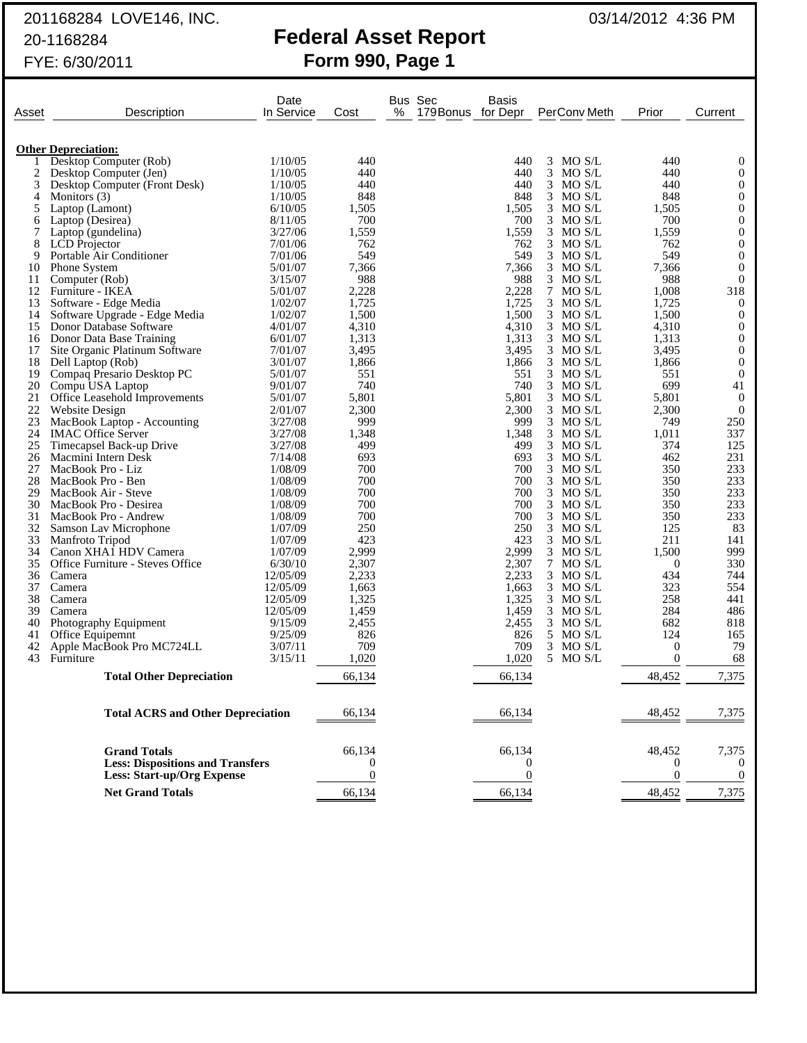# 201168284 LOVE146, INC. **Explorate Properties** 03/14/2012 4:36 PM

|       | 20-1168284<br>FYE: 6/30/2011     |                    | Form 990, Page 1 |                     | <b>Federal Asset Report</b> |       |              |          |                |
|-------|----------------------------------|--------------------|------------------|---------------------|-----------------------------|-------|--------------|----------|----------------|
| Asset | Description                      | Date<br>In Service | Cost             | <b>Bus Sec</b><br>℅ | 179 Bonus for Depr          | Basis | PerConv Meth | Prior    | Current        |
|       | <b>Other Depreciation:</b>       |                    |                  |                     |                             |       |              |          |                |
|       | Desktop Computer (Rob)           | 1/10/05            | 440              |                     |                             | 440   | $3$ MO S/L   | 440      | 0              |
| 2     | Desktop Computer (Jen)           | 1/10/05            | 440              |                     |                             | 440   | $3$ MO S/L   | 440      | $\Omega$       |
| 3     | Desktop Computer (Front Desk)    | 1/10/05            | 440              |                     |                             | 440   | MO S/L<br>3  | 440      | $\Omega$       |
| 4     | Monitors (3)                     | 1/10/05            | 848              |                     |                             | 848   | 3 MO S/L     | 848      | $\Omega$       |
| 5     | Laptop (Lamont)                  | 6/10/05            | 1,505            |                     |                             | 1,505 | 3<br>MO S/L  | 1,505    | $\theta$       |
| 6     | Laptop (Desirea)                 | 8/11/05            | 700              |                     |                             | 700   | $3$ MO S/L   | 700      | $\overline{0}$ |
| 7     | Laptop (gundelina)               | 3/27/06            | 1,559            |                     |                             | 1,559 | $3$ MO S/L   | 1,559    | $\theta$       |
| 8     | <b>LCD</b> Projector             | 7/01/06            | 762              |                     |                             | 762   | $3$ MO S/L   | 762      | $\theta$       |
| 9     | Portable Air Conditioner         | 7/01/06            | 549              |                     |                             | 549   | $3$ MO S/L   | 549      | $\overline{0}$ |
| 10    | Phone System                     | 5/01/07            | 7,366            |                     |                             | 7,366 | $3$ MO S/L   | 7,366    | $\theta$       |
| 11    | Computer (Rob)                   | 3/15/07            | 988              |                     |                             | 988   | $3$ MO S/L   | 988      | $\overline{0}$ |
| 12    | Furniture - IKEA                 | 5/01/07            | 2,228            |                     |                             | 2,228 | MO S/L<br>7  | 1,008    | 318            |
| 13    | Software - Edge Media            | 1/02/07            | 1,725            |                     |                             | 1,725 | 3 MO S/L     | 1,725    | $\Omega$       |
| 14    | Software Upgrade - Edge Media    | 1/02/07            | 1,500            |                     |                             | 1,500 | $3$ MO S/L   | 1,500    | $\Omega$       |
| 15    | Donor Database Software          | 4/01/07            | 4,310            |                     |                             | 4,310 | $3$ MO S/L   | 4,310    | $\Omega$       |
| 16    | Donor Data Base Training         | 6/01/07            | 1,313            |                     |                             | 1,313 | $3$ MO S/L   | 1,313    | $\Omega$       |
| 17    | Site Organic Platinum Software   | 7/01/07            | 3,495            |                     |                             | 3,495 | $3$ MO S/L   | 3,495    | $\Omega$       |
| 18    | Dell Laptop (Rob)                | 3/01/07            | 1,866            |                     |                             | 1,866 | $3$ MO S/L   | 1,866    | $\Omega$       |
| 19    | Compaq Presario Desktop PC       | 5/01/07            | 551              |                     |                             | 551   | 3 MO S/L     | 551      | $\Omega$       |
| 20    | Compu USA Laptop                 | 9/01/07            | 740              |                     |                             | 740   | $3$ MO S/L   | 699      | 41             |
| 21    | Office Leasehold Improvements    | 5/01/07            | 5,801            |                     |                             | 5,801 | $3$ MO S/L   | 5,801    | $\Omega$       |
| 22    | <b>Website Design</b>            | 2/01/07            | 2,300            |                     |                             | 2,300 | $3$ MO S/L   | 2,300    | $\overline{0}$ |
| 23    | MacBook Laptop - Accounting      | 3/27/08            | 999              |                     |                             | 999   | 3<br>MO S/L  | 749      | 250            |
| 24    | <b>IMAC Office Server</b>        | 3/27/08            | 1,348            |                     |                             | 1,348 | $3$ MO S/L   | 1,011    | 337            |
| 25    | Timecapsel Back-up Drive         | 3/27/08            | 499              |                     |                             | 499   | 3<br>MO S/L  | 374      | 125            |
| 26    | Macmini Intern Desk              | 7/14/08            | 693              |                     |                             | 693   | $3$ MO S/L   | 462      | 231            |
| 27    | MacBook Pro - Liz                | 1/08/09            | 700              |                     |                             | 700   | $3$ MO S/L   | 350      | 233            |
| 28    | MacBook Pro - Ben                | 1/08/09            | 700              |                     |                             | 700   | $3$ MO S/L   | 350      | 233            |
| 29    | MacBook Air - Steve              | 1/08/09            | 700              |                     |                             | 700   | $3$ MO S/L   | 350      | 233            |
| 30    | MacBook Pro - Desirea            | 1/08/09            | 700              |                     |                             | 700   | $3$ MO S/L   | 350      | 233            |
| 31    | MacBook Pro - Andrew             | 1/08/09            | 700              |                     |                             | 700   | $3$ MO S/L   | 350      | 233            |
| 32    | Samson Lav Microphone            | 1/07/09            | 250              |                     |                             | 250   | 3<br>MO S/L  | 125      | 83             |
| 33    | Manfroto Tripod                  | 1/07/09            | 423              |                     |                             | 423   | 3 MO S/L     | 211      | 141            |
| 34    | Canon XHA1 HDV Camera            | 1/07/09            | 2,999            |                     |                             | 2,999 | 3<br>MO S/L  | 1,500    | 999            |
| 35    | Office Furniture - Steves Office | 6/30/10            | 2,307            |                     |                             | 2,307 | 7 MO S/L     | $\Omega$ | 330            |
| 36    | Camera                           | 12/05/09           | 2,233            |                     |                             | 2,233 | 3 MO S/L     | 434      | 744            |
| 37    | Camera                           | 12/05/09           | 1,663            |                     |                             | 1,663 | $3$ MO S/L   | 323      | 554            |
| 38    | Camera                           | 12/05/09           | 1,325            |                     |                             | 1,325 | $3$ MO S/L   | 258      | 441            |
| 39    | Camera                           | 12/05/09           | 1,459            |                     |                             | 1,459 | MO S/L<br>3  | 284      | 486            |
| 40    | Photography Equipment            | 9/15/09            | 2,455            |                     |                             | 2,455 | 3 MO S/L     | 682      | 818            |
| 41    | Office Equipemnt                 | 9/25/09            | 826              |                     |                             | 826   | 5 MO S/L     | 124      | 165            |

41 Office Equipemnt 9/25/09 826 826 5 MO S/L 124 165<br>42 Apple MacBook Pro MC724LL 3/07/11 709 826 5 MO S/L 124 165<br>43 Furniture 3/15/11 1,020 1,020 5 MO S/L 0 68 42 Apple MacBook Pro MC724LL 3/07/11 709 709 3 MO S/L 0 79<br>43 Furniture 1,020 5 MO S/L 0 68 43 Furniture 20 1,020 1,020 5 MO S/L 0 68

**Total Other Depreciation** 66,134 66,134 48,452 7,375

**Total ACRS and Other Depreciation** 66,134 66,134 48,452 7,375

**Grand Totals** 66,134 66,134 66,134 48,452 7,375 **Less: Dispositions and Transfers**  $\hspace{1.6cm} 0 \hspace{1.2cm} 0 \hspace{1.2cm} 0 \hspace{1.2cm} 0 \hspace{1.2cm} 0$ **Less: Start-up/Org Expense** 0 0 00 **Net Grand Totals** 66,134 66,134 66,134 48,452 7,375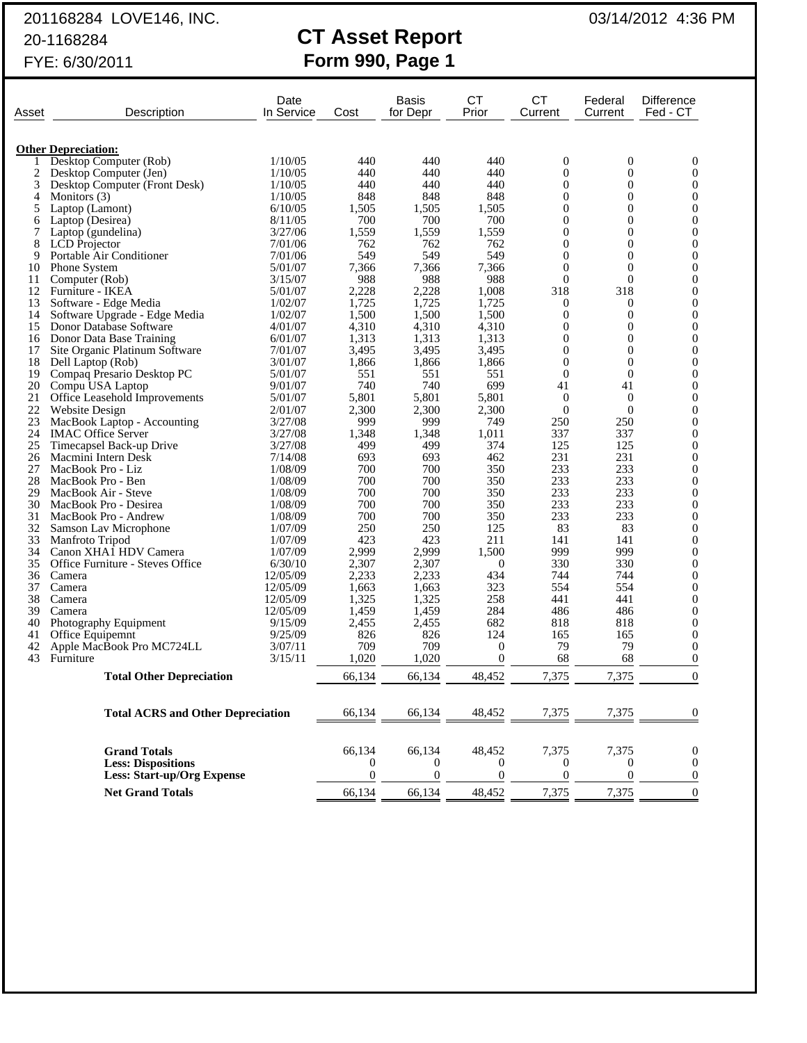# 201168284 LOVE146, INC. 201168284 LOVE146, INC.

# 20-1168284 **CT Asset Report** FYE: 6/30/2011 **Form 990, Page 1**

|          | Description                                               | Date               |                  | Basis          | CT<br>Prior       | <b>CT</b>           | Federal          | <b>Difference</b>              |
|----------|-----------------------------------------------------------|--------------------|------------------|----------------|-------------------|---------------------|------------------|--------------------------------|
| Asset    |                                                           | In Service         | Cost             | for Depr       |                   | Current             | Current          | Fed - CT                       |
|          |                                                           |                    |                  |                |                   |                     |                  |                                |
|          | <b>Other Depreciation:</b>                                |                    |                  |                |                   |                     |                  |                                |
| 1        | Desktop Computer (Rob)                                    | 1/10/05            | 440              | 440            | 440               | 0                   | 0                | 0                              |
| 2        | Desktop Computer (Jen)                                    | 1/10/05            | 440              | 440            | 440               | $\mathbf{0}$        | $\overline{0}$   | $\mathbf{0}$                   |
| 3        | Desktop Computer (Front Desk)                             | 1/10/05            | 440              | 440            | 440               | $\theta$            | $\theta$         | $\overline{0}$                 |
| 4        | Monitors (3)                                              | 1/10/05            | 848              | 848            | 848               | $\mathbf{0}$        | $\overline{0}$   | $\mathbf{0}$                   |
| 5        | Laptop (Lamont)                                           | 6/10/05            | 1,505            | 1,505          | 1,505             | $\mathbf{0}$        | $\overline{0}$   | 0                              |
| 6        | Laptop (Desirea)                                          | 8/11/05            | 700              | 700            | 700               | $\mathbf{0}$        | $\overline{0}$   | $\boldsymbol{0}$               |
| 7        | Laptop (gundelina)                                        | 3/27/06            | 1,559            | 1,559          | 1,559             | $\mathbf{0}$        | 0                | $\theta$                       |
| 8        | <b>LCD</b> Projector                                      | 7/01/06            | 762              | 762            | 762               | $\mathbf{0}$        | $\overline{0}$   | $\mathbf{0}$                   |
| 9        | Portable Air Conditioner                                  | 7/01/06            | 549              | 549            | 549               | $\theta$            | $\overline{0}$   | $\theta$                       |
| 10       | Phone System                                              | 5/01/07            | 7,366            | 7,366          | 7,366             | $\mathbf{0}$        | $\overline{0}$   | $\mathbf{0}$                   |
| 11       | Computer (Rob)                                            | 3/15/07            | 988              | 988            | 988               | $\theta$            | $\overline{0}$   | $\overline{0}$                 |
| 12<br>13 | Furniture - IKEA<br>Software - Edge Media                 | 5/01/07<br>1/02/07 | 2,228<br>1,725   | 2,228<br>1,725 | 1,008<br>1,725    | 318<br>$\mathbf{0}$ | 318<br>0         | $\mathbf{0}$<br>$\overline{0}$ |
| 14       | Software Upgrade - Edge Media                             | 1/02/07            | 1,500            | 1,500          | 1,500             | $\mathbf{0}$        | 0                | $\mathbf{0}$                   |
| 15       | Donor Database Software                                   | 4/01/07            | 4,310            | 4,310          | 4,310             | $\theta$            | 0                | $\overline{0}$                 |
| 16       | Donor Data Base Training                                  | 6/01/07            | 1,313            | 1,313          | 1,313             | $\mathbf{0}$        | $\overline{0}$   | $\mathbf{0}$                   |
| 17       | Site Organic Platinum Software                            | 7/01/07            | 3,495            | 3,495          | 3,495             | $\mathbf{0}$        | $\overline{0}$   | $\overline{0}$                 |
| 18       | Dell Laptop (Rob)                                         | 3/01/07            | 1,866            | 1,866          | 1,866             | $\mathbf{0}$        | $\overline{0}$   | $\mathbf{0}$                   |
| 19       | Compaq Presario Desktop PC                                | 5/01/07            | 551              | 551            | 551               | $\mathbf{0}$        | $\overline{0}$   | $\overline{0}$                 |
| 20       | Compu USA Laptop                                          | 9/01/07            | 740              | 740            | 699               | 41                  | 41               | $\mathbf{0}$                   |
| 21       | Office Leasehold Improvements                             | 5/01/07            | 5,801            | 5,801          | 5,801             | $\mathbf{0}$        | 0                | $\overline{0}$                 |
| 22       | <b>Website Design</b>                                     | 2/01/07            | 2,300            | 2,300          | 2,300             | $\overline{0}$      | $\Omega$         | $\mathbf{0}$                   |
| 23       | MacBook Laptop - Accounting                               | 3/27/08            | 999              | 999            | 749               | 250                 | 250              | $\overline{0}$                 |
| 24       | <b>IMAC Office Server</b>                                 | 3/27/08            | 1,348            | 1,348          | 1,011             | 337                 | 337              | $\mathbf{0}$                   |
| 25       | Timecapsel Back-up Drive                                  | 3/27/08            | 499              | 499            | 374               | 125                 | 125              | $\overline{0}$                 |
| 26       | Macmini Intern Desk                                       | 7/14/08            | 693              | 693            | 462               | 231                 | 231              | $\mathbf{0}$                   |
| 27       | MacBook Pro - Liz                                         | 1/08/09            | 700              | 700            | 350               | 233                 | 233              | 0                              |
| 28       | MacBook Pro - Ben                                         | 1/08/09            | 700              | 700            | 350               | 233                 | 233              | $\mathbf{0}$                   |
| 29       | MacBook Air - Steve                                       | 1/08/09            | 700              | 700            | 350               | 233                 | 233              | 0                              |
| 30       | MacBook Pro - Desirea                                     | 1/08/09            | 700              | 700            | 350               | 233                 | 233              | $\mathbf{0}$                   |
| 31       | MacBook Pro - Andrew                                      | 1/08/09            | 700              | 700            | 350               | 233                 | 233              | $\overline{0}$                 |
| 32       | Samson Lav Microphone                                     | 1/07/09            | 250              | 250            | 125               | 83                  | 83               | $\mathbf{0}$                   |
| 33       | Manfroto Tripod                                           | 1/07/09            | 423              | 423            | 211               | 141                 | 141              | $\overline{0}$                 |
| 34<br>35 | Canon XHA1 HDV Camera<br>Office Furniture - Steves Office | 1/07/09<br>6/30/10 | 2,999<br>2,307   | 2,999<br>2,307 | 1,500<br>$\theta$ | 999<br>330          | 999<br>330       | $\mathbf{0}$<br>$\overline{0}$ |
| 36       | Camera                                                    | 12/05/09           | 2,233            | 2,233          | 434               | 744                 | 744              | $\mathbf{0}$                   |
| 37       | Camera                                                    | 12/05/09           | 1,663            | 1,663          | 323               | 554                 | 554              | 0                              |
| 38       | Camera                                                    | 12/05/09           | 1,325            | 1,325          | 258               | 441                 | 441              | $\mathbf{0}$                   |
| 39       | Camera                                                    | 12/05/09           | 1,459            | 1,459          | 284               | 486                 | 486              | 0                              |
| 40       | Photography Equipment                                     | 9/15/09            | 2,455            | 2,455          | 682               | 818                 | 818              | $\mathbf{0}$                   |
| 41       | Office Equipemnt                                          | 9/25/09            | 826              | 826            | 124               | 165                 | 165              | $\overline{0}$                 |
| 42       | Apple MacBook Pro MC724LL                                 | 3/07/11            | 709              | 709            | $\boldsymbol{0}$  | 79                  | 79               | $\overline{0}$                 |
| 43       | Furniture                                                 | 3/15/11            | 1.020            | 1.020          | $\mathbf{0}$      | 68                  | 68               | $\overline{0}$                 |
|          | <b>Total Other Depreciation</b>                           |                    | 66,134           | 66,134         | 48,452            | 7,375               | 7,375            | $\boldsymbol{0}$               |
|          |                                                           |                    |                  |                |                   |                     |                  |                                |
|          | <b>Total ACRS and Other Depreciation</b>                  |                    | 66,134           | 66,134         | 48,452            | 7,375               | 7,375            | 0                              |
|          |                                                           |                    |                  |                |                   |                     |                  |                                |
|          | <b>Grand Totals</b>                                       |                    | 66,134           | 66,134         | 48,452            | 7,375               | 7,375            | $\boldsymbol{0}$               |
|          | <b>Less: Dispositions</b>                                 |                    | $\bf{0}$         | $\mathbf{0}$   | $\theta$          | $\mathbf{0}$        | $\boldsymbol{0}$ | $\boldsymbol{0}$               |
|          | <b>Less: Start-up/Org Expense</b>                         |                    | $\boldsymbol{0}$ | $\mathbf{0}$   | $\mathbf{0}$      | $\boldsymbol{0}$    | $\boldsymbol{0}$ | $\theta$                       |

**Net Grand Totals** 66,134 66,134 48,452 7,375 7,375 0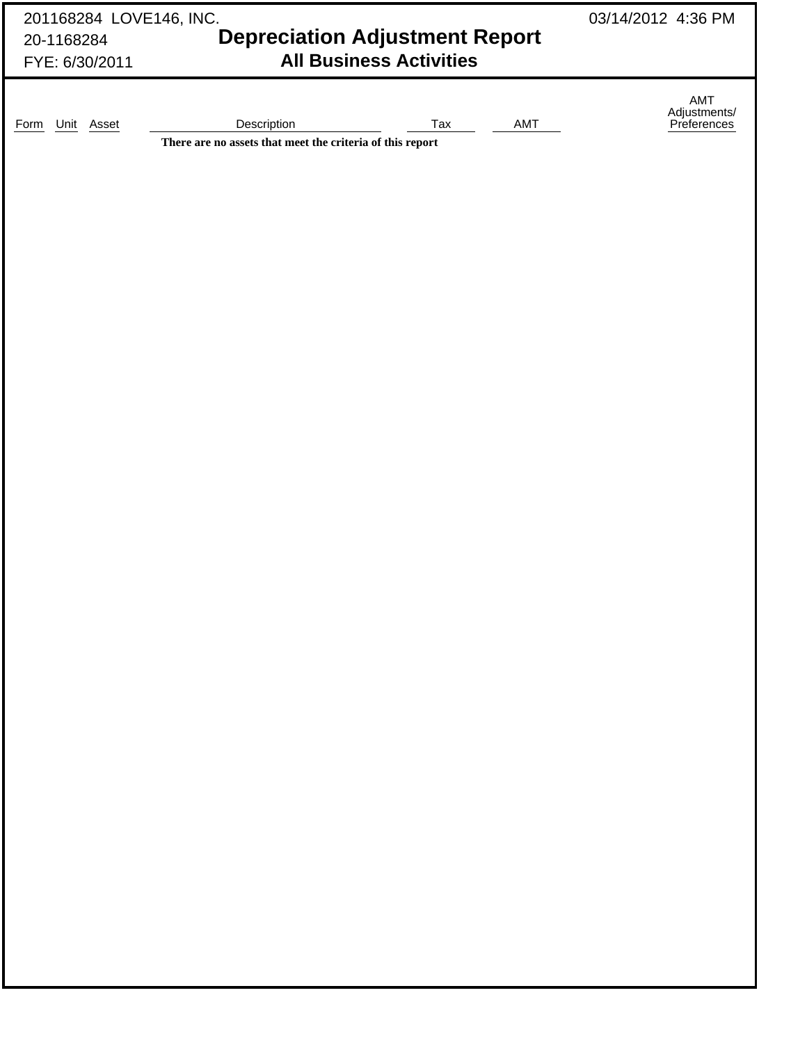| 201168284 LOVE146, INC. | 03/14/2012 4:36 PM                                                       |                                |     |                                    |
|-------------------------|--------------------------------------------------------------------------|--------------------------------|-----|------------------------------------|
| 20-1168284              | <b>Depreciation Adjustment Report</b>                                    |                                |     |                                    |
| FYE: 6/30/2011          |                                                                          | <b>All Business Activities</b> |     |                                    |
|                         |                                                                          |                                |     |                                    |
|                         |                                                                          |                                |     | AMT<br>Adjustments/<br>Preferences |
| Unit Asset<br>Form      | Description<br>There are no assets that meet the criteria of this report | Tax                            | AMT |                                    |
|                         |                                                                          |                                |     |                                    |
|                         |                                                                          |                                |     |                                    |
|                         |                                                                          |                                |     |                                    |
|                         |                                                                          |                                |     |                                    |
|                         |                                                                          |                                |     |                                    |
|                         |                                                                          |                                |     |                                    |
|                         |                                                                          |                                |     |                                    |
|                         |                                                                          |                                |     |                                    |
|                         |                                                                          |                                |     |                                    |
|                         |                                                                          |                                |     |                                    |
|                         |                                                                          |                                |     |                                    |
|                         |                                                                          |                                |     |                                    |
|                         |                                                                          |                                |     |                                    |
|                         |                                                                          |                                |     |                                    |
|                         |                                                                          |                                |     |                                    |
|                         |                                                                          |                                |     |                                    |
|                         |                                                                          |                                |     |                                    |
|                         |                                                                          |                                |     |                                    |
|                         |                                                                          |                                |     |                                    |
|                         |                                                                          |                                |     |                                    |
|                         |                                                                          |                                |     |                                    |
|                         |                                                                          |                                |     |                                    |
|                         |                                                                          |                                |     |                                    |
|                         |                                                                          |                                |     |                                    |
|                         |                                                                          |                                |     |                                    |
|                         |                                                                          |                                |     |                                    |
|                         |                                                                          |                                |     |                                    |
|                         |                                                                          |                                |     |                                    |
|                         |                                                                          |                                |     |                                    |
|                         |                                                                          |                                |     |                                    |
|                         |                                                                          |                                |     |                                    |
|                         |                                                                          |                                |     |                                    |
|                         |                                                                          |                                |     |                                    |
|                         |                                                                          |                                |     |                                    |
|                         |                                                                          |                                |     |                                    |
|                         |                                                                          |                                |     |                                    |
|                         |                                                                          |                                |     |                                    |
|                         |                                                                          |                                |     |                                    |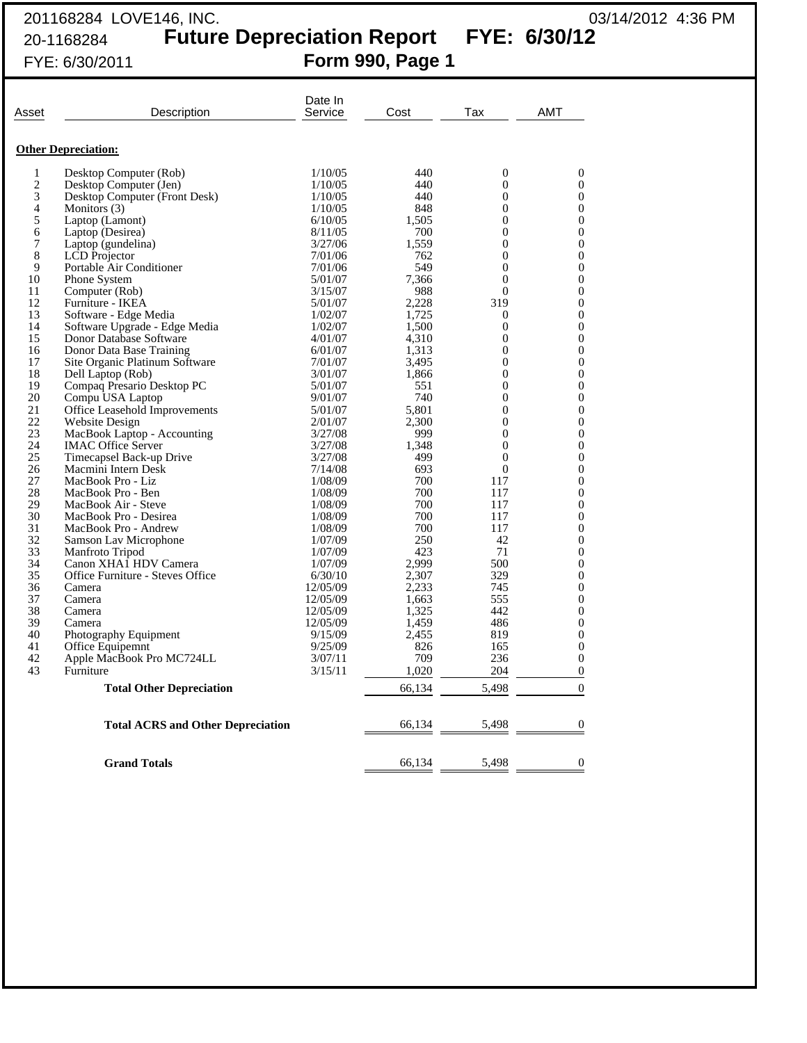## 201168284 LOVE146, INC. 03/14/2012 4:36 PM 20-1168284 **Future Depreciation Report FYE: 6/30/12** FYE: 6/30/2011 **Form 990, Page 1**

| Asset          | Description                              | Date In<br>Service | Cost   | Tax              | AMT              |
|----------------|------------------------------------------|--------------------|--------|------------------|------------------|
|                | <b>Other Depreciation:</b>               |                    |        |                  |                  |
| 1              | Desktop Computer (Rob)                   | 1/10/05            | 440    | $\overline{0}$   | $\mathbf{0}$     |
| $\overline{c}$ | Desktop Computer (Jen)                   | 1/10/05            | 440    | $\Omega$         | $\overline{0}$   |
| 3              | Desktop Computer (Front Desk)            | 1/10/05            | 440    | $\overline{0}$   | $\overline{0}$   |
| 4              | Monitors (3)                             | 1/10/05            | 848    | $\overline{0}$   | $\overline{0}$   |
| 5              | Laptop (Lamont)                          | 6/10/05            | 1.505  | $\Omega$         | $\overline{0}$   |
| 6              | Laptop (Desirea)                         | 8/11/05            | 700    | $\theta$         | $\theta$         |
| 7              | Laptop (gundelina)                       | 3/27/06            | 1,559  | $\boldsymbol{0}$ | $\boldsymbol{0}$ |
| 8              | <b>LCD</b> Projector                     | 7/01/06            | 762    | $\overline{0}$   | $\boldsymbol{0}$ |
| 9              | Portable Air Conditioner                 | 7/01/06            | 549    | $\overline{0}$   | 0                |
| 10             | Phone System                             | 5/01/07            | 7,366  | $\overline{0}$   | $\mathbf{0}$     |
| 11             | Computer (Rob)                           | 3/15/07            | 988    | $\overline{0}$   | $\overline{0}$   |
| 12             | Furniture - IKEA                         | 5/01/07            | 2,228  | 319              | 0                |
| 13             | Software - Edge Media                    | 1/02/07            | 1,725  | $\theta$         | $\overline{0}$   |
| 14             | Software Upgrade - Edge Media            | 1/02/07            | 1,500  | $\overline{0}$   | $\overline{0}$   |
| 15             | Donor Database Software                  | 4/01/07            | 4,310  | $\Omega$         | $\overline{0}$   |
| 16             | Donor Data Base Training                 | 6/01/07            | 1,313  | $\overline{0}$   | $\overline{0}$   |
| 17             | Site Organic Platinum Software           | 7/01/07            | 3,495  | $\overline{0}$   | $\overline{0}$   |
| 18             | Dell Laptop (Rob)                        | 3/01/07            | 1.866  | $\Omega$         | $\overline{0}$   |
| 19             | Compaq Presario Desktop PC               | 5/01/07            | 551    | $\Omega$         | $\theta$         |
| 20             | Compu USA Laptop                         | 9/01/07            | 740    | $\overline{0}$   | $\overline{0}$   |
| 21             | Office Leasehold Improvements            | 5/01/07            | 5,801  | $\boldsymbol{0}$ | $\boldsymbol{0}$ |
| 22             | Website Design                           | 2/01/07            | 2,300  | $\Omega$         | $\theta$         |
| 23             | MacBook Laptop - Accounting              | 3/27/08            | 999    | $\overline{0}$   | $\overline{0}$   |
| 24             | <b>IMAC Office Server</b>                | 3/27/08            | 1,348  | $\overline{0}$   | $\boldsymbol{0}$ |
| 25             | Timecapsel Back-up Drive                 | 3/27/08            | 499    | $\overline{0}$   | 0                |
| 26             | Macmini Intern Desk                      | 7/14/08            | 693    | $\theta$         | $\overline{0}$   |
| 27             | MacBook Pro - Liz                        | 1/08/09            | 700    | 117              | $\overline{0}$   |
| 28             | MacBook Pro - Ben                        | 1/08/09            | 700    | 117              | 0                |
| 29             | MacBook Air - Steve                      | 1/08/09            | 700    | 117              | 0                |
| 30             | MacBook Pro - Desirea                    | 1/08/09            | 700    | 117              | $\overline{0}$   |
| 31             | MacBook Pro - Andrew                     | 1/08/09            | 700    | 117              | $\overline{0}$   |
| 32             | Samson Lav Microphone                    | 1/07/09            | 250    | 42               | $\theta$         |
| 33             | Manfroto Tripod                          | 1/07/09            | 423    | 71               | 0                |
| 34             | Canon XHA1 HDV Camera                    | 1/07/09            | 2.999  | 500              | $\overline{0}$   |
| 35             | Office Furniture - Steves Office         | 6/30/10            | 2,307  | 329              | $\theta$         |
| 36             | Camera                                   | 12/05/09           | 2,233  | 745              | $\theta$         |
| 37             | Camera                                   | 12/05/09           | 1,663  | 555              | 0                |
| 38             | Camera                                   | 12/05/09           | 1,325  | 442              | 0                |
| 39             | Camera                                   | 12/05/09           | 1,459  | 486              | 0                |
| 40             | Photography Equipment                    | 9/15/09            | 2,455  | 819              | 0                |
| 41             | Office Equipemnt                         | 9/25/09            | 826    | 165              | 0                |
| 42             | Apple MacBook Pro MC724LL                | 3/07/11            | 709    | 236              | $\boldsymbol{0}$ |
| 43             | Furniture                                | 3/15/11            | 1,020  | 204              | $\boldsymbol{0}$ |
|                | <b>Total Other Depreciation</b>          |                    | 66,134 | 5,498            | $\theta$         |
|                |                                          |                    |        |                  |                  |
|                | <b>Total ACRS and Other Depreciation</b> |                    | 66,134 | 5,498            | $\boldsymbol{0}$ |
|                | <b>Grand Totals</b>                      |                    | 66,134 | 5,498            | $\overline{0}$   |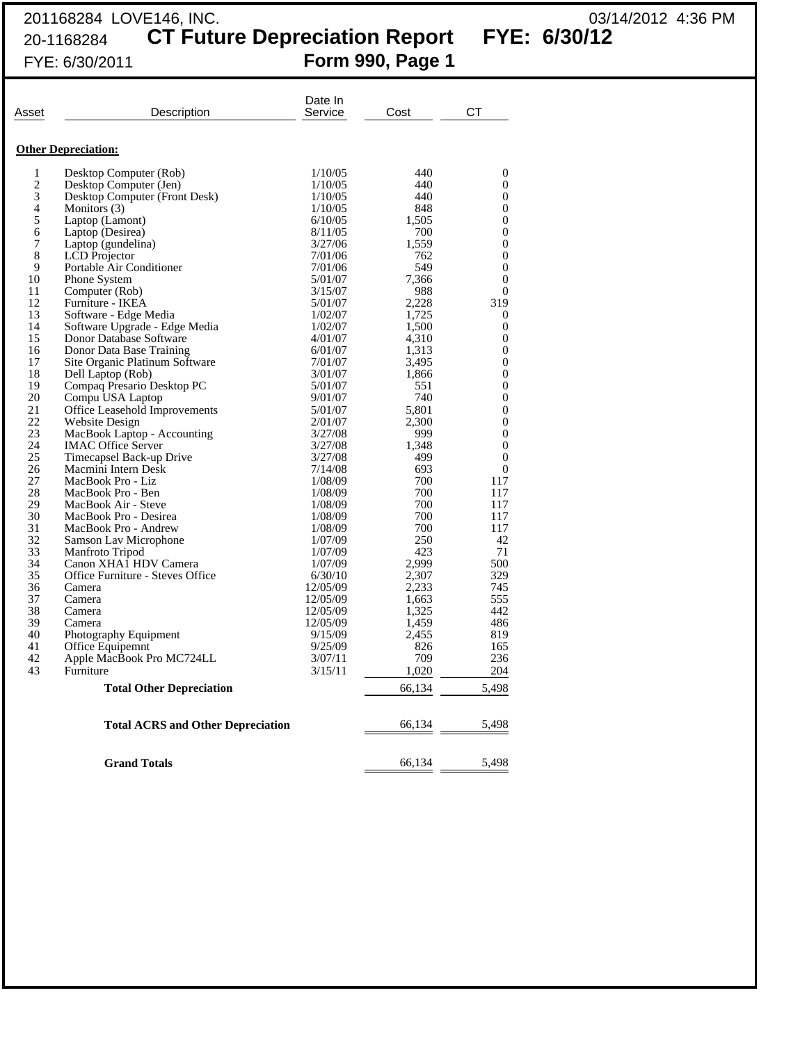## 201168284 LOVE146, INC. 03/14/2012 4:36 PM 20-1168284 **CT Future Depreciation Report FYE: 6/30/12** FYE: 6/30/2011 **Form 990, Page 1**

| Asset                    | Description                                     | Date In<br>Service | Cost           | СT                   |
|--------------------------|-------------------------------------------------|--------------------|----------------|----------------------|
|                          | <b>Other Depreciation:</b>                      |                    |                |                      |
| 1                        | Desktop Computer (Rob)                          | 1/10/05            | 440            | $\overline{0}$       |
| 2                        | Desktop Computer (Jen)                          | 1/10/05            | 440            | $\theta$             |
| 3                        | Desktop Computer (Front Desk)                   | 1/10/05            | 440            | $\overline{0}$       |
| $\overline{\mathcal{L}}$ | Monitors (3)                                    | 1/10/05            | 848            | $\Omega$             |
| 5                        | Laptop (Lamont)                                 | 6/10/05            | 1,505          | $\theta$             |
| 6                        | Laptop (Desirea)                                | 8/11/05            | 700            | 0                    |
| 7                        | Laptop (gundelina)                              | 3/27/06            | 1,559          | $\overline{0}$       |
| 8                        | <b>LCD</b> Projector                            | 7/01/06            | 762            | $\theta$             |
| 9                        | Portable Air Conditioner                        | 7/01/06            | 549            | $\overline{0}$       |
| 10                       | Phone System                                    | 5/01/07            | 7,366          | $\Omega$             |
| 11                       | Computer (Rob)                                  | 3/15/07            | 988            | $\overline{0}$       |
| 12                       | Furniture - IKEA                                | 5/01/07            | 2,228          | 319                  |
| 13                       | Software - Edge Media                           | 1/02/07            | 1,725          | $\theta$             |
| 14                       | Software Upgrade - Edge Media                   | 1/02/07            | 1,500          | $\Omega$             |
| 15                       | Donor Database Software                         | 4/01/07            | 4,310          | $\overline{0}$       |
| 16<br>17                 | Donor Data Base Training                        | 6/01/07            | 1,313          | $\Omega$<br>$\Omega$ |
| 18                       | Site Organic Platinum Software                  | 7/01/07            | 3,495<br>1,866 | $\overline{0}$       |
| 19                       | Dell Laptop (Rob)<br>Compaq Presario Desktop PC | 3/01/07<br>5/01/07 | 551            | $\overline{0}$       |
| 20                       | Compu USA Laptop                                | 9/01/07            | 740            | $\Omega$             |
| 21                       | <b>Office Leasehold Improvements</b>            | 5/01/07            | 5.801          | $\overline{0}$       |
| 22                       | Website Design                                  | 2/01/07            | 2.300          | $\Omega$             |
| 23                       | MacBook Laptop - Accounting                     | 3/27/08            | 999            | $\Omega$             |
| 24                       | <b>IMAC Office Server</b>                       | 3/27/08            | 1,348          | $\overline{0}$       |
| 25                       | Timecapsel Back-up Drive                        | 3/27/08            | 499            | $\overline{0}$       |
| 26                       | Macmini Intern Desk                             | 7/14/08            | 693            | $\Omega$             |
| 27                       | MacBook Pro - Liz                               | 1/08/09            | 700            | 117                  |
| 28                       | MacBook Pro - Ben                               | 1/08/09            | 700            | 117                  |
| 29                       | MacBook Air - Steve                             | 1/08/09            | 700            | 117                  |
| 30                       | MacBook Pro - Desirea                           | 1/08/09            | 700            | 117                  |
| 31                       | MacBook Pro - Andrew                            | 1/08/09            | 700            | 117                  |
| 32                       | Samson Lav Microphone                           | 1/07/09            | 250            | 42                   |
| 33                       | Manfroto Tripod                                 | 1/07/09            | 423            | 71                   |
| 34                       | Canon XHA1 HDV Camera                           | 1/07/09            | 2.999          | 500                  |
| 35                       | Office Furniture - Steves Office                | 6/30/10            | 2,307          | 329                  |
| 36                       | Camera                                          | 12/05/09           | 2,233          | 745                  |
| 37                       | Camera                                          | 12/05/09           | 1,663          | 555                  |
| 38                       | Camera                                          | 12/05/09           | 1.325          | 442                  |
| 39                       | Camera                                          | 12/05/09           | 1,459          | 486                  |
| 40<br>41                 | Photography Equipment                           | 9/15/09            | 2,455          | 819                  |
| 42                       | Office Equipemnt                                | 9/25/09<br>3/07/11 | 826<br>709     | 165<br>236           |
| 43                       | Apple MacBook Pro MC724LL<br>Furniture          | 3/15/11            | 1,020          | 204                  |
|                          | <b>Total Other Depreciation</b>                 |                    | 66,134         | 5,498                |
|                          |                                                 |                    |                |                      |
|                          | <b>Total ACRS and Other Depreciation</b>        |                    | 66,134         | 5,498                |
|                          | <b>Grand Totals</b>                             |                    | 66,134         | 5,498                |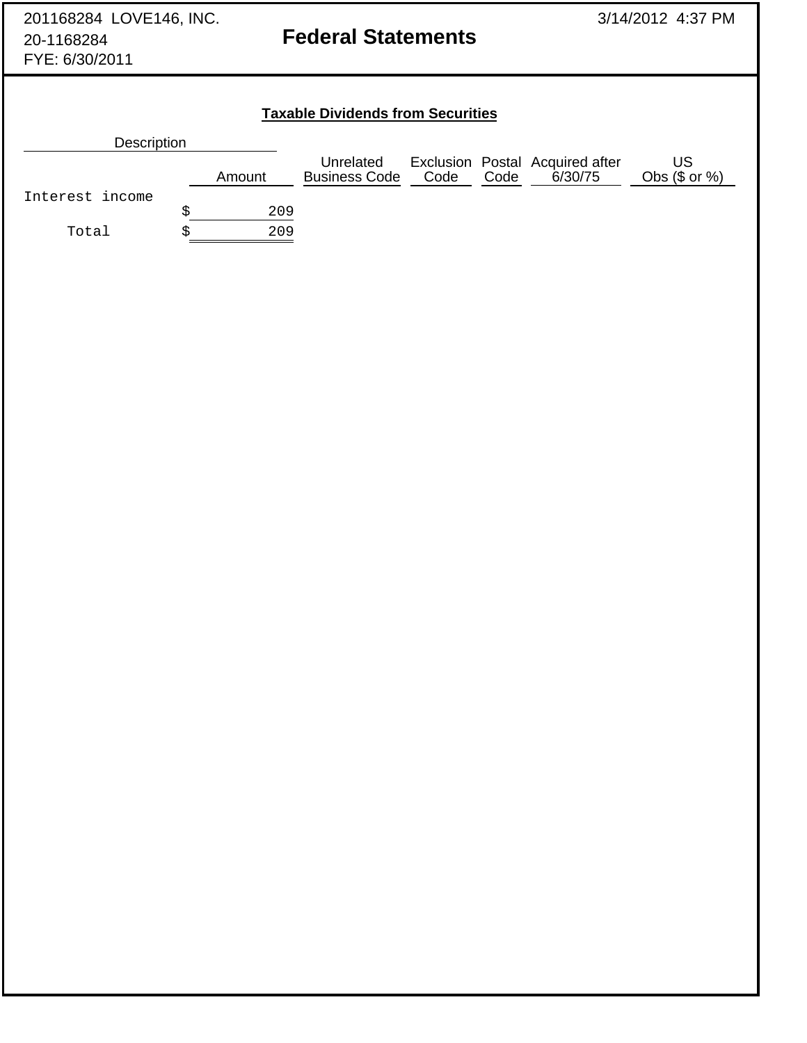| 201168284 LOVE146, INC.<br>20-1168284<br>FYE: 6/30/2011 | <b>Federal Statements</b>                              |                                          |  | 3/14/2012 4:37 PM |                                                      |               |
|---------------------------------------------------------|--------------------------------------------------------|------------------------------------------|--|-------------------|------------------------------------------------------|---------------|
|                                                         |                                                        | <b>Taxable Dividends from Securities</b> |  |                   |                                                      |               |
| <b>Description</b>                                      |                                                        |                                          |  |                   |                                                      |               |
|                                                         |                                                        | Unrelated                                |  |                   | Exclusion Postal Acquired after<br>Code Code 6/30/75 | <b>US</b>     |
|                                                         | Amount                                                 | <b>Business Code</b>                     |  |                   |                                                      | Obs (\$ or %) |
| Interest income                                         | $\boldsymbol{\mathop{\mathop{\rm s}}\nolimits}$<br>209 |                                          |  |                   |                                                      |               |
| Total                                                   | \$<br>209                                              |                                          |  |                   |                                                      |               |
|                                                         |                                                        |                                          |  |                   |                                                      |               |
|                                                         |                                                        |                                          |  |                   |                                                      |               |
|                                                         |                                                        |                                          |  |                   |                                                      |               |
|                                                         |                                                        |                                          |  |                   |                                                      |               |
|                                                         |                                                        |                                          |  |                   |                                                      |               |
|                                                         |                                                        |                                          |  |                   |                                                      |               |
|                                                         |                                                        |                                          |  |                   |                                                      |               |
|                                                         |                                                        |                                          |  |                   |                                                      |               |
|                                                         |                                                        |                                          |  |                   |                                                      |               |
|                                                         |                                                        |                                          |  |                   |                                                      |               |
|                                                         |                                                        |                                          |  |                   |                                                      |               |
|                                                         |                                                        |                                          |  |                   |                                                      |               |
|                                                         |                                                        |                                          |  |                   |                                                      |               |
|                                                         |                                                        |                                          |  |                   |                                                      |               |
|                                                         |                                                        |                                          |  |                   |                                                      |               |
|                                                         |                                                        |                                          |  |                   |                                                      |               |
|                                                         |                                                        |                                          |  |                   |                                                      |               |
|                                                         |                                                        |                                          |  |                   |                                                      |               |
|                                                         |                                                        |                                          |  |                   |                                                      |               |
|                                                         |                                                        |                                          |  |                   |                                                      |               |
|                                                         |                                                        |                                          |  |                   |                                                      |               |
|                                                         |                                                        |                                          |  |                   |                                                      |               |
|                                                         |                                                        |                                          |  |                   |                                                      |               |
|                                                         |                                                        |                                          |  |                   |                                                      |               |
|                                                         |                                                        |                                          |  |                   |                                                      |               |
|                                                         |                                                        |                                          |  |                   |                                                      |               |
|                                                         |                                                        |                                          |  |                   |                                                      |               |
|                                                         |                                                        |                                          |  |                   |                                                      |               |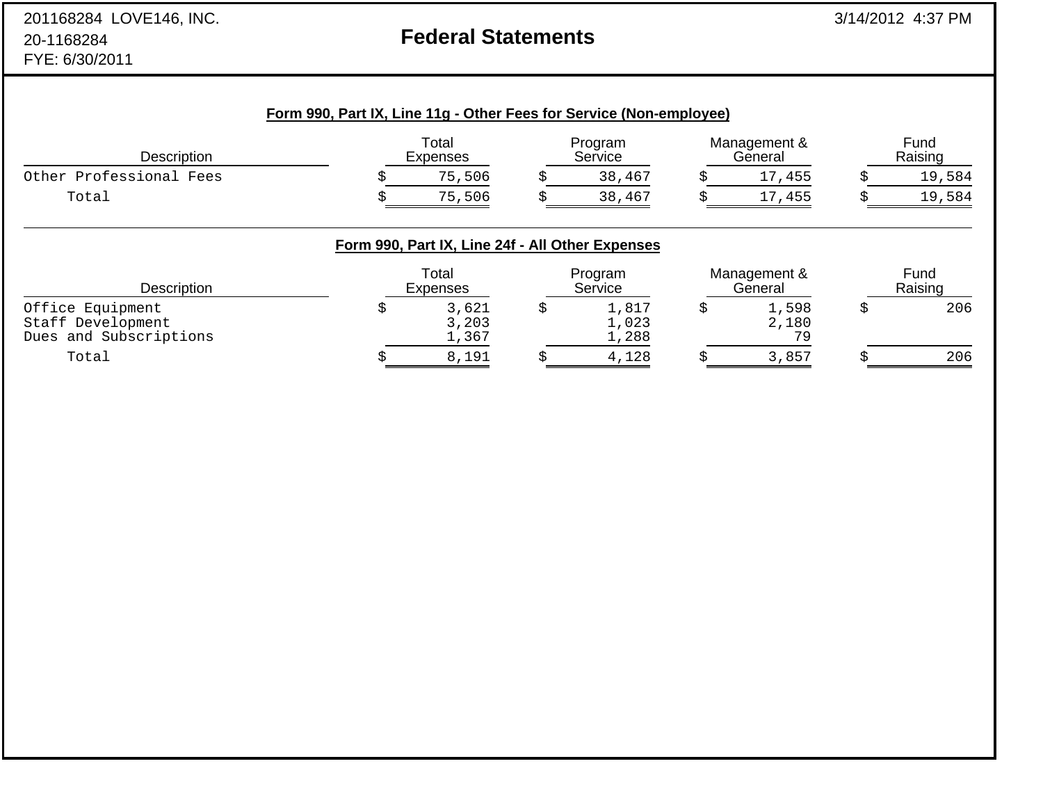# **Federal Statements**

| Description             | Total<br>Expenses |  | Program<br>Service |  | Management &<br>General |  | Fund<br>Raising |  |
|-------------------------|-------------------|--|--------------------|--|-------------------------|--|-----------------|--|
| Other Professional Fees | 75,506            |  | 38,467             |  | 17,455                  |  | 19,584          |  |
| Total                   | 75,506            |  | 38,467             |  | 17,455                  |  | 19,584          |  |

| Description                                                     | Total<br>Expenses       |  | Program<br>Service      |  | Management &<br>General |  | Fund<br>Raising |  |
|-----------------------------------------------------------------|-------------------------|--|-------------------------|--|-------------------------|--|-----------------|--|
| Office Equipment<br>Staff Development<br>Dues and Subscriptions | 3,621<br>3,203<br>1,367 |  | 1,817<br>1,023<br>1,288 |  | 1,598<br>2,180<br>70    |  | 206             |  |
| Total                                                           | 8,191                   |  | 4,128                   |  | 3,857                   |  | 206             |  |